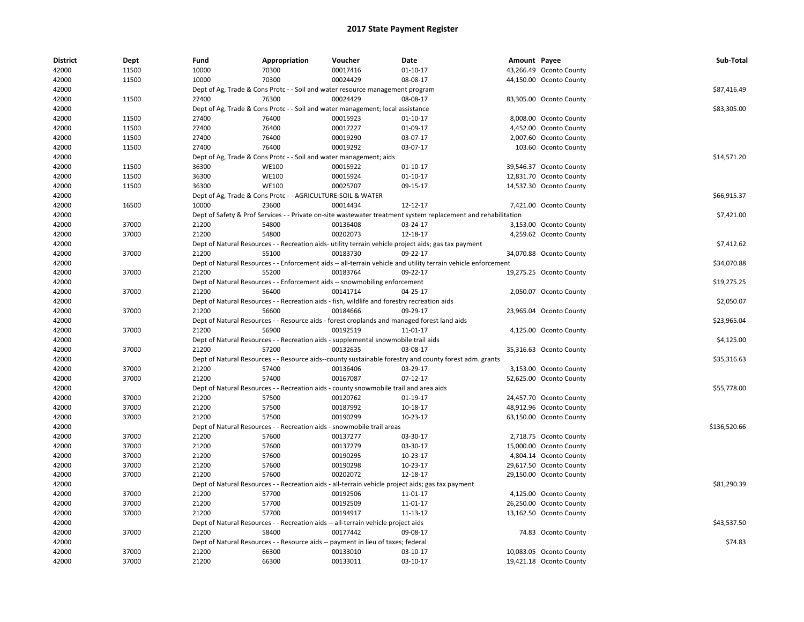| <b>District</b> | Dept  | Fund  | Appropriation                                                                               | Voucher  | Date                                                                                                          | Amount Payee |                         | Sub-Total    |
|-----------------|-------|-------|---------------------------------------------------------------------------------------------|----------|---------------------------------------------------------------------------------------------------------------|--------------|-------------------------|--------------|
| 42000           | 11500 | 10000 | 70300                                                                                       | 00017416 | $01-10-17$                                                                                                    |              | 43,266.49 Oconto County |              |
| 42000           | 11500 | 10000 | 70300                                                                                       | 00024429 | 08-08-17                                                                                                      |              | 44,150.00 Oconto County |              |
| 42000           |       |       | Dept of Ag, Trade & Cons Protc - - Soil and water resource management program               |          |                                                                                                               |              |                         | \$87,416.49  |
| 42000           | 11500 | 27400 | 76300                                                                                       | 00024429 | 08-08-17                                                                                                      |              | 83,305.00 Oconto County |              |
| 42000           |       |       | Dept of Ag, Trade & Cons Protc - - Soil and water management; local assistance              |          |                                                                                                               |              |                         | \$83,305.00  |
| 42000           | 11500 | 27400 | 76400                                                                                       | 00015923 | $01 - 10 - 17$                                                                                                |              | 8,008.00 Oconto County  |              |
| 42000           | 11500 | 27400 | 76400                                                                                       | 00017227 | 01-09-17                                                                                                      |              | 4,452.00 Oconto County  |              |
| 42000           | 11500 | 27400 | 76400                                                                                       | 00019290 | 03-07-17                                                                                                      |              | 2,007.60 Oconto County  |              |
| 42000           | 11500 | 27400 | 76400                                                                                       | 00019292 | 03-07-17                                                                                                      |              | 103.60 Oconto County    |              |
| 42000           |       |       | Dept of Ag, Trade & Cons Protc - - Soil and water management; aids                          |          |                                                                                                               |              |                         | \$14,571.20  |
| 42000           | 11500 | 36300 | <b>WE100</b>                                                                                | 00015922 | 01-10-17                                                                                                      |              | 39,546.37 Oconto County |              |
| 42000           | 11500 | 36300 | <b>WE100</b>                                                                                | 00015924 | $01 - 10 - 17$                                                                                                |              | 12,831.70 Oconto County |              |
| 42000           | 11500 | 36300 | <b>WE100</b>                                                                                | 00025707 | 09-15-17                                                                                                      |              | 14,537.30 Oconto County |              |
| 42000           |       |       | Dept of Ag, Trade & Cons Protc - - AGRICULTURE-SOIL & WATER                                 |          |                                                                                                               |              |                         | \$66,915.37  |
| 42000           | 16500 | 10000 | 23600                                                                                       | 00014434 | 12-12-17                                                                                                      |              | 7,421.00 Oconto County  |              |
| 42000           |       |       |                                                                                             |          | Dept of Safety & Prof Services - - Private on-site wastewater treatment system replacement and rehabilitation |              |                         | \$7,421.00   |
| 42000           | 37000 | 21200 | 54800                                                                                       | 00136408 | 03-24-17                                                                                                      |              | 3,153.00 Oconto County  |              |
| 42000           | 37000 | 21200 | 54800                                                                                       | 00202073 | 12-18-17                                                                                                      |              | 4,259.62 Oconto County  |              |
| 42000           |       |       |                                                                                             |          | Dept of Natural Resources - - Recreation aids- utility terrain vehicle project aids; gas tax payment          |              |                         | \$7,412.62   |
| 42000           | 37000 | 21200 | 55100                                                                                       | 00183730 | 09-22-17                                                                                                      |              | 34,070.88 Oconto County |              |
| 42000           |       |       |                                                                                             |          | Dept of Natural Resources - - Enforcement aids -- all-terrain vehicle and utility terrain vehicle enforcement |              |                         | \$34,070.88  |
| 42000           | 37000 | 21200 | 55200                                                                                       | 00183764 | 09-22-17                                                                                                      |              | 19,275.25 Oconto County |              |
| 42000           |       |       | Dept of Natural Resources - - Enforcement aids -- snowmobiling enforcement                  |          |                                                                                                               |              |                         | \$19,275.25  |
| 42000           | 37000 | 21200 | 56400                                                                                       | 00141714 | 04-25-17                                                                                                      |              | 2,050.07 Oconto County  |              |
| 42000           |       |       | Dept of Natural Resources - - Recreation aids - fish, wildlife and forestry recreation aids |          |                                                                                                               |              |                         | \$2,050.07   |
| 42000           | 37000 | 21200 | 56600                                                                                       | 00184666 | 09-29-17                                                                                                      |              | 23,965.04 Oconto County |              |
| 42000           |       |       |                                                                                             |          | Dept of Natural Resources - - Resource aids - forest croplands and managed forest land aids                   |              |                         | \$23,965.04  |
| 42000           | 37000 | 21200 | 56900                                                                                       | 00192519 | 11-01-17                                                                                                      |              | 4,125.00 Oconto County  |              |
| 42000           |       |       | Dept of Natural Resources - - Recreation aids - supplemental snowmobile trail aids          |          |                                                                                                               |              |                         | \$4,125.00   |
| 42000           | 37000 | 21200 | 57200                                                                                       | 00132635 | 03-08-17                                                                                                      |              | 35,316.63 Oconto County |              |
| 42000           |       |       |                                                                                             |          | Dept of Natural Resources - - Resource aids--county sustainable forestry and county forest adm. grants        |              |                         | \$35,316.63  |
| 42000           | 37000 | 21200 | 57400                                                                                       | 00136406 | 03-29-17                                                                                                      |              | 3,153.00 Oconto County  |              |
| 42000           | 37000 | 21200 | 57400                                                                                       | 00167087 | $07-12-17$                                                                                                    |              | 52,625.00 Oconto County |              |
| 42000           |       |       | Dept of Natural Resources - - Recreation aids - county snowmobile trail and area aids       |          |                                                                                                               |              |                         | \$55,778.00  |
| 42000           | 37000 | 21200 | 57500                                                                                       | 00120762 | 01-19-17                                                                                                      |              | 24,457.70 Oconto County |              |
| 42000           | 37000 | 21200 | 57500                                                                                       | 00187992 | 10-18-17                                                                                                      |              | 48,912.96 Oconto County |              |
| 42000           | 37000 | 21200 | 57500                                                                                       | 00190299 | 10-23-17                                                                                                      |              | 63,150.00 Oconto County |              |
| 42000           |       |       | Dept of Natural Resources - - Recreation aids - snowmobile trail areas                      |          |                                                                                                               |              |                         | \$136,520.66 |
| 42000           | 37000 | 21200 | 57600                                                                                       | 00137277 | 03-30-17                                                                                                      |              | 2,718.75 Oconto County  |              |
| 42000           | 37000 | 21200 | 57600                                                                                       | 00137279 | 03-30-17                                                                                                      |              | 15,000.00 Oconto County |              |
| 42000           | 37000 | 21200 | 57600                                                                                       | 00190295 | 10-23-17                                                                                                      |              | 4,804.14 Oconto County  |              |
| 42000           | 37000 | 21200 | 57600                                                                                       | 00190298 | 10-23-17                                                                                                      |              | 29,617.50 Oconto County |              |
| 42000           | 37000 | 21200 | 57600                                                                                       | 00202072 | 12-18-17                                                                                                      |              | 29,150.00 Oconto County |              |
| 42000           |       |       |                                                                                             |          | Dept of Natural Resources - - Recreation aids - all-terrain vehicle project aids; gas tax payment             |              |                         | \$81,290.39  |
| 42000           | 37000 | 21200 | 57700                                                                                       | 00192506 | 11-01-17                                                                                                      |              | 4,125.00 Oconto County  |              |
| 42000           | 37000 | 21200 | 57700                                                                                       | 00192509 | 11-01-17                                                                                                      |              | 26,250.00 Oconto County |              |
| 42000           | 37000 | 21200 | 57700                                                                                       | 00194917 | 11-13-17                                                                                                      |              | 13,162.50 Oconto County |              |
|                 |       |       |                                                                                             |          |                                                                                                               |              |                         | \$43,537.50  |
| 42000<br>42000  | 37000 | 21200 | Dept of Natural Resources - - Recreation aids -- all-terrain vehicle project aids<br>58400  | 00177442 | 09-08-17                                                                                                      |              |                         |              |
| 42000           |       |       | Dept of Natural Resources - - Resource aids -- payment in lieu of taxes; federal            |          |                                                                                                               |              | 74.83 Oconto County     | \$74.83      |
| 42000           | 37000 | 21200 | 66300                                                                                       | 00133010 | 03-10-17                                                                                                      |              | 10,083.05 Oconto County |              |
|                 |       |       |                                                                                             |          |                                                                                                               |              |                         |              |
| 42000           | 37000 | 21200 | 66300                                                                                       | 00133011 | 03-10-17                                                                                                      |              | 19,421.18 Oconto County |              |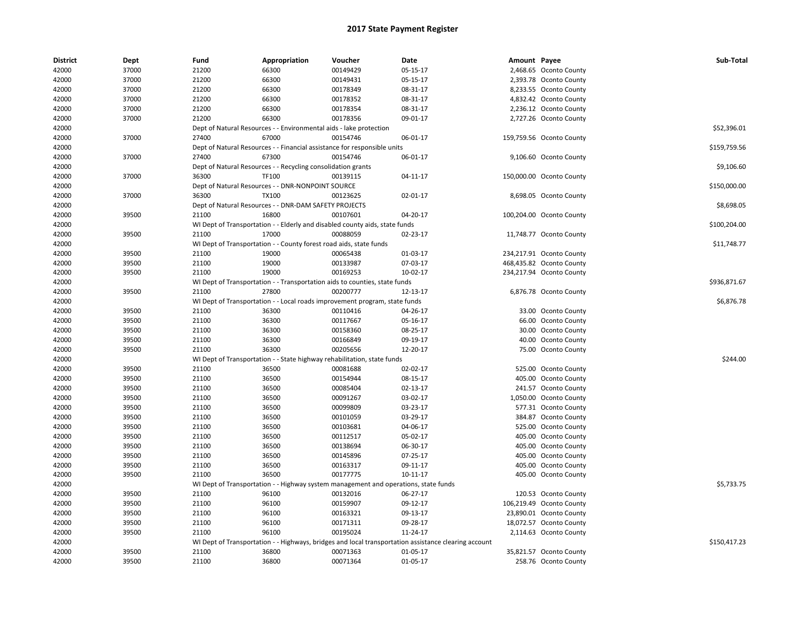| <b>District</b> | Dept           | Fund           | Appropriation                                                                       | Voucher              | Date                                                                                                 | Amount Payee |                                                     | Sub-Total    |
|-----------------|----------------|----------------|-------------------------------------------------------------------------------------|----------------------|------------------------------------------------------------------------------------------------------|--------------|-----------------------------------------------------|--------------|
| 42000           | 37000          | 21200          | 66300                                                                               | 00149429             | 05-15-17                                                                                             |              | 2,468.65 Oconto County                              |              |
| 42000           | 37000          | 21200          | 66300                                                                               | 00149431             | 05-15-17                                                                                             |              | 2,393.78 Oconto County                              |              |
| 42000           | 37000          | 21200          | 66300                                                                               | 00178349             | 08-31-17                                                                                             |              | 8,233.55 Oconto County                              |              |
| 42000           | 37000          | 21200          | 66300                                                                               | 00178352             | 08-31-17                                                                                             |              | 4,832.42 Oconto County                              |              |
| 42000           | 37000          | 21200          | 66300                                                                               | 00178354             | 08-31-17                                                                                             |              | 2,236.12 Oconto County                              |              |
| 42000           | 37000          | 21200          | 66300                                                                               | 00178356             | 09-01-17                                                                                             |              | 2,727.26 Oconto County                              |              |
| 42000           |                |                | Dept of Natural Resources - - Environmental aids - lake protection                  |                      |                                                                                                      |              |                                                     | \$52,396.01  |
| 42000           | 37000          | 27400          | 67000                                                                               | 00154746             | 06-01-17                                                                                             |              | 159,759.56 Oconto County                            |              |
| 42000           |                |                | Dept of Natural Resources - - Financial assistance for responsible units            |                      |                                                                                                      |              |                                                     | \$159,759.56 |
| 42000           | 37000          | 27400          | 67300                                                                               | 00154746             | 06-01-17                                                                                             |              | 9,106.60 Oconto County                              |              |
| 42000           |                |                | Dept of Natural Resources - - Recycling consolidation grants                        |                      |                                                                                                      |              |                                                     | \$9,106.60   |
| 42000           | 37000          | 36300          | TF100                                                                               | 00139115             | 04-11-17                                                                                             |              | 150,000.00 Oconto County                            |              |
| 42000           |                |                | Dept of Natural Resources - - DNR-NONPOINT SOURCE                                   |                      |                                                                                                      |              |                                                     | \$150,000.00 |
| 42000           | 37000          | 36300          | <b>TX100</b>                                                                        | 00123625             | 02-01-17                                                                                             |              | 8,698.05 Oconto County                              |              |
| 42000           |                |                | Dept of Natural Resources - - DNR-DAM SAFETY PROJECTS                               |                      |                                                                                                      |              |                                                     | \$8,698.05   |
| 42000           | 39500          | 21100          | 16800                                                                               | 00107601             | 04-20-17                                                                                             |              | 100,204.00 Oconto County                            |              |
| 42000           |                |                | WI Dept of Transportation - - Elderly and disabled county aids, state funds         |                      |                                                                                                      |              |                                                     | \$100,204.00 |
| 42000           | 39500          | 21100          | 17000                                                                               | 00088059             | 02-23-17                                                                                             |              | 11,748.77 Oconto County                             |              |
| 42000           |                |                | WI Dept of Transportation - - County forest road aids, state funds                  |                      |                                                                                                      |              |                                                     | \$11,748.77  |
| 42000           | 39500          | 21100          | 19000                                                                               | 00065438             | 01-03-17                                                                                             |              | 234,217.91 Oconto County                            |              |
| 42000           | 39500          | 21100          | 19000                                                                               | 00133987             | 07-03-17                                                                                             |              | 468,435.82 Oconto County                            |              |
| 42000           | 39500          | 21100          | 19000                                                                               | 00169253             | 10-02-17                                                                                             |              | 234,217.94 Oconto County                            |              |
| 42000           |                |                | WI Dept of Transportation - - Transportation aids to counties, state funds          |                      |                                                                                                      |              |                                                     | \$936,871.67 |
| 42000           | 39500          | 21100          | 27800                                                                               | 00200777             | 12-13-17                                                                                             |              | 6,876.78 Oconto County                              |              |
| 42000           |                |                | WI Dept of Transportation - - Local roads improvement program, state funds          |                      |                                                                                                      |              |                                                     | \$6,876.78   |
| 42000           | 39500          | 21100          | 36300                                                                               | 00110416             | 04-26-17                                                                                             |              | 33.00 Oconto County                                 |              |
| 42000           | 39500          | 21100          | 36300                                                                               | 00117667             | 05-16-17                                                                                             |              | 66.00 Oconto County                                 |              |
| 42000           | 39500          | 21100          | 36300                                                                               | 00158360             | 08-25-17                                                                                             |              | 30.00 Oconto County                                 |              |
| 42000           | 39500          | 21100          | 36300                                                                               | 00166849             | 09-19-17                                                                                             |              | 40.00 Oconto County                                 |              |
| 42000           | 39500          | 21100          | 36300                                                                               | 00205656             | 12-20-17                                                                                             |              | 75.00 Oconto County                                 |              |
| 42000           |                |                | WI Dept of Transportation - - State highway rehabilitation, state funds             |                      |                                                                                                      |              |                                                     | \$244.00     |
| 42000           | 39500          | 21100          | 36500                                                                               | 00081688             | 02-02-17                                                                                             |              | 525.00 Oconto County                                |              |
| 42000           | 39500          | 21100          | 36500                                                                               | 00154944             | 08-15-17                                                                                             |              | 405.00 Oconto County                                |              |
| 42000           | 39500          | 21100          | 36500                                                                               | 00085404             | 02-13-17                                                                                             |              | 241.57 Oconto County                                |              |
| 42000           | 39500          | 21100          | 36500                                                                               | 00091267             | 03-02-17                                                                                             |              | 1,050.00 Oconto County                              |              |
| 42000           | 39500          | 21100          | 36500                                                                               | 00099809             | 03-23-17                                                                                             |              | 577.31 Oconto County                                |              |
| 42000           | 39500          | 21100          | 36500                                                                               | 00101059             | 03-29-17                                                                                             |              | 384.87 Oconto County                                |              |
| 42000           | 39500          | 21100          | 36500                                                                               | 00103681             | 04-06-17                                                                                             |              | 525.00 Oconto County                                |              |
| 42000           | 39500          | 21100          | 36500                                                                               | 00112517             | 05-02-17                                                                                             |              | 405.00 Oconto County                                |              |
| 42000           | 39500          | 21100          | 36500                                                                               | 00138694             | 06-30-17                                                                                             |              | 405.00 Oconto County                                |              |
| 42000           | 39500          | 21100          | 36500                                                                               | 00145896             | 07-25-17                                                                                             |              | 405.00 Oconto County                                |              |
| 42000           | 39500          | 21100          | 36500                                                                               | 00163317             | 09-11-17                                                                                             |              | 405.00 Oconto County                                |              |
| 42000           | 39500          | 21100          | 36500                                                                               | 00177775             | 10-11-17                                                                                             |              | 405.00 Oconto County                                |              |
| 42000           |                |                | WI Dept of Transportation - - Highway system management and operations, state funds |                      |                                                                                                      |              |                                                     | \$5,733.75   |
| 42000           | 39500          | 21100          | 96100                                                                               | 00132016             | 06-27-17                                                                                             |              | 120.53 Oconto County                                |              |
|                 |                |                |                                                                                     |                      |                                                                                                      |              |                                                     |              |
| 42000           | 39500<br>39500 | 21100<br>21100 | 96100                                                                               | 00159907             | 09-12-17<br>09-13-17                                                                                 |              | 106,219.49 Oconto County<br>23,890.01 Oconto County |              |
| 42000           |                |                | 96100                                                                               | 00163321             |                                                                                                      |              |                                                     |              |
| 42000           | 39500          | 21100          | 96100<br>96100                                                                      | 00171311<br>00195024 | 09-28-17                                                                                             |              | 18,072.57 Oconto County                             |              |
| 42000           | 39500          | 21100          |                                                                                     |                      | 11-24-17                                                                                             |              | 2,114.63 Oconto County                              | \$150,417.23 |
| 42000           |                |                | 36800                                                                               |                      | WI Dept of Transportation - - Highways, bridges and local transportation assistance clearing account |              |                                                     |              |
| 42000           | 39500          | 21100          |                                                                                     | 00071363             | 01-05-17                                                                                             |              | 35,821.57 Oconto County                             |              |
| 42000           | 39500          | 21100          | 36800                                                                               | 00071364             | 01-05-17                                                                                             |              | 258.76 Oconto County                                |              |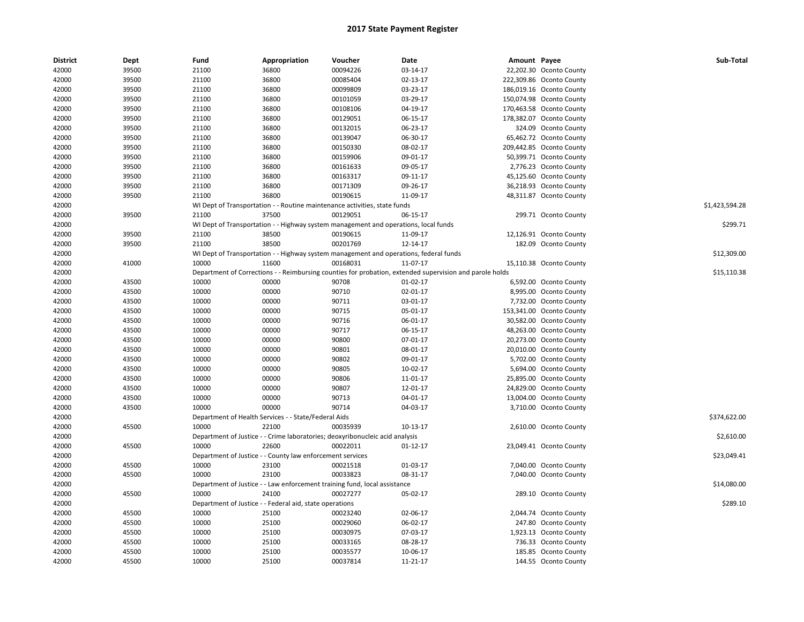| <b>District</b> | Dept  | Fund  | Appropriation                                             | Voucher                                                                               | Date                                                                                                    | Amount Payee |                          | Sub-Total      |
|-----------------|-------|-------|-----------------------------------------------------------|---------------------------------------------------------------------------------------|---------------------------------------------------------------------------------------------------------|--------------|--------------------------|----------------|
| 42000           | 39500 | 21100 | 36800                                                     | 00094226                                                                              | 03-14-17                                                                                                |              | 22,202.30 Oconto County  |                |
| 42000           | 39500 | 21100 | 36800                                                     | 00085404                                                                              | 02-13-17                                                                                                |              | 222,309.86 Oconto County |                |
| 42000           | 39500 | 21100 | 36800                                                     | 00099809                                                                              | 03-23-17                                                                                                |              | 186,019.16 Oconto County |                |
| 42000           | 39500 | 21100 | 36800                                                     | 00101059                                                                              | 03-29-17                                                                                                |              | 150,074.98 Oconto County |                |
| 42000           | 39500 | 21100 | 36800                                                     | 00108106                                                                              | 04-19-17                                                                                                |              | 170,463.58 Oconto County |                |
| 42000           | 39500 | 21100 | 36800                                                     | 00129051                                                                              | 06-15-17                                                                                                |              | 178,382.07 Oconto County |                |
| 42000           | 39500 | 21100 | 36800                                                     | 00132015                                                                              | 06-23-17                                                                                                |              | 324.09 Oconto County     |                |
| 42000           | 39500 | 21100 | 36800                                                     | 00139047                                                                              | 06-30-17                                                                                                |              | 65,462.72 Oconto County  |                |
| 42000           | 39500 | 21100 | 36800                                                     | 00150330                                                                              | 08-02-17                                                                                                |              | 209,442.85 Oconto County |                |
| 42000           | 39500 | 21100 | 36800                                                     | 00159906                                                                              | 09-01-17                                                                                                |              | 50,399.71 Oconto County  |                |
| 42000           | 39500 | 21100 | 36800                                                     | 00161633                                                                              | 09-05-17                                                                                                |              | 2,776.23 Oconto County   |                |
| 42000           | 39500 | 21100 | 36800                                                     | 00163317                                                                              | 09-11-17                                                                                                |              | 45,125.60 Oconto County  |                |
| 42000           | 39500 | 21100 | 36800                                                     | 00171309                                                                              | 09-26-17                                                                                                |              | 36,218.93 Oconto County  |                |
| 42000           | 39500 | 21100 | 36800                                                     | 00190615                                                                              | 11-09-17                                                                                                |              | 48,311.87 Oconto County  |                |
| 42000           |       |       |                                                           | WI Dept of Transportation - - Routine maintenance activities, state funds             |                                                                                                         |              |                          | \$1,423,594.28 |
| 42000           | 39500 | 21100 | 37500                                                     | 00129051                                                                              | 06-15-17                                                                                                |              | 299.71 Oconto County     |                |
| 42000           |       |       |                                                           | WI Dept of Transportation - - Highway system management and operations, local funds   |                                                                                                         |              |                          | \$299.71       |
| 42000           | 39500 | 21100 | 38500                                                     | 00190615                                                                              | 11-09-17                                                                                                |              | 12,126.91 Oconto County  |                |
| 42000           | 39500 | 21100 | 38500                                                     | 00201769                                                                              | 12-14-17                                                                                                |              | 182.09 Oconto County     |                |
| 42000           |       |       |                                                           | WI Dept of Transportation - - Highway system management and operations, federal funds |                                                                                                         |              |                          | \$12,309.00    |
| 42000           | 41000 | 10000 | 11600                                                     | 00168031                                                                              | 11-07-17                                                                                                |              | 15,110.38 Oconto County  |                |
| 42000           |       |       |                                                           |                                                                                       | Department of Corrections - - Reimbursing counties for probation, extended supervision and parole holds |              |                          | \$15,110.38    |
| 42000           | 43500 | 10000 | 00000                                                     | 90708                                                                                 | 01-02-17                                                                                                |              | 6,592.00 Oconto County   |                |
| 42000           | 43500 | 10000 | 00000                                                     | 90710                                                                                 | 02-01-17                                                                                                |              | 8,995.00 Oconto County   |                |
| 42000           | 43500 | 10000 | 00000                                                     | 90711                                                                                 | 03-01-17                                                                                                |              | 7,732.00 Oconto County   |                |
| 42000           | 43500 | 10000 | 00000                                                     | 90715                                                                                 | 05-01-17                                                                                                |              | 153,341.00 Oconto County |                |
| 42000           | 43500 | 10000 | 00000                                                     | 90716                                                                                 | 06-01-17                                                                                                |              | 30,582.00 Oconto County  |                |
| 42000           | 43500 | 10000 | 00000                                                     | 90717                                                                                 | 06-15-17                                                                                                |              | 48,263.00 Oconto County  |                |
| 42000           | 43500 | 10000 | 00000                                                     | 90800                                                                                 | 07-01-17                                                                                                |              | 20,273.00 Oconto County  |                |
| 42000           | 43500 | 10000 | 00000                                                     | 90801                                                                                 | 08-01-17                                                                                                |              | 20,010.00 Oconto County  |                |
| 42000           | 43500 | 10000 | 00000                                                     | 90802                                                                                 | 09-01-17                                                                                                |              | 5,702.00 Oconto County   |                |
| 42000           | 43500 | 10000 | 00000                                                     | 90805                                                                                 | 10-02-17                                                                                                |              | 5,694.00 Oconto County   |                |
| 42000           | 43500 | 10000 | 00000                                                     | 90806                                                                                 | 11-01-17                                                                                                |              | 25,895.00 Oconto County  |                |
| 42000           | 43500 | 10000 | 00000                                                     | 90807                                                                                 | 12-01-17                                                                                                |              | 24,829.00 Oconto County  |                |
| 42000           | 43500 | 10000 | 00000                                                     | 90713                                                                                 | 04-01-17                                                                                                |              | 13,004.00 Oconto County  |                |
| 42000           | 43500 | 10000 | 00000                                                     | 90714                                                                                 | 04-03-17                                                                                                |              | 3,710.00 Oconto County   |                |
| 42000           |       |       | Department of Health Services - - State/Federal Aids      |                                                                                       |                                                                                                         |              |                          | \$374,622.00   |
| 42000           | 45500 | 10000 | 22100                                                     | 00035939                                                                              | 10-13-17                                                                                                |              | 2,610.00 Oconto County   |                |
| 42000           |       |       |                                                           | Department of Justice - - Crime laboratories; deoxyribonucleic acid analysis          |                                                                                                         |              |                          | \$2,610.00     |
| 42000           | 45500 | 10000 | 22600                                                     | 00022011                                                                              | 01-12-17                                                                                                |              | 23,049.41 Oconto County  |                |
| 42000           |       |       | Department of Justice - - County law enforcement services |                                                                                       |                                                                                                         |              |                          | \$23,049.41    |
| 42000           | 45500 | 10000 | 23100                                                     | 00021518                                                                              | 01-03-17                                                                                                |              | 7,040.00 Oconto County   |                |
| 42000           | 45500 | 10000 | 23100                                                     | 00033823                                                                              | 08-31-17                                                                                                |              | 7,040.00 Oconto County   |                |
| 42000           |       |       |                                                           | Department of Justice - - Law enforcement training fund, local assistance             |                                                                                                         |              |                          | \$14,080.00    |
| 42000           | 45500 | 10000 | 24100                                                     | 00027277                                                                              | 05-02-17                                                                                                |              | 289.10 Oconto County     |                |
| 42000           |       |       | Department of Justice - - Federal aid, state operations   |                                                                                       |                                                                                                         |              |                          | \$289.10       |
| 42000           | 45500 | 10000 | 25100                                                     | 00023240                                                                              | 02-06-17                                                                                                |              | 2,044.74 Oconto County   |                |
| 42000           | 45500 | 10000 | 25100                                                     | 00029060                                                                              | 06-02-17                                                                                                |              | 247.80 Oconto County     |                |
| 42000           | 45500 | 10000 | 25100                                                     | 00030975                                                                              | 07-03-17                                                                                                |              | 1,923.13 Oconto County   |                |
| 42000           | 45500 | 10000 | 25100                                                     | 00033165                                                                              | 08-28-17                                                                                                |              | 736.33 Oconto County     |                |
| 42000           | 45500 | 10000 | 25100                                                     | 00035577                                                                              | 10-06-17                                                                                                |              | 185.85 Oconto County     |                |
| 42000           | 45500 | 10000 | 25100                                                     | 00037814                                                                              | 11-21-17                                                                                                |              | 144.55 Oconto County     |                |
|                 |       |       |                                                           |                                                                                       |                                                                                                         |              |                          |                |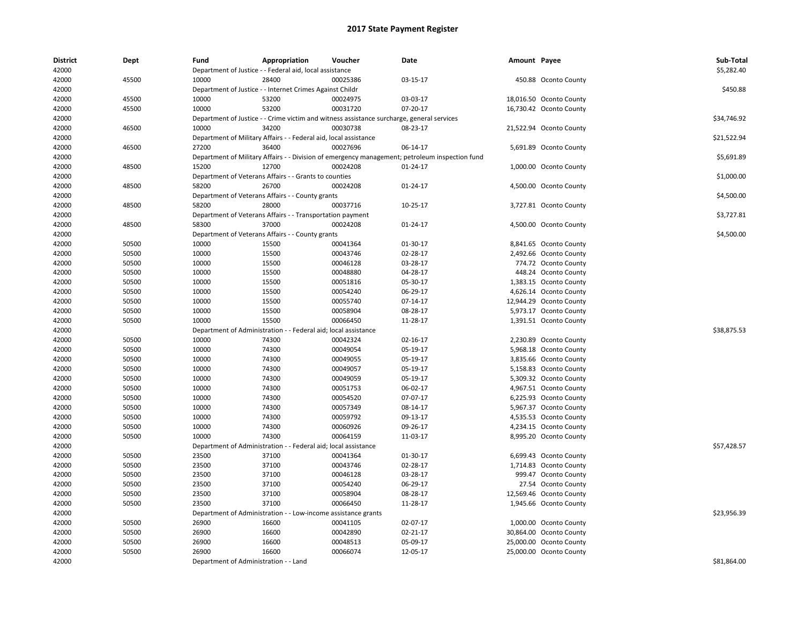| <b>District</b><br>42000 | Dept  | Fund                                  | Appropriation<br>Department of Justice - - Federal aid, local assistance                  | Voucher                         | Date                                                                                           | Amount Payee |                         | Sub-Total<br>\$5,282.40 |
|--------------------------|-------|---------------------------------------|-------------------------------------------------------------------------------------------|---------------------------------|------------------------------------------------------------------------------------------------|--------------|-------------------------|-------------------------|
| 42000                    | 45500 | 10000                                 | 28400                                                                                     | 00025386                        | 03-15-17                                                                                       |              | 450.88 Oconto County    |                         |
| 42000                    |       |                                       | Department of Justice - - Internet Crimes Against Childr                                  |                                 |                                                                                                |              |                         | \$450.88                |
| 42000                    | 45500 | 10000                                 | 53200                                                                                     | 00024975                        | 03-03-17                                                                                       |              | 18,016.50 Oconto County |                         |
| 42000                    | 45500 | 10000                                 | 53200                                                                                     | 00031720                        | 07-20-17                                                                                       |              | 16,730.42 Oconto County |                         |
| 42000                    |       |                                       | Department of Justice - - Crime victim and witness assistance surcharge, general services |                                 |                                                                                                |              |                         | \$34,746.92             |
| 42000                    | 46500 | 10000                                 | 34200                                                                                     | 00030738                        | 08-23-17                                                                                       |              | 21,522.94 Oconto County |                         |
| 42000                    |       |                                       | Department of Military Affairs - - Federal aid, local assistance                          |                                 |                                                                                                |              |                         | \$21,522.94             |
| 42000                    | 46500 | 27200                                 | 36400                                                                                     | 00027696                        | 06-14-17                                                                                       |              | 5,691.89 Oconto County  |                         |
| 42000                    |       |                                       |                                                                                           |                                 | Department of Military Affairs - - Division of emergency management; petroleum inspection fund |              |                         | \$5,691.89              |
| 42000                    | 48500 | 15200                                 | 12700                                                                                     | 00024208                        | 01-24-17                                                                                       |              | 1,000.00 Oconto County  |                         |
| 42000                    |       |                                       | Department of Veterans Affairs - - Grants to counties                                     |                                 |                                                                                                |              |                         | \$1,000.00              |
|                          |       | 58200                                 | 26700                                                                                     |                                 |                                                                                                |              |                         |                         |
| 42000                    | 48500 |                                       |                                                                                           | 00024208                        | 01-24-17                                                                                       |              | 4,500.00 Oconto County  |                         |
| 42000                    |       |                                       | Department of Veterans Affairs - - County grants                                          |                                 |                                                                                                |              |                         | \$4,500.00              |
| 42000                    | 48500 | 58200                                 | 28000                                                                                     | 00037716                        | 10-25-17                                                                                       |              | 3,727.81 Oconto County  |                         |
| 42000                    |       |                                       | Department of Veterans Affairs - - Transportation payment                                 |                                 |                                                                                                |              |                         | \$3,727.81              |
| 42000                    | 48500 | 58300                                 | 37000                                                                                     | 00024208                        | 01-24-17                                                                                       |              | 4,500.00 Oconto County  |                         |
| 42000                    |       |                                       | Department of Veterans Affairs - - County grants                                          |                                 |                                                                                                |              |                         | \$4,500.00              |
| 42000                    | 50500 | 10000                                 | 15500                                                                                     | 00041364                        | 01-30-17                                                                                       |              | 8,841.65 Oconto County  |                         |
| 42000                    | 50500 | 10000                                 | 15500                                                                                     | 00043746                        | 02-28-17                                                                                       |              | 2,492.66 Oconto County  |                         |
| 42000                    | 50500 | 10000                                 | 15500                                                                                     | 00046128                        | 03-28-17                                                                                       |              | 774.72 Oconto County    |                         |
| 42000                    | 50500 | 10000                                 | 15500                                                                                     | 00048880                        | 04-28-17                                                                                       |              | 448.24 Oconto County    |                         |
| 42000                    | 50500 | 10000                                 | 15500                                                                                     | 00051816                        | 05-30-17                                                                                       |              | 1,383.15 Oconto County  |                         |
| 42000                    | 50500 | 10000                                 | 15500                                                                                     | 00054240                        | 06-29-17                                                                                       |              | 4,626.14 Oconto County  |                         |
| 42000                    | 50500 | 10000                                 | 15500                                                                                     | 00055740                        | 07-14-17                                                                                       |              | 12,944.29 Oconto County |                         |
| 42000                    | 50500 | 10000                                 | 15500                                                                                     | 00058904                        | 08-28-17                                                                                       |              | 5,973.17 Oconto County  |                         |
| 42000                    | 50500 | 10000                                 | 15500                                                                                     | 00066450                        | 11-28-17                                                                                       |              | 1,391.51 Oconto County  |                         |
| 42000                    |       | Department of Administration          |                                                                                           | - Federal aid; local assistance |                                                                                                |              |                         | \$38,875.53             |
| 42000                    | 50500 | 10000                                 | 74300                                                                                     | 00042324                        | 02-16-17                                                                                       |              | 2,230.89 Oconto County  |                         |
| 42000                    | 50500 | 10000                                 | 74300                                                                                     | 00049054                        | 05-19-17                                                                                       |              | 5,968.18 Oconto County  |                         |
| 42000                    | 50500 | 10000                                 | 74300                                                                                     | 00049055                        | 05-19-17                                                                                       |              | 3,835.66 Oconto County  |                         |
| 42000                    | 50500 | 10000                                 | 74300                                                                                     | 00049057                        | 05-19-17                                                                                       |              | 5,158.83 Oconto County  |                         |
| 42000                    | 50500 | 10000                                 | 74300                                                                                     | 00049059                        | 05-19-17                                                                                       |              | 5,309.32 Oconto County  |                         |
| 42000                    | 50500 | 10000                                 | 74300                                                                                     | 00051753                        | 06-02-17                                                                                       |              | 4,967.51 Oconto County  |                         |
| 42000                    | 50500 | 10000                                 | 74300                                                                                     | 00054520                        | 07-07-17                                                                                       |              | 6,225.93 Oconto County  |                         |
| 42000                    | 50500 | 10000                                 | 74300                                                                                     | 00057349                        | 08-14-17                                                                                       |              | 5,967.37 Oconto County  |                         |
| 42000                    | 50500 | 10000                                 | 74300                                                                                     | 00059792                        | 09-13-17                                                                                       |              | 4,535.53 Oconto County  |                         |
| 42000                    | 50500 | 10000                                 | 74300                                                                                     | 00060926                        | 09-26-17                                                                                       |              | 4,234.15 Oconto County  |                         |
| 42000                    | 50500 | 10000                                 | 74300                                                                                     | 00064159                        | 11-03-17                                                                                       |              | 8,995.20 Oconto County  |                         |
| 42000                    |       |                                       | Department of Administration - - Federal aid; local assistance                            |                                 |                                                                                                |              |                         | \$57,428.57             |
| 42000                    | 50500 | 23500                                 | 37100                                                                                     | 00041364                        | 01-30-17                                                                                       |              | 6,699.43 Oconto County  |                         |
| 42000                    | 50500 | 23500                                 | 37100                                                                                     | 00043746                        | 02-28-17                                                                                       |              | 1,714.83 Oconto County  |                         |
| 42000                    | 50500 | 23500                                 | 37100                                                                                     | 00046128                        | 03-28-17                                                                                       |              | 999.47 Oconto County    |                         |
| 42000                    | 50500 | 23500                                 | 37100                                                                                     | 00054240                        | 06-29-17                                                                                       |              | 27.54 Oconto County     |                         |
| 42000                    | 50500 | 23500                                 | 37100                                                                                     | 00058904                        | 08-28-17                                                                                       |              | 12,569.46 Oconto County |                         |
| 42000                    | 50500 | 23500                                 | 37100                                                                                     | 00066450                        | 11-28-17                                                                                       |              | 1,945.66 Oconto County  |                         |
| 42000                    |       | Department of Administration          |                                                                                           | - Low-income assistance grants  |                                                                                                |              |                         | \$23,956.39             |
| 42000                    | 50500 | 26900                                 | 16600                                                                                     | 00041105                        | 02-07-17                                                                                       |              | 1,000.00 Oconto County  |                         |
| 42000                    | 50500 | 26900                                 | 16600                                                                                     | 00042890                        | $02 - 21 - 17$                                                                                 |              | 30,864.00 Oconto County |                         |
| 42000                    | 50500 | 26900                                 | 16600                                                                                     | 00048513                        | 05-09-17                                                                                       |              | 25,000.00 Oconto County |                         |
| 42000                    | 50500 | 26900                                 | 16600                                                                                     | 00066074                        | 12-05-17                                                                                       |              | 25,000.00 Oconto County |                         |
| 42000                    |       | Department of Administration - - Land |                                                                                           |                                 |                                                                                                |              |                         | \$81.864.00             |
|                          |       |                                       |                                                                                           |                                 |                                                                                                |              |                         |                         |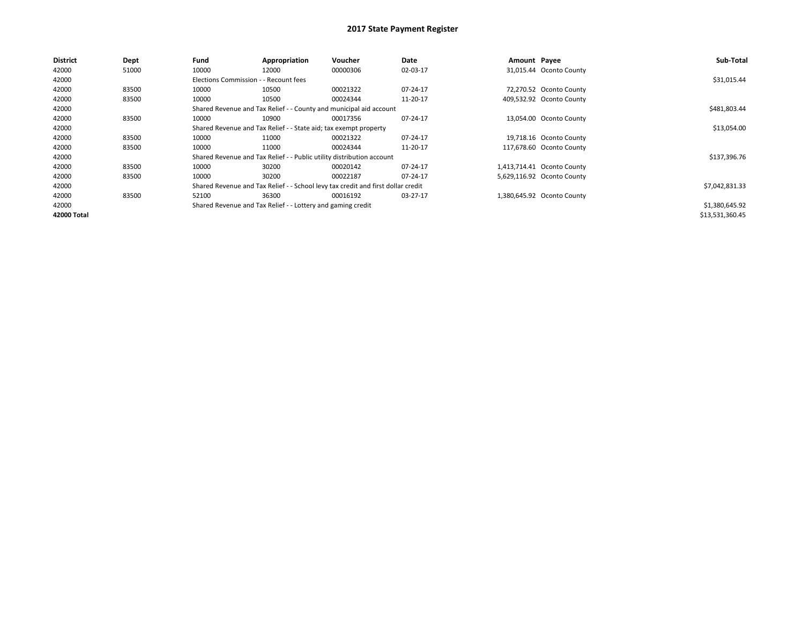| <b>District</b> | Dept  | Fund                                                             | Appropriation                                                                    | Voucher     | Date     | Amount Payee |                            | Sub-Total       |
|-----------------|-------|------------------------------------------------------------------|----------------------------------------------------------------------------------|-------------|----------|--------------|----------------------------|-----------------|
| 42000           | 51000 | 10000                                                            | 12000                                                                            | 00000306    | 02-03-17 |              | 31,015.44 Oconto County    |                 |
| 42000           |       | Elections Commission - - Recount fees                            |                                                                                  |             |          |              |                            | \$31,015.44     |
| 42000           | 83500 | 10000                                                            | 10500                                                                            | 00021322    | 07-24-17 |              | 72,270.52 Oconto County    |                 |
| 42000           | 83500 | 10000                                                            | 10500                                                                            | 00024344    | 11-20-17 |              | 409,532.92 Oconto County   |                 |
| 42000           |       |                                                                  | Shared Revenue and Tax Relief - - County and municipal aid account               |             |          |              |                            | \$481,803.44    |
| 42000           | 83500 | 10000                                                            | 10900                                                                            | 00017356    | 07-24-17 |              | 13,054.00 Oconto County    |                 |
| 42000           |       | Shared Revenue and Tax Relief - - State aid; tax exempt property |                                                                                  | \$13,054.00 |          |              |                            |                 |
| 42000           | 83500 | 10000                                                            | 11000                                                                            | 00021322    | 07-24-17 |              | 19,718.16 Oconto County    |                 |
| 42000           | 83500 | 10000                                                            | 11000                                                                            | 00024344    | 11-20-17 |              | 117,678.60 Oconto County   |                 |
| 42000           |       |                                                                  | Shared Revenue and Tax Relief - - Public utility distribution account            |             |          |              |                            | \$137,396.76    |
| 42000           | 83500 | 10000                                                            | 30200                                                                            | 00020142    | 07-24-17 |              | 1,413,714.41 Oconto County |                 |
| 42000           | 83500 | 10000                                                            | 30200                                                                            | 00022187    | 07-24-17 |              | 5,629,116.92 Oconto County |                 |
| 42000           |       |                                                                  | Shared Revenue and Tax Relief - - School levy tax credit and first dollar credit |             |          |              |                            | \$7,042,831.33  |
| 42000           | 83500 | 52100                                                            | 36300                                                                            | 00016192    | 03-27-17 |              | 1,380,645.92 Oconto County |                 |
| 42000           |       |                                                                  | Shared Revenue and Tax Relief - - Lottery and gaming credit                      |             |          |              |                            | \$1,380,645.92  |
| 42000 Total     |       |                                                                  |                                                                                  |             |          |              |                            | \$13,531,360.45 |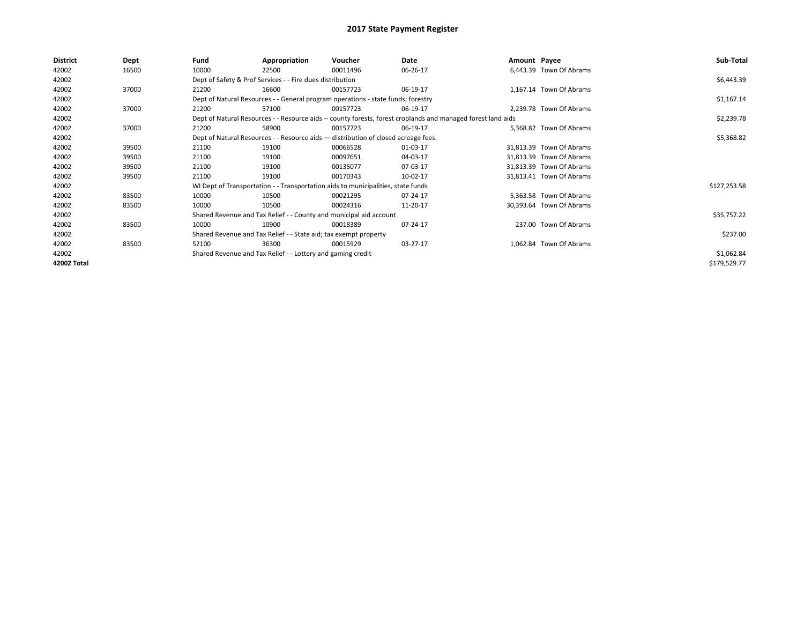| <b>District</b> | Dept  | Fund                                                                             | Appropriation                                                                      | Voucher    | Date                                                                                                         | Amount Payee |                          | Sub-Total    |  |  |
|-----------------|-------|----------------------------------------------------------------------------------|------------------------------------------------------------------------------------|------------|--------------------------------------------------------------------------------------------------------------|--------------|--------------------------|--------------|--|--|
| 42002           | 16500 | 10000                                                                            | 22500                                                                              | 00011496   | 06-26-17                                                                                                     |              | 6,443.39 Town Of Abrams  |              |  |  |
| 42002           |       |                                                                                  | Dept of Safety & Prof Services - - Fire dues distribution                          |            |                                                                                                              |              |                          | \$6,443.39   |  |  |
| 42002           | 37000 | 21200                                                                            | 16600                                                                              | 00157723   | 06-19-17                                                                                                     |              | 1,167.14 Town Of Abrams  |              |  |  |
| 42002           |       | Dept of Natural Resources - - General program operations - state funds; forestry |                                                                                    | \$1,167.14 |                                                                                                              |              |                          |              |  |  |
| 42002           | 37000 | 21200                                                                            | 57100                                                                              | 00157723   | 06-19-17                                                                                                     |              | 2,239.78 Town Of Abrams  |              |  |  |
| 42002           |       |                                                                                  |                                                                                    |            | Dept of Natural Resources - - Resource aids -- county forests, forest croplands and managed forest land aids |              |                          | \$2,239.78   |  |  |
| 42002           | 37000 | 21200                                                                            | 58900                                                                              | 00157723   | 06-19-17                                                                                                     |              | 5,368.82 Town Of Abrams  |              |  |  |
| 42002           |       |                                                                                  | Dept of Natural Resources - - Resource aids - distribution of closed acreage fees. |            |                                                                                                              |              |                          |              |  |  |
| 42002           | 39500 | 21100                                                                            | 19100                                                                              | 00066528   | 01-03-17                                                                                                     |              | 31,813.39 Town Of Abrams |              |  |  |
| 42002           | 39500 | 21100                                                                            | 19100                                                                              | 00097651   | 04-03-17                                                                                                     |              | 31,813.39 Town Of Abrams |              |  |  |
| 42002           | 39500 | 21100                                                                            | 19100                                                                              | 00135077   | 07-03-17                                                                                                     |              | 31,813.39 Town Of Abrams |              |  |  |
| 42002           | 39500 | 21100                                                                            | 19100                                                                              | 00170343   | 10-02-17                                                                                                     |              | 31,813.41 Town Of Abrams |              |  |  |
| 42002           |       |                                                                                  | WI Dept of Transportation - - Transportation aids to municipalities, state funds   |            |                                                                                                              |              |                          | \$127,253.58 |  |  |
| 42002           | 83500 | 10000                                                                            | 10500                                                                              | 00021295   | 07-24-17                                                                                                     |              | 5,363.58 Town Of Abrams  |              |  |  |
| 42002           | 83500 | 10000                                                                            | 10500                                                                              | 00024316   | 11-20-17                                                                                                     |              | 30,393.64 Town Of Abrams |              |  |  |
| 42002           |       |                                                                                  | Shared Revenue and Tax Relief - - County and municipal aid account                 |            |                                                                                                              |              |                          | \$35,757.22  |  |  |
| 42002           | 83500 | 10000                                                                            | 10900                                                                              | 00018389   | 07-24-17                                                                                                     |              | 237.00 Town Of Abrams    |              |  |  |
| 42002           |       |                                                                                  | Shared Revenue and Tax Relief - - State aid; tax exempt property                   |            |                                                                                                              |              |                          | \$237.00     |  |  |
| 42002           | 83500 | 52100                                                                            | 36300                                                                              | 00015929   | 03-27-17                                                                                                     |              | 1,062.84 Town Of Abrams  |              |  |  |
| 42002           |       |                                                                                  | Shared Revenue and Tax Relief - - Lottery and gaming credit                        |            |                                                                                                              |              |                          | \$1,062.84   |  |  |
| 42002 Total     |       |                                                                                  |                                                                                    |            |                                                                                                              |              |                          | \$179,529.77 |  |  |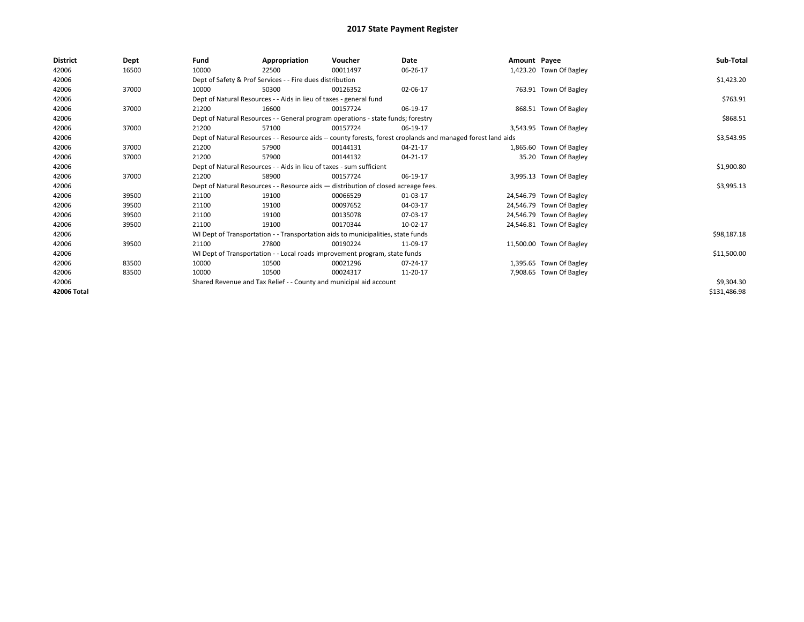| District    | Dept  | Fund  | Appropriation                                                                                                | Voucher  | Date       | Amount Payee |                          | Sub-Total    |
|-------------|-------|-------|--------------------------------------------------------------------------------------------------------------|----------|------------|--------------|--------------------------|--------------|
| 42006       | 16500 | 10000 | 22500                                                                                                        | 00011497 | 06-26-17   |              | 1,423.20 Town Of Bagley  |              |
| 42006       |       |       | Dept of Safety & Prof Services - - Fire dues distribution                                                    |          |            |              |                          | \$1,423.20   |
| 42006       | 37000 | 10000 | 50300                                                                                                        | 00126352 | 02-06-17   |              | 763.91 Town Of Bagley    |              |
| 42006       |       |       | Dept of Natural Resources - - Aids in lieu of taxes - general fund                                           |          |            |              |                          | \$763.91     |
| 42006       | 37000 | 21200 | 16600                                                                                                        | 00157724 | 06-19-17   |              | 868.51 Town Of Bagley    |              |
| 42006       |       |       | Dept of Natural Resources - - General program operations - state funds; forestry                             |          |            |              |                          | \$868.51     |
| 42006       | 37000 | 21200 | 57100                                                                                                        | 00157724 | 06-19-17   |              | 3,543.95 Town Of Bagley  |              |
| 42006       |       |       | Dept of Natural Resources - - Resource aids -- county forests, forest croplands and managed forest land aids |          |            |              |                          | \$3,543.95   |
| 42006       | 37000 | 21200 | 57900                                                                                                        | 00144131 | 04-21-17   |              | 1,865.60 Town Of Bagley  |              |
| 42006       | 37000 | 21200 | 57900                                                                                                        | 00144132 | 04-21-17   |              | 35.20 Town Of Bagley     |              |
| 42006       |       |       | Dept of Natural Resources - - Aids in lieu of taxes - sum sufficient                                         |          | \$1,900.80 |              |                          |              |
| 42006       | 37000 | 21200 | 58900                                                                                                        | 00157724 | 06-19-17   |              | 3,995.13 Town Of Bagley  |              |
| 42006       |       |       | Dept of Natural Resources - - Resource aids - distribution of closed acreage fees.                           |          |            |              |                          | \$3,995.13   |
| 42006       | 39500 | 21100 | 19100                                                                                                        | 00066529 | 01-03-17   |              | 24,546.79 Town Of Bagley |              |
| 42006       | 39500 | 21100 | 19100                                                                                                        | 00097652 | 04-03-17   |              | 24,546.79 Town Of Bagley |              |
| 42006       | 39500 | 21100 | 19100                                                                                                        | 00135078 | 07-03-17   |              | 24,546.79 Town Of Bagley |              |
| 42006       | 39500 | 21100 | 19100                                                                                                        | 00170344 | 10-02-17   |              | 24,546.81 Town Of Bagley |              |
| 42006       |       |       | WI Dept of Transportation - - Transportation aids to municipalities, state funds                             |          |            |              |                          | \$98,187.18  |
| 42006       | 39500 | 21100 | 27800                                                                                                        | 00190224 | 11-09-17   |              | 11,500.00 Town Of Bagley |              |
| 42006       |       |       | WI Dept of Transportation - - Local roads improvement program, state funds                                   |          |            |              |                          | \$11,500.00  |
| 42006       | 83500 | 10000 | 10500                                                                                                        | 00021296 | 07-24-17   |              | 1,395.65 Town Of Bagley  |              |
| 42006       | 83500 | 10000 | 10500                                                                                                        | 00024317 | 11-20-17   |              | 7,908.65 Town Of Bagley  |              |
| 42006       |       |       | Shared Revenue and Tax Relief - - County and municipal aid account                                           |          |            |              |                          | \$9,304.30   |
| 42006 Total |       |       |                                                                                                              |          |            |              |                          | \$131,486.98 |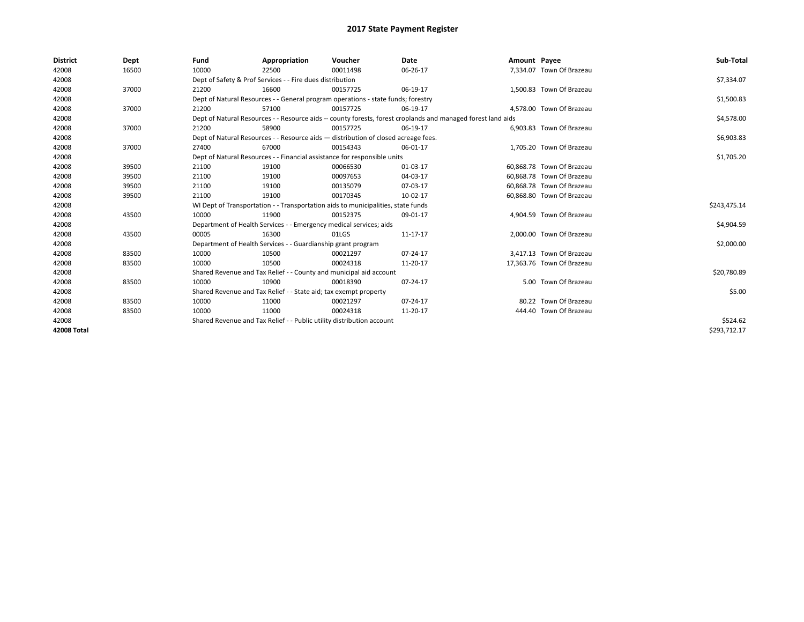| <b>District</b>    | Dept  | Fund                                                             | Appropriation                                                                      | Voucher  | Date                                                                                                         | Amount Payee |                           | Sub-Total    |  |  |  |
|--------------------|-------|------------------------------------------------------------------|------------------------------------------------------------------------------------|----------|--------------------------------------------------------------------------------------------------------------|--------------|---------------------------|--------------|--|--|--|
| 42008              | 16500 | 10000                                                            | 22500                                                                              | 00011498 | 06-26-17                                                                                                     |              | 7,334.07 Town Of Brazeau  |              |  |  |  |
| 42008              |       |                                                                  | Dept of Safety & Prof Services - - Fire dues distribution                          |          |                                                                                                              |              |                           | \$7,334.07   |  |  |  |
| 42008              | 37000 | 21200                                                            | 16600                                                                              | 00157725 | 06-19-17                                                                                                     |              | 1,500.83 Town Of Brazeau  |              |  |  |  |
| 42008              |       |                                                                  | Dept of Natural Resources - - General program operations - state funds; forestry   |          |                                                                                                              |              |                           | \$1,500.83   |  |  |  |
| 42008              | 37000 | 21200                                                            | 57100                                                                              | 00157725 | 06-19-17                                                                                                     |              | 4,578.00 Town Of Brazeau  |              |  |  |  |
| 42008              |       |                                                                  |                                                                                    |          | Dept of Natural Resources - - Resource aids -- county forests, forest croplands and managed forest land aids |              |                           | \$4,578.00   |  |  |  |
| 42008              | 37000 | 21200                                                            | 58900                                                                              | 00157725 | 06-19-17                                                                                                     |              | 6,903.83 Town Of Brazeau  |              |  |  |  |
| 42008              |       |                                                                  | Dept of Natural Resources - - Resource aids - distribution of closed acreage fees. |          |                                                                                                              |              |                           | \$6,903.83   |  |  |  |
| 42008              | 37000 | 27400                                                            | 67000                                                                              | 00154343 | 06-01-17                                                                                                     |              | 1,705.20 Town Of Brazeau  |              |  |  |  |
| 42008              |       |                                                                  | Dept of Natural Resources - - Financial assistance for responsible units           |          |                                                                                                              |              |                           |              |  |  |  |
| 42008              | 39500 | 21100                                                            | 19100                                                                              | 00066530 | 01-03-17                                                                                                     |              | 60,868.78 Town Of Brazeau |              |  |  |  |
| 42008              | 39500 | 21100                                                            | 19100                                                                              | 00097653 | 04-03-17                                                                                                     |              | 60.868.78 Town Of Brazeau |              |  |  |  |
| 42008              | 39500 | 21100                                                            | 19100                                                                              | 00135079 | 07-03-17                                                                                                     |              | 60,868.78 Town Of Brazeau |              |  |  |  |
| 42008              | 39500 | 21100                                                            | 19100                                                                              | 00170345 | 10-02-17                                                                                                     |              | 60,868.80 Town Of Brazeau |              |  |  |  |
| 42008              |       |                                                                  | WI Dept of Transportation - - Transportation aids to municipalities, state funds   |          |                                                                                                              |              |                           | \$243,475.14 |  |  |  |
| 42008              | 43500 | 10000                                                            | 11900                                                                              | 00152375 | 09-01-17                                                                                                     |              | 4,904.59 Town Of Brazeau  |              |  |  |  |
| 42008              |       |                                                                  | Department of Health Services - - Emergency medical services; aids                 |          |                                                                                                              |              |                           | \$4,904.59   |  |  |  |
| 42008              | 43500 | 00005                                                            | 16300                                                                              | 01LGS    | 11-17-17                                                                                                     |              | 2,000.00 Town Of Brazeau  |              |  |  |  |
| 42008              |       |                                                                  | Department of Health Services - - Guardianship grant program                       |          |                                                                                                              |              |                           | \$2,000.00   |  |  |  |
| 42008              | 83500 | 10000                                                            | 10500                                                                              | 00021297 | 07-24-17                                                                                                     |              | 3,417.13 Town Of Brazeau  |              |  |  |  |
| 42008              | 83500 | 10000                                                            | 10500                                                                              | 00024318 | 11-20-17                                                                                                     |              | 17,363.76 Town Of Brazeau |              |  |  |  |
| 42008              |       |                                                                  | Shared Revenue and Tax Relief - - County and municipal aid account                 |          |                                                                                                              |              |                           | \$20,780.89  |  |  |  |
| 42008              | 83500 | 10000                                                            | 10900                                                                              | 00018390 | 07-24-17                                                                                                     |              | 5.00 Town Of Brazeau      |              |  |  |  |
| 42008              |       | Shared Revenue and Tax Relief - - State aid; tax exempt property |                                                                                    | \$5.00   |                                                                                                              |              |                           |              |  |  |  |
| 42008              | 83500 | 10000                                                            | 11000                                                                              | 00021297 | 07-24-17                                                                                                     |              | 80.22 Town Of Brazeau     |              |  |  |  |
| 42008              | 83500 | 10000                                                            | 11000                                                                              | 00024318 | 11-20-17                                                                                                     |              | 444.40 Town Of Brazeau    |              |  |  |  |
| 42008              |       |                                                                  | Shared Revenue and Tax Relief - - Public utility distribution account              |          |                                                                                                              |              |                           | \$524.62     |  |  |  |
| <b>42008 Total</b> |       |                                                                  |                                                                                    |          |                                                                                                              |              |                           | \$293,712.17 |  |  |  |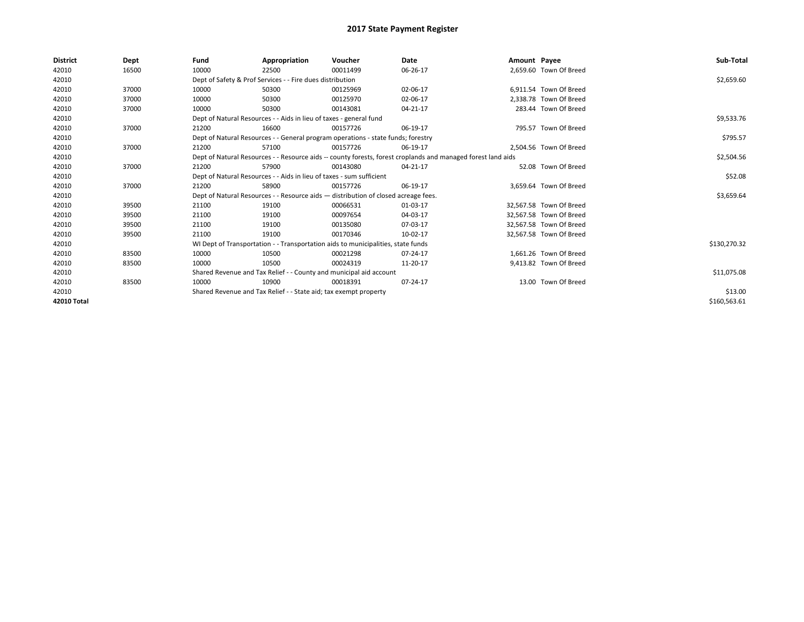| <b>District</b> | Dept  | Fund                                                                 | Appropriation                                                                                                | Voucher     | Date       | Amount Payee |                         | Sub-Total    |
|-----------------|-------|----------------------------------------------------------------------|--------------------------------------------------------------------------------------------------------------|-------------|------------|--------------|-------------------------|--------------|
| 42010           | 16500 | 10000                                                                | 22500                                                                                                        | 00011499    | 06-26-17   |              | 2,659.60 Town Of Breed  |              |
| 42010           |       |                                                                      | Dept of Safety & Prof Services - - Fire dues distribution                                                    |             |            |              |                         | \$2,659.60   |
| 42010           | 37000 | 10000                                                                | 50300                                                                                                        | 00125969    | 02-06-17   |              | 6.911.54 Town Of Breed  |              |
| 42010           | 37000 | 10000                                                                | 50300                                                                                                        | 00125970    | 02-06-17   |              | 2,338.78 Town Of Breed  |              |
| 42010           | 37000 | 10000                                                                | 50300                                                                                                        | 00143081    | 04-21-17   |              | 283.44 Town Of Breed    |              |
| 42010           |       |                                                                      | Dept of Natural Resources - - Aids in lieu of taxes - general fund                                           |             |            |              |                         | \$9,533.76   |
| 42010           | 37000 | 21200                                                                | 16600                                                                                                        | 00157726    | 06-19-17   |              | 795.57 Town Of Breed    |              |
| 42010           |       |                                                                      | Dept of Natural Resources - - General program operations - state funds; forestry                             |             |            |              |                         | \$795.57     |
| 42010           | 37000 | 21200                                                                | 57100                                                                                                        | 00157726    | 06-19-17   |              | 2,504.56 Town Of Breed  |              |
| 42010           |       |                                                                      | Dept of Natural Resources - - Resource aids -- county forests, forest croplands and managed forest land aids |             | \$2,504.56 |              |                         |              |
| 42010           | 37000 | 21200                                                                | 57900                                                                                                        | 00143080    | 04-21-17   |              | 52.08 Town Of Breed     |              |
| 42010           |       | Dept of Natural Resources - - Aids in lieu of taxes - sum sufficient |                                                                                                              | \$52.08     |            |              |                         |              |
| 42010           | 37000 | 21200                                                                | 58900                                                                                                        | 00157726    | 06-19-17   |              | 3,659.64 Town Of Breed  |              |
| 42010           |       |                                                                      | Dept of Natural Resources - - Resource aids - distribution of closed acreage fees.                           |             |            |              |                         | \$3,659.64   |
| 42010           | 39500 | 21100                                                                | 19100                                                                                                        | 00066531    | 01-03-17   |              | 32,567.58 Town Of Breed |              |
| 42010           | 39500 | 21100                                                                | 19100                                                                                                        | 00097654    | 04-03-17   |              | 32,567.58 Town Of Breed |              |
| 42010           | 39500 | 21100                                                                | 19100                                                                                                        | 00135080    | 07-03-17   |              | 32,567.58 Town Of Breed |              |
| 42010           | 39500 | 21100                                                                | 19100                                                                                                        | 00170346    | 10-02-17   |              | 32,567.58 Town Of Breed |              |
| 42010           |       |                                                                      | WI Dept of Transportation - - Transportation aids to municipalities, state funds                             |             |            |              |                         | \$130,270.32 |
| 42010           | 83500 | 10000                                                                | 10500                                                                                                        | 00021298    | 07-24-17   |              | 1,661.26 Town Of Breed  |              |
| 42010           | 83500 | 10000                                                                | 10500                                                                                                        | 00024319    | 11-20-17   |              | 9,413.82 Town Of Breed  |              |
| 42010           |       | Shared Revenue and Tax Relief - - County and municipal aid account   |                                                                                                              | \$11,075.08 |            |              |                         |              |
| 42010           | 83500 | 10000                                                                | 10900                                                                                                        | 00018391    | 07-24-17   |              | 13.00 Town Of Breed     |              |
| 42010           |       |                                                                      | Shared Revenue and Tax Relief - - State aid; tax exempt property                                             |             |            |              |                         | \$13.00      |
| 42010 Total     |       |                                                                      |                                                                                                              |             |            |              |                         | \$160,563.61 |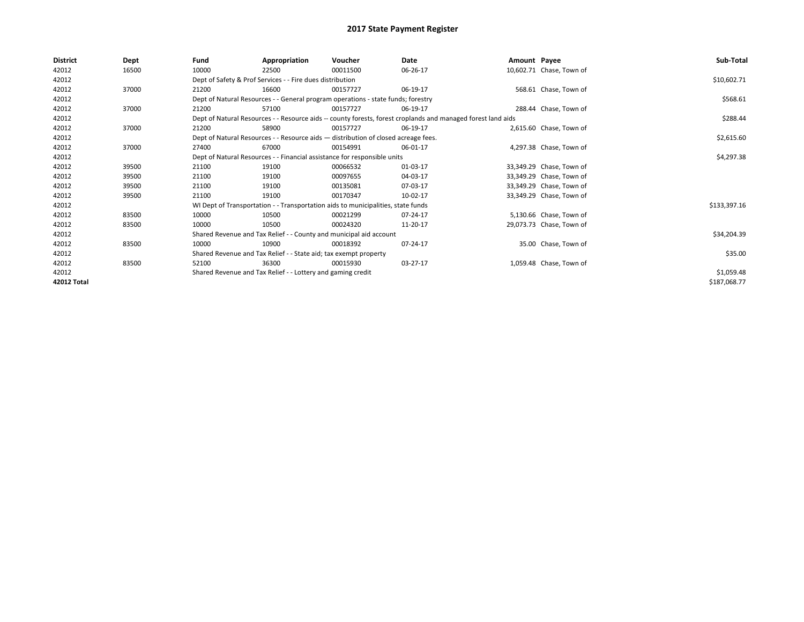| <b>District</b> | Dept  | Fund                                                                               | Appropriation                                                                    | Voucher    | Date                                                                                                         | Amount Payee |                          | Sub-Total    |
|-----------------|-------|------------------------------------------------------------------------------------|----------------------------------------------------------------------------------|------------|--------------------------------------------------------------------------------------------------------------|--------------|--------------------------|--------------|
| 42012           | 16500 | 10000                                                                              | 22500                                                                            | 00011500   | 06-26-17                                                                                                     |              | 10,602.71 Chase, Town of |              |
| 42012           |       |                                                                                    | Dept of Safety & Prof Services - - Fire dues distribution                        |            |                                                                                                              |              |                          | \$10,602.71  |
| 42012           | 37000 | 21200                                                                              | 16600                                                                            | 00157727   | 06-19-17                                                                                                     |              | 568.61 Chase, Town of    |              |
| 42012           |       | Dept of Natural Resources - - General program operations - state funds; forestry   |                                                                                  | \$568.61   |                                                                                                              |              |                          |              |
| 42012           | 37000 | 21200                                                                              | 57100                                                                            | 00157727   | 06-19-17                                                                                                     |              | 288.44 Chase, Town of    |              |
| 42012           |       |                                                                                    |                                                                                  |            | Dept of Natural Resources - - Resource aids -- county forests, forest croplands and managed forest land aids |              |                          | \$288.44     |
| 42012           | 37000 | 21200                                                                              | 58900                                                                            | 00157727   | 06-19-17                                                                                                     |              | 2,615.60 Chase, Town of  |              |
| 42012           |       | Dept of Natural Resources - - Resource aids - distribution of closed acreage fees. |                                                                                  | \$2,615.60 |                                                                                                              |              |                          |              |
| 42012           | 37000 | 27400                                                                              | 67000                                                                            | 00154991   | 06-01-17                                                                                                     |              | 4,297.38 Chase, Town of  |              |
| 42012           |       | Dept of Natural Resources - - Financial assistance for responsible units           |                                                                                  | \$4,297.38 |                                                                                                              |              |                          |              |
| 42012           | 39500 | 21100                                                                              | 19100                                                                            | 00066532   | 01-03-17                                                                                                     |              | 33,349.29 Chase, Town of |              |
| 42012           | 39500 | 21100                                                                              | 19100                                                                            | 00097655   | 04-03-17                                                                                                     |              | 33,349.29 Chase, Town of |              |
| 42012           | 39500 | 21100                                                                              | 19100                                                                            | 00135081   | 07-03-17                                                                                                     |              | 33,349.29 Chase, Town of |              |
| 42012           | 39500 | 21100                                                                              | 19100                                                                            | 00170347   | 10-02-17                                                                                                     |              | 33,349.29 Chase, Town of |              |
| 42012           |       |                                                                                    | WI Dept of Transportation - - Transportation aids to municipalities, state funds |            |                                                                                                              |              |                          | \$133,397.16 |
| 42012           | 83500 | 10000                                                                              | 10500                                                                            | 00021299   | 07-24-17                                                                                                     |              | 5,130.66 Chase, Town of  |              |
| 42012           | 83500 | 10000                                                                              | 10500                                                                            | 00024320   | 11-20-17                                                                                                     |              | 29,073.73 Chase, Town of |              |
| 42012           |       |                                                                                    | Shared Revenue and Tax Relief - - County and municipal aid account               |            |                                                                                                              |              |                          | \$34,204.39  |
| 42012           | 83500 | 10000                                                                              | 10900                                                                            | 00018392   | 07-24-17                                                                                                     |              | 35.00 Chase, Town of     |              |
| 42012           |       |                                                                                    | Shared Revenue and Tax Relief - - State aid; tax exempt property                 |            |                                                                                                              |              |                          | \$35.00      |
| 42012           | 83500 | 52100                                                                              | 36300                                                                            | 00015930   | 03-27-17                                                                                                     |              | 1,059.48 Chase, Town of  |              |
| 42012           |       |                                                                                    | Shared Revenue and Tax Relief - - Lottery and gaming credit                      |            |                                                                                                              |              |                          | \$1,059.48   |
| 42012 Total     |       |                                                                                    |                                                                                  |            |                                                                                                              |              |                          | \$187,068.77 |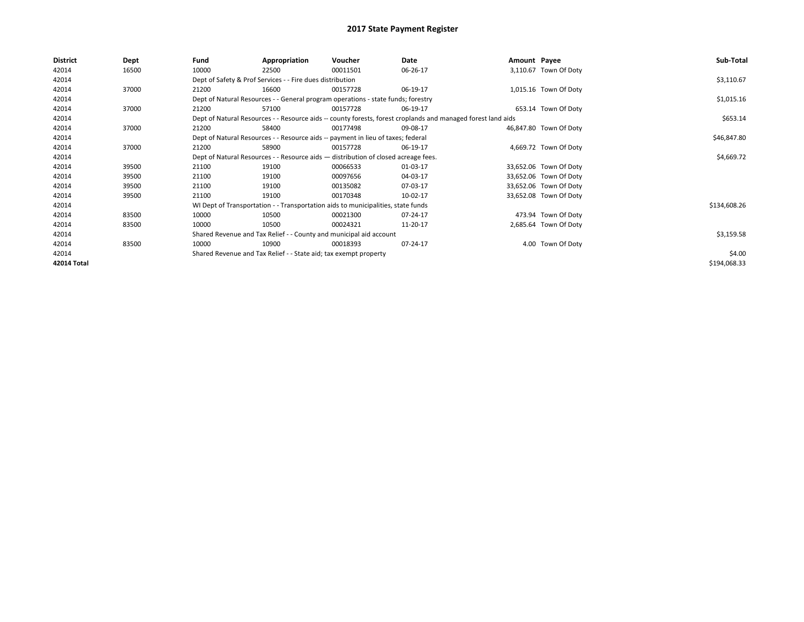| District    | <b>Dept</b> | Fund                                                                               | Appropriation                                                                    | Voucher    | Date                                                                                                         | Amount Payee |                        | Sub-Total    |
|-------------|-------------|------------------------------------------------------------------------------------|----------------------------------------------------------------------------------|------------|--------------------------------------------------------------------------------------------------------------|--------------|------------------------|--------------|
| 42014       | 16500       | 10000                                                                              | 22500                                                                            | 00011501   | 06-26-17                                                                                                     |              | 3,110.67 Town Of Doty  |              |
| 42014       |             |                                                                                    | Dept of Safety & Prof Services - - Fire dues distribution                        |            |                                                                                                              |              |                        | \$3,110.67   |
| 42014       | 37000       | 21200                                                                              | 16600                                                                            | 00157728   | 06-19-17                                                                                                     |              | 1,015.16 Town Of Doty  |              |
| 42014       |             |                                                                                    | Dept of Natural Resources - - General program operations - state funds; forestry |            |                                                                                                              |              |                        | \$1,015.16   |
| 42014       | 37000       | 21200                                                                              | 57100                                                                            | 00157728   | 06-19-17                                                                                                     |              | 653.14 Town Of Doty    |              |
| 42014       |             |                                                                                    |                                                                                  |            | Dept of Natural Resources - - Resource aids -- county forests, forest croplands and managed forest land aids |              |                        | \$653.14     |
| 42014       | 37000       | 21200                                                                              | 58400                                                                            | 00177498   | 09-08-17                                                                                                     |              | 46,847.80 Town Of Doty |              |
| 42014       |             |                                                                                    | Dept of Natural Resources - - Resource aids -- payment in lieu of taxes; federal |            | \$46,847.80                                                                                                  |              |                        |              |
| 42014       | 37000       | 21200                                                                              | 58900                                                                            | 00157728   | 06-19-17                                                                                                     |              | 4,669.72 Town Of Doty  |              |
| 42014       |             | Dept of Natural Resources - - Resource aids - distribution of closed acreage fees. |                                                                                  | \$4,669.72 |                                                                                                              |              |                        |              |
| 42014       | 39500       | 21100                                                                              | 19100                                                                            | 00066533   | 01-03-17                                                                                                     |              | 33,652.06 Town Of Doty |              |
| 42014       | 39500       | 21100                                                                              | 19100                                                                            | 00097656   | 04-03-17                                                                                                     |              | 33,652.06 Town Of Doty |              |
| 42014       | 39500       | 21100                                                                              | 19100                                                                            | 00135082   | 07-03-17                                                                                                     |              | 33,652.06 Town Of Doty |              |
| 42014       | 39500       | 21100                                                                              | 19100                                                                            | 00170348   | 10-02-17                                                                                                     |              | 33,652.08 Town Of Doty |              |
| 42014       |             |                                                                                    | WI Dept of Transportation - - Transportation aids to municipalities, state funds |            |                                                                                                              |              |                        | \$134,608.26 |
| 42014       | 83500       | 10000                                                                              | 10500                                                                            | 00021300   | 07-24-17                                                                                                     |              | 473.94 Town Of Doty    |              |
| 42014       | 83500       | 10000                                                                              | 10500                                                                            | 00024321   | 11-20-17                                                                                                     |              | 2,685.64 Town Of Doty  |              |
| 42014       |             |                                                                                    | Shared Revenue and Tax Relief - - County and municipal aid account               |            |                                                                                                              |              |                        | \$3,159.58   |
| 42014       | 83500       | 10000                                                                              | 10900                                                                            | 00018393   | 07-24-17                                                                                                     |              | 4.00 Town Of Doty      |              |
| 42014       |             | Shared Revenue and Tax Relief - - State aid; tax exempt property                   |                                                                                  | \$4.00     |                                                                                                              |              |                        |              |
| 42014 Total |             |                                                                                    |                                                                                  |            |                                                                                                              |              |                        | \$194,068.33 |
|             |             |                                                                                    |                                                                                  |            |                                                                                                              |              |                        |              |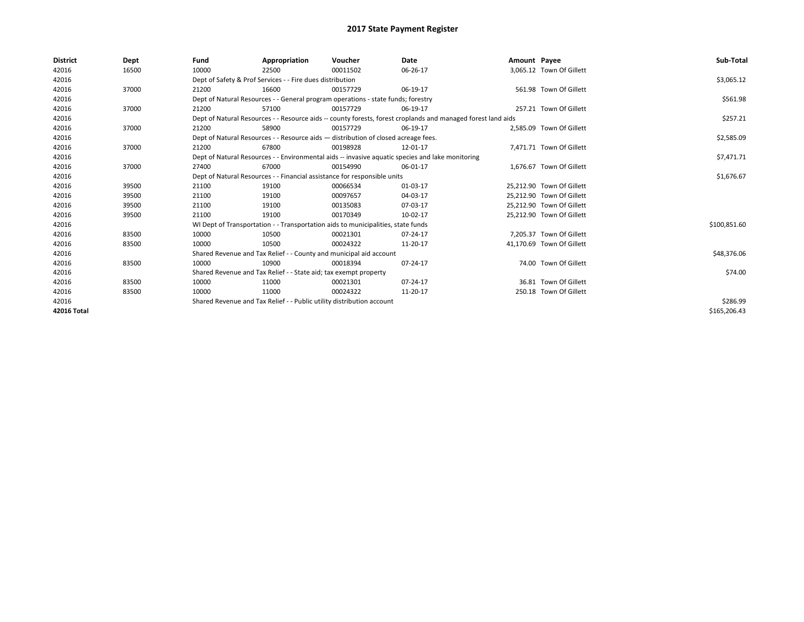| <b>District</b> | Dept  | Fund  | Appropriation                                                                                                | Voucher  | Date       | Amount Payee |                           | Sub-Total    |  |  |
|-----------------|-------|-------|--------------------------------------------------------------------------------------------------------------|----------|------------|--------------|---------------------------|--------------|--|--|
| 42016           | 16500 | 10000 | 22500                                                                                                        | 00011502 | 06-26-17   |              | 3,065.12 Town Of Gillett  |              |  |  |
| 42016           |       |       | Dept of Safety & Prof Services - - Fire dues distribution                                                    |          |            |              |                           | \$3,065.12   |  |  |
| 42016           | 37000 | 21200 | 16600                                                                                                        | 00157729 | 06-19-17   |              | 561.98 Town Of Gillett    |              |  |  |
| 42016           |       |       | Dept of Natural Resources - - General program operations - state funds; forestry                             |          | \$561.98   |              |                           |              |  |  |
| 42016           | 37000 | 21200 | 57100                                                                                                        | 00157729 | 06-19-17   |              | 257.21 Town Of Gillett    |              |  |  |
| 42016           |       |       | Dept of Natural Resources - - Resource aids -- county forests, forest croplands and managed forest land aids |          |            |              |                           | \$257.21     |  |  |
| 42016           | 37000 | 21200 | 58900                                                                                                        | 00157729 | 06-19-17   |              | 2,585.09 Town Of Gillett  |              |  |  |
| 42016           |       |       | Dept of Natural Resources - - Resource aids - distribution of closed acreage fees.                           |          |            |              |                           | \$2,585.09   |  |  |
| 42016           | 37000 | 21200 | 67800                                                                                                        | 00198928 | 12-01-17   |              | 7,471.71 Town Of Gillett  |              |  |  |
| 42016           |       |       | Dept of Natural Resources - - Environmental aids -- invasive aquatic species and lake monitoring             |          | \$7,471.71 |              |                           |              |  |  |
| 42016           | 37000 | 27400 | 67000                                                                                                        | 00154990 | 06-01-17   |              | 1.676.67 Town Of Gillett  |              |  |  |
| 42016           |       |       | Dept of Natural Resources - - Financial assistance for responsible units                                     |          | \$1,676.67 |              |                           |              |  |  |
| 42016           | 39500 | 21100 | 19100                                                                                                        | 00066534 | 01-03-17   |              | 25,212.90 Town Of Gillett |              |  |  |
| 42016           | 39500 | 21100 | 19100                                                                                                        | 00097657 | 04-03-17   |              | 25,212.90 Town Of Gillett |              |  |  |
| 42016           | 39500 | 21100 | 19100                                                                                                        | 00135083 | 07-03-17   |              | 25,212.90 Town Of Gillett |              |  |  |
| 42016           | 39500 | 21100 | 19100                                                                                                        | 00170349 | 10-02-17   |              | 25.212.90 Town Of Gillett |              |  |  |
| 42016           |       |       | WI Dept of Transportation - - Transportation aids to municipalities, state funds                             |          |            |              |                           | \$100,851.60 |  |  |
| 42016           | 83500 | 10000 | 10500                                                                                                        | 00021301 | 07-24-17   |              | 7.205.37 Town Of Gillett  |              |  |  |
| 42016           | 83500 | 10000 | 10500                                                                                                        | 00024322 | 11-20-17   |              | 41,170.69 Town Of Gillett |              |  |  |
| 42016           |       |       | Shared Revenue and Tax Relief - - County and municipal aid account                                           |          |            |              |                           | \$48,376.06  |  |  |
| 42016           | 83500 | 10000 | 10900                                                                                                        | 00018394 | 07-24-17   |              | 74.00 Town Of Gillett     |              |  |  |
| 42016           |       |       | Shared Revenue and Tax Relief - - State aid; tax exempt property                                             |          |            |              |                           |              |  |  |
| 42016           | 83500 | 10000 | 11000                                                                                                        | 00021301 | 07-24-17   |              | 36.81 Town Of Gillett     |              |  |  |
| 42016           | 83500 | 10000 | 11000                                                                                                        | 00024322 | 11-20-17   |              | 250.18 Town Of Gillett    |              |  |  |
| 42016           |       |       | Shared Revenue and Tax Relief - - Public utility distribution account                                        |          |            |              |                           |              |  |  |
| 42016 Total     |       |       |                                                                                                              |          |            |              |                           | \$165,206.43 |  |  |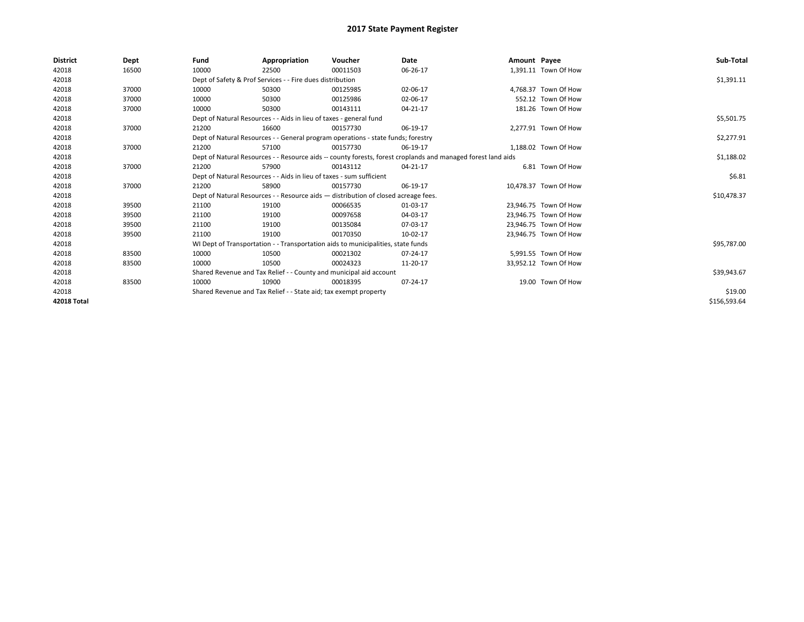| <b>District</b>    | Dept  | Fund                                                             | Appropriation                                                                      | Voucher  | Date                                                                                                         | Amount Payee |                       | Sub-Total    |  |  |  |
|--------------------|-------|------------------------------------------------------------------|------------------------------------------------------------------------------------|----------|--------------------------------------------------------------------------------------------------------------|--------------|-----------------------|--------------|--|--|--|
| 42018              | 16500 | 10000                                                            | 22500                                                                              | 00011503 | 06-26-17                                                                                                     |              | 1,391.11 Town Of How  |              |  |  |  |
| 42018              |       |                                                                  | Dept of Safety & Prof Services - - Fire dues distribution                          |          |                                                                                                              |              |                       | \$1,391.11   |  |  |  |
| 42018              | 37000 | 10000                                                            | 50300                                                                              | 00125985 | 02-06-17                                                                                                     |              | 4.768.37 Town Of How  |              |  |  |  |
| 42018              | 37000 | 10000                                                            | 50300                                                                              | 00125986 | 02-06-17                                                                                                     |              | 552.12 Town Of How    |              |  |  |  |
| 42018              | 37000 | 10000                                                            | 50300                                                                              | 00143111 | 04-21-17                                                                                                     |              | 181.26 Town Of How    |              |  |  |  |
| 42018              |       |                                                                  | Dept of Natural Resources - - Aids in lieu of taxes - general fund                 |          | \$5,501.75                                                                                                   |              |                       |              |  |  |  |
| 42018              | 37000 | 21200                                                            | 16600                                                                              | 00157730 | 06-19-17                                                                                                     |              | 2,277.91 Town Of How  |              |  |  |  |
| 42018              |       |                                                                  | Dept of Natural Resources - - General program operations - state funds; forestry   |          | \$2,277.91                                                                                                   |              |                       |              |  |  |  |
| 42018              | 37000 | 21200                                                            | 57100                                                                              | 00157730 | 06-19-17                                                                                                     |              | 1,188.02 Town Of How  |              |  |  |  |
| 42018              |       |                                                                  |                                                                                    |          | Dept of Natural Resources - - Resource aids -- county forests, forest croplands and managed forest land aids |              |                       | \$1,188.02   |  |  |  |
| 42018              | 37000 | 21200                                                            | 57900                                                                              | 00143112 | 04-21-17                                                                                                     |              | 6.81 Town Of How      |              |  |  |  |
| 42018              |       |                                                                  | Dept of Natural Resources - - Aids in lieu of taxes - sum sufficient               |          |                                                                                                              |              |                       |              |  |  |  |
| 42018              | 37000 | 21200                                                            | 58900                                                                              | 00157730 | 06-19-17                                                                                                     |              | 10,478.37 Town Of How |              |  |  |  |
| 42018              |       |                                                                  | Dept of Natural Resources - - Resource aids - distribution of closed acreage fees. |          |                                                                                                              |              |                       | \$10,478.37  |  |  |  |
| 42018              | 39500 | 21100                                                            | 19100                                                                              | 00066535 | 01-03-17                                                                                                     |              | 23,946.75 Town Of How |              |  |  |  |
| 42018              | 39500 | 21100                                                            | 19100                                                                              | 00097658 | 04-03-17                                                                                                     |              | 23.946.75 Town Of How |              |  |  |  |
| 42018              | 39500 | 21100                                                            | 19100                                                                              | 00135084 | 07-03-17                                                                                                     |              | 23,946.75 Town Of How |              |  |  |  |
| 42018              | 39500 | 21100                                                            | 19100                                                                              | 00170350 | 10-02-17                                                                                                     |              | 23,946.75 Town Of How |              |  |  |  |
| 42018              |       |                                                                  | WI Dept of Transportation - - Transportation aids to municipalities, state funds   |          |                                                                                                              |              |                       | \$95,787.00  |  |  |  |
| 42018              | 83500 | 10000                                                            | 10500                                                                              | 00021302 | 07-24-17                                                                                                     |              | 5.991.55 Town Of How  |              |  |  |  |
| 42018              | 83500 | 10000                                                            | 10500                                                                              | 00024323 | 11-20-17                                                                                                     |              | 33,952.12 Town Of How |              |  |  |  |
| 42018              |       |                                                                  | Shared Revenue and Tax Relief - - County and municipal aid account                 |          |                                                                                                              |              |                       | \$39,943.67  |  |  |  |
| 42018              | 83500 | 10000                                                            | 10900                                                                              | 00018395 | 07-24-17                                                                                                     |              | 19.00 Town Of How     |              |  |  |  |
| 42018              |       | Shared Revenue and Tax Relief - - State aid; tax exempt property |                                                                                    |          |                                                                                                              |              |                       | \$19.00      |  |  |  |
| <b>42018 Total</b> |       |                                                                  |                                                                                    |          |                                                                                                              |              |                       | \$156,593.64 |  |  |  |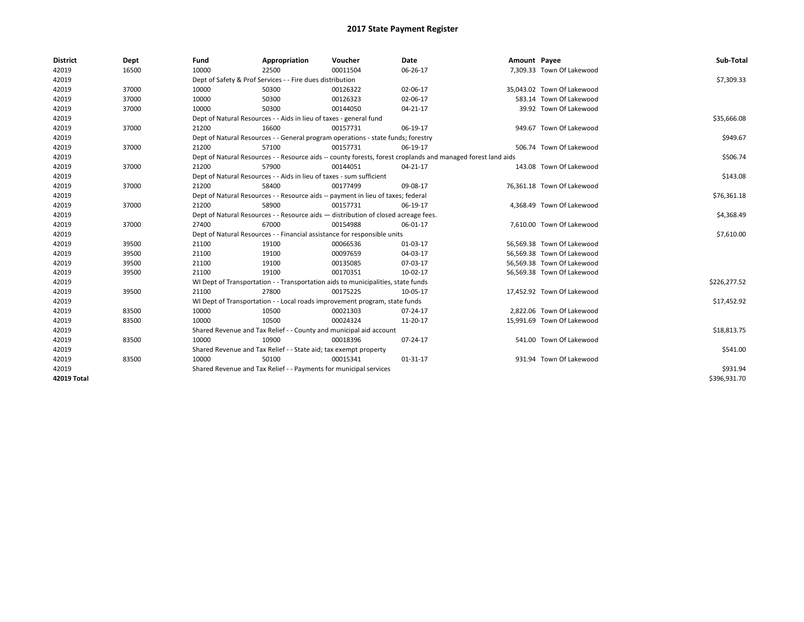| <b>District</b> | Dept  | Fund                                                                               | Appropriation                                                        | Voucher                                                                          | <b>Date</b>                                                                                                  | Amount Payee |                            | Sub-Total    |
|-----------------|-------|------------------------------------------------------------------------------------|----------------------------------------------------------------------|----------------------------------------------------------------------------------|--------------------------------------------------------------------------------------------------------------|--------------|----------------------------|--------------|
| 42019           | 16500 | 10000                                                                              | 22500                                                                | 00011504                                                                         | 06-26-17                                                                                                     |              | 7,309.33 Town Of Lakewood  |              |
| 42019           |       |                                                                                    | Dept of Safety & Prof Services - - Fire dues distribution            |                                                                                  |                                                                                                              |              |                            | \$7,309.33   |
| 42019           | 37000 | 10000                                                                              | 50300                                                                | 00126322                                                                         | 02-06-17                                                                                                     |              | 35,043.02 Town Of Lakewood |              |
| 42019           | 37000 | 10000                                                                              | 50300                                                                | 00126323                                                                         | 02-06-17                                                                                                     |              | 583.14 Town Of Lakewood    |              |
| 42019           | 37000 | 10000                                                                              | 50300                                                                | 00144050                                                                         | 04-21-17                                                                                                     |              | 39.92 Town Of Lakewood     |              |
| 42019           |       |                                                                                    | Dept of Natural Resources - - Aids in lieu of taxes - general fund   |                                                                                  |                                                                                                              |              |                            | \$35,666.08  |
| 42019           | 37000 | 21200                                                                              | 16600                                                                | 00157731                                                                         | 06-19-17                                                                                                     |              | 949.67 Town Of Lakewood    |              |
| 42019           |       |                                                                                    |                                                                      | Dept of Natural Resources - - General program operations - state funds; forestry |                                                                                                              |              |                            | \$949.67     |
| 42019           | 37000 | 21200                                                                              | 57100                                                                | 00157731                                                                         | 06-19-17                                                                                                     |              | 506.74 Town Of Lakewood    |              |
| 42019           |       |                                                                                    |                                                                      |                                                                                  | Dept of Natural Resources - - Resource aids -- county forests, forest croplands and managed forest land aids |              |                            | \$506.74     |
| 42019           | 37000 | 21200                                                                              | 57900                                                                | 00144051                                                                         | 04-21-17                                                                                                     |              | 143.08 Town Of Lakewood    |              |
| 42019           |       |                                                                                    | Dept of Natural Resources - - Aids in lieu of taxes - sum sufficient |                                                                                  |                                                                                                              |              |                            | \$143.08     |
| 42019           | 37000 | 21200                                                                              | 58400                                                                | 00177499                                                                         | 09-08-17                                                                                                     |              | 76.361.18 Town Of Lakewood |              |
| 42019           |       |                                                                                    |                                                                      | Dept of Natural Resources - - Resource aids -- payment in lieu of taxes; federal |                                                                                                              |              |                            | \$76,361.18  |
| 42019           | 37000 | 21200                                                                              | 58900                                                                | 00157731                                                                         | 06-19-17                                                                                                     |              | 4,368.49 Town Of Lakewood  |              |
| 42019           |       | Dept of Natural Resources - - Resource aids - distribution of closed acreage fees. | \$4,368.49                                                           |                                                                                  |                                                                                                              |              |                            |              |
| 42019           | 37000 | 27400                                                                              | 67000                                                                | 00154988                                                                         | 06-01-17                                                                                                     |              | 7,610.00 Town Of Lakewood  |              |
| 42019           |       |                                                                                    |                                                                      | Dept of Natural Resources - - Financial assistance for responsible units         |                                                                                                              |              |                            | \$7,610.00   |
| 42019           | 39500 | 21100                                                                              | 19100                                                                | 00066536                                                                         | 01-03-17                                                                                                     |              | 56,569.38 Town Of Lakewood |              |
| 42019           | 39500 | 21100                                                                              | 19100                                                                | 00097659                                                                         | 04-03-17                                                                                                     |              | 56,569.38 Town Of Lakewood |              |
| 42019           | 39500 | 21100                                                                              | 19100                                                                | 00135085                                                                         | 07-03-17                                                                                                     |              | 56.569.38 Town Of Lakewood |              |
| 42019           | 39500 | 21100                                                                              | 19100                                                                | 00170351                                                                         | 10-02-17                                                                                                     |              | 56,569.38 Town Of Lakewood |              |
| 42019           |       |                                                                                    |                                                                      | WI Dept of Transportation - - Transportation aids to municipalities, state funds |                                                                                                              |              |                            | \$226,277.52 |
| 42019           | 39500 | 21100                                                                              | 27800                                                                | 00175225                                                                         | 10-05-17                                                                                                     |              | 17,452.92 Town Of Lakewood |              |
| 42019           |       |                                                                                    |                                                                      | WI Dept of Transportation - - Local roads improvement program, state funds       |                                                                                                              |              |                            | \$17,452.92  |
| 42019           | 83500 | 10000                                                                              | 10500                                                                | 00021303                                                                         | 07-24-17                                                                                                     |              | 2,822.06 Town Of Lakewood  |              |
| 42019           | 83500 | 10000                                                                              | 10500                                                                | 00024324                                                                         | 11-20-17                                                                                                     |              | 15,991.69 Town Of Lakewood |              |
| 42019           |       | Shared Revenue and Tax Relief - - County and municipal aid account                 | \$18,813.75                                                          |                                                                                  |                                                                                                              |              |                            |              |
| 42019           | 83500 | 10000                                                                              | 10900                                                                | 00018396                                                                         | 07-24-17                                                                                                     |              | 541.00 Town Of Lakewood    |              |
| 42019           |       |                                                                                    | Shared Revenue and Tax Relief - - State aid; tax exempt property     |                                                                                  |                                                                                                              |              |                            | \$541.00     |
| 42019           | 83500 | 10000                                                                              | 50100                                                                | 00015341                                                                         | 01-31-17                                                                                                     |              | 931.94 Town Of Lakewood    |              |
| 42019           |       | Shared Revenue and Tax Relief - - Payments for municipal services                  | \$931.94                                                             |                                                                                  |                                                                                                              |              |                            |              |
| 42019 Total     |       |                                                                                    |                                                                      |                                                                                  |                                                                                                              |              |                            | \$396,931.70 |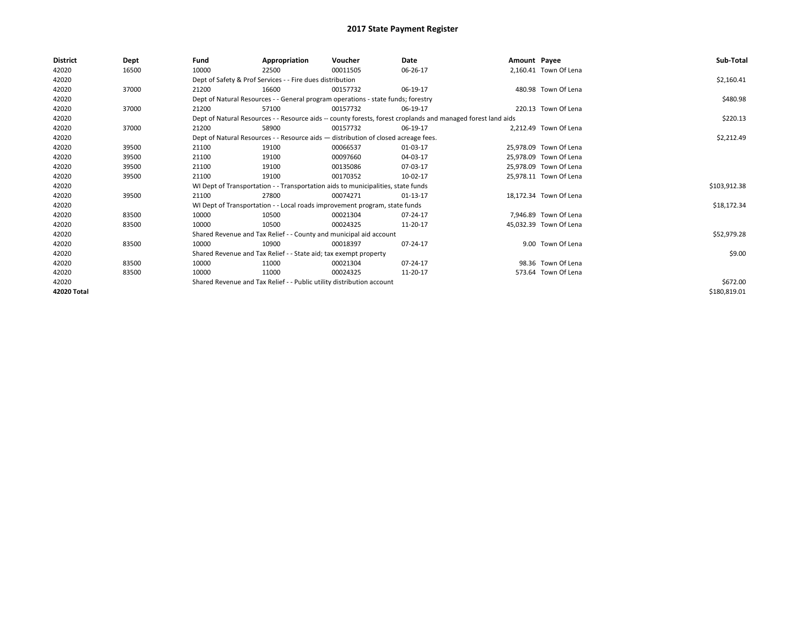| <b>District</b> | Dept  | Fund                                                                  | Appropriation                                                                      | Voucher  | Date                                                                                                         | Amount Payee |                        | Sub-Total    |
|-----------------|-------|-----------------------------------------------------------------------|------------------------------------------------------------------------------------|----------|--------------------------------------------------------------------------------------------------------------|--------------|------------------------|--------------|
| 42020           | 16500 | 10000                                                                 | 22500                                                                              | 00011505 | 06-26-17                                                                                                     |              | 2,160.41 Town Of Lena  |              |
| 42020           |       |                                                                       | Dept of Safety & Prof Services - - Fire dues distribution                          |          |                                                                                                              |              |                        | \$2,160.41   |
| 42020           | 37000 | 21200                                                                 | 16600                                                                              | 00157732 | 06-19-17                                                                                                     |              | 480.98 Town Of Lena    |              |
| 42020           |       |                                                                       | Dept of Natural Resources - - General program operations - state funds; forestry   |          |                                                                                                              |              |                        | \$480.98     |
| 42020           | 37000 | 21200                                                                 | 57100                                                                              | 00157732 | 06-19-17                                                                                                     |              | 220.13 Town Of Lena    |              |
| 42020           |       |                                                                       |                                                                                    |          | Dept of Natural Resources - - Resource aids -- county forests, forest croplands and managed forest land aids |              |                        | \$220.13     |
| 42020           | 37000 | 21200                                                                 | 58900                                                                              | 00157732 | 06-19-17                                                                                                     |              | 2.212.49 Town Of Lena  |              |
| 42020           |       |                                                                       | Dept of Natural Resources - - Resource aids - distribution of closed acreage fees. |          | \$2,212.49                                                                                                   |              |                        |              |
| 42020           | 39500 | 21100                                                                 | 19100                                                                              | 00066537 | 01-03-17                                                                                                     |              | 25.978.09 Town Of Lena |              |
| 42020           | 39500 | 21100                                                                 | 19100                                                                              | 00097660 | 04-03-17                                                                                                     |              | 25.978.09 Town Of Lena |              |
| 42020           | 39500 | 21100                                                                 | 19100                                                                              | 00135086 | 07-03-17                                                                                                     |              | 25.978.09 Town Of Lena |              |
| 42020           | 39500 | 21100                                                                 | 19100                                                                              | 00170352 | 10-02-17                                                                                                     |              | 25,978.11 Town Of Lena |              |
| 42020           |       |                                                                       | WI Dept of Transportation - - Transportation aids to municipalities, state funds   |          |                                                                                                              |              |                        | \$103,912.38 |
| 42020           | 39500 | 21100                                                                 | 27800                                                                              | 00074271 | 01-13-17                                                                                                     |              | 18.172.34 Town Of Lena |              |
| 42020           |       |                                                                       | WI Dept of Transportation - - Local roads improvement program, state funds         |          |                                                                                                              |              |                        | \$18,172.34  |
| 42020           | 83500 | 10000                                                                 | 10500                                                                              | 00021304 | 07-24-17                                                                                                     |              | 7.946.89 Town Of Lena  |              |
| 42020           | 83500 | 10000                                                                 | 10500                                                                              | 00024325 | 11-20-17                                                                                                     |              | 45,032.39 Town Of Lena |              |
| 42020           |       |                                                                       | Shared Revenue and Tax Relief - - County and municipal aid account                 |          |                                                                                                              |              |                        | \$52,979.28  |
| 42020           | 83500 | 10000                                                                 | 10900                                                                              | 00018397 | 07-24-17                                                                                                     |              | 9.00 Town Of Lena      |              |
| 42020           |       |                                                                       | Shared Revenue and Tax Relief - - State aid; tax exempt property                   |          |                                                                                                              |              |                        | \$9.00       |
| 42020           | 83500 | 10000                                                                 | 11000                                                                              | 00021304 | 07-24-17                                                                                                     |              | 98.36 Town Of Lena     |              |
| 42020           | 83500 | 10000                                                                 | 11000                                                                              | 00024325 | 11-20-17                                                                                                     |              | 573.64 Town Of Lena    |              |
| 42020           |       | Shared Revenue and Tax Relief - - Public utility distribution account |                                                                                    | \$672.00 |                                                                                                              |              |                        |              |
| 42020 Total     |       |                                                                       |                                                                                    |          |                                                                                                              |              |                        | \$180,819.01 |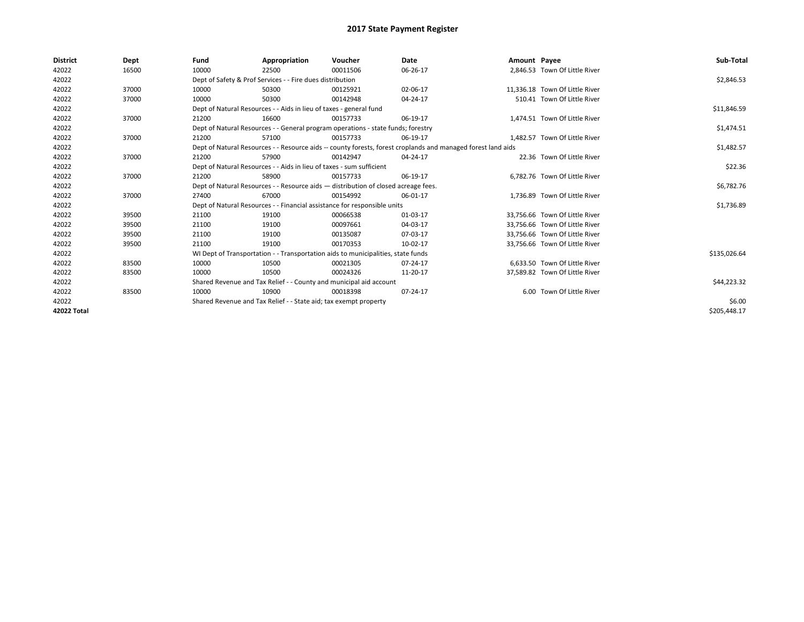| <b>District</b> | Dept  | Fund                                                                               | Appropriation                                                                    | Voucher     | Date                                                                                                         | Amount Payee |                                | Sub-Total    |  |  |  |
|-----------------|-------|------------------------------------------------------------------------------------|----------------------------------------------------------------------------------|-------------|--------------------------------------------------------------------------------------------------------------|--------------|--------------------------------|--------------|--|--|--|
| 42022           | 16500 | 10000                                                                              | 22500                                                                            | 00011506    | 06-26-17                                                                                                     |              | 2.846.53 Town Of Little River  |              |  |  |  |
| 42022           |       |                                                                                    | Dept of Safety & Prof Services - - Fire dues distribution                        |             |                                                                                                              |              |                                | \$2,846.53   |  |  |  |
| 42022           | 37000 | 10000                                                                              | 50300                                                                            | 00125921    | 02-06-17                                                                                                     |              | 11,336.18 Town Of Little River |              |  |  |  |
| 42022           | 37000 | 10000                                                                              | 50300                                                                            | 00142948    | 04-24-17                                                                                                     |              | 510.41 Town Of Little River    |              |  |  |  |
| 42022           |       |                                                                                    | Dept of Natural Resources - - Aids in lieu of taxes - general fund               |             |                                                                                                              |              |                                |              |  |  |  |
| 42022           | 37000 | 21200                                                                              | 16600                                                                            | 00157733    | 06-19-17                                                                                                     |              | 1,474.51 Town Of Little River  |              |  |  |  |
| 42022           |       |                                                                                    | Dept of Natural Resources - - General program operations - state funds; forestry |             |                                                                                                              |              |                                | \$1,474.51   |  |  |  |
| 42022           | 37000 | 21200                                                                              | 57100                                                                            | 00157733    | 06-19-17                                                                                                     |              | 1.482.57 Town Of Little River  |              |  |  |  |
| 42022           |       |                                                                                    |                                                                                  |             | Dept of Natural Resources - - Resource aids -- county forests, forest croplands and managed forest land aids |              |                                | \$1,482.57   |  |  |  |
| 42022           | 37000 | 21200                                                                              | 57900                                                                            | 00142947    | 04-24-17                                                                                                     |              | 22.36 Town Of Little River     |              |  |  |  |
| 42022           |       |                                                                                    | Dept of Natural Resources - - Aids in lieu of taxes - sum sufficient             |             |                                                                                                              |              |                                |              |  |  |  |
| 42022           | 37000 | 21200                                                                              | 58900                                                                            | 00157733    | 06-19-17                                                                                                     |              | 6,782.76 Town Of Little River  |              |  |  |  |
| 42022           |       | Dept of Natural Resources - - Resource aids - distribution of closed acreage fees. |                                                                                  | \$6,782.76  |                                                                                                              |              |                                |              |  |  |  |
| 42022           | 37000 | 27400                                                                              | 67000                                                                            | 00154992    | 06-01-17                                                                                                     |              | 1,736.89 Town Of Little River  |              |  |  |  |
| 42022           |       |                                                                                    | Dept of Natural Resources - - Financial assistance for responsible units         |             |                                                                                                              |              |                                | \$1,736.89   |  |  |  |
| 42022           | 39500 | 21100                                                                              | 19100                                                                            | 00066538    | 01-03-17                                                                                                     |              | 33.756.66 Town Of Little River |              |  |  |  |
| 42022           | 39500 | 21100                                                                              | 19100                                                                            | 00097661    | 04-03-17                                                                                                     |              | 33,756.66 Town Of Little River |              |  |  |  |
| 42022           | 39500 | 21100                                                                              | 19100                                                                            | 00135087    | 07-03-17                                                                                                     |              | 33,756.66 Town Of Little River |              |  |  |  |
| 42022           | 39500 | 21100                                                                              | 19100                                                                            | 00170353    | 10-02-17                                                                                                     |              | 33,756.66 Town Of Little River |              |  |  |  |
| 42022           |       |                                                                                    | WI Dept of Transportation - - Transportation aids to municipalities, state funds |             |                                                                                                              |              |                                | \$135,026.64 |  |  |  |
| 42022           | 83500 | 10000                                                                              | 10500                                                                            | 00021305    | 07-24-17                                                                                                     |              | 6,633.50 Town Of Little River  |              |  |  |  |
| 42022           | 83500 | 10000                                                                              | 10500                                                                            | 00024326    | 11-20-17                                                                                                     |              | 37,589.82 Town Of Little River |              |  |  |  |
| 42022           |       | Shared Revenue and Tax Relief - - County and municipal aid account                 |                                                                                  | \$44,223.32 |                                                                                                              |              |                                |              |  |  |  |
| 42022           | 83500 | 10000                                                                              | 10900                                                                            | 00018398    | 07-24-17                                                                                                     |              | 6.00 Town Of Little River      |              |  |  |  |
| 42022           |       | Shared Revenue and Tax Relief - - State aid; tax exempt property                   |                                                                                  | \$6.00      |                                                                                                              |              |                                |              |  |  |  |
| 42022 Total     |       |                                                                                    |                                                                                  |             |                                                                                                              |              |                                | \$205,448.17 |  |  |  |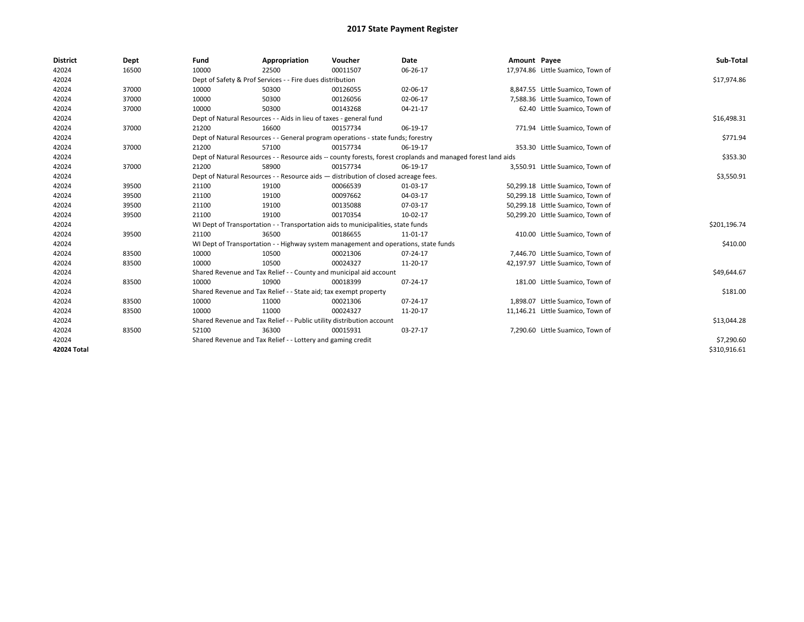| <b>District</b> | Dept  | Fund                                                               | Appropriation                                                                                                | Voucher     | Date     | Amount Payee |                                   | Sub-Total    |  |  |
|-----------------|-------|--------------------------------------------------------------------|--------------------------------------------------------------------------------------------------------------|-------------|----------|--------------|-----------------------------------|--------------|--|--|
| 42024           | 16500 | 10000                                                              | 22500                                                                                                        | 00011507    | 06-26-17 |              | 17,974.86 Little Suamico, Town of |              |  |  |
| 42024           |       |                                                                    | Dept of Safety & Prof Services - - Fire dues distribution                                                    |             |          |              |                                   | \$17,974.86  |  |  |
| 42024           | 37000 | 10000                                                              | 50300                                                                                                        | 00126055    | 02-06-17 |              | 8,847.55 Little Suamico, Town of  |              |  |  |
| 42024           | 37000 | 10000                                                              | 50300                                                                                                        | 00126056    | 02-06-17 |              | 7,588.36 Little Suamico, Town of  |              |  |  |
| 42024           | 37000 | 10000                                                              | 50300                                                                                                        | 00143268    | 04-21-17 |              | 62.40 Little Suamico, Town of     |              |  |  |
| 42024           |       | Dept of Natural Resources - - Aids in lieu of taxes - general fund |                                                                                                              | \$16,498.31 |          |              |                                   |              |  |  |
| 42024           | 37000 | 21200                                                              | 16600                                                                                                        | 00157734    | 06-19-17 |              | 771.94 Little Suamico, Town of    |              |  |  |
| 42024           |       |                                                                    | Dept of Natural Resources - - General program operations - state funds; forestry                             |             |          |              |                                   | \$771.94     |  |  |
| 42024           | 37000 | 21200                                                              | 57100                                                                                                        | 00157734    | 06-19-17 |              | 353.30 Little Suamico, Town of    |              |  |  |
| 42024           |       |                                                                    | Dept of Natural Resources - - Resource aids -- county forests, forest croplands and managed forest land aids |             |          |              |                                   |              |  |  |
| 42024           | 37000 | 21200                                                              | 58900                                                                                                        | 00157734    | 06-19-17 |              | 3,550.91 Little Suamico, Town of  |              |  |  |
| 42024           |       |                                                                    | Dept of Natural Resources - - Resource aids - distribution of closed acreage fees.                           |             |          |              |                                   |              |  |  |
| 42024           | 39500 | 21100                                                              | 19100                                                                                                        | 00066539    | 01-03-17 |              | 50,299.18 Little Suamico, Town of |              |  |  |
| 42024           | 39500 | 21100                                                              | 19100                                                                                                        | 00097662    | 04-03-17 |              | 50,299.18 Little Suamico, Town of |              |  |  |
| 42024           | 39500 | 21100                                                              | 19100                                                                                                        | 00135088    | 07-03-17 |              | 50,299.18 Little Suamico, Town of |              |  |  |
| 42024           | 39500 | 21100                                                              | 19100                                                                                                        | 00170354    | 10-02-17 |              | 50,299.20 Little Suamico, Town of |              |  |  |
| 42024           |       |                                                                    | WI Dept of Transportation - - Transportation aids to municipalities, state funds                             |             |          |              |                                   | \$201,196.74 |  |  |
| 42024           | 39500 | 21100                                                              | 36500                                                                                                        | 00186655    | 11-01-17 |              | 410.00 Little Suamico, Town of    |              |  |  |
| 42024           |       |                                                                    | WI Dept of Transportation - - Highway system management and operations, state funds                          |             |          |              |                                   | \$410.00     |  |  |
| 42024           | 83500 | 10000                                                              | 10500                                                                                                        | 00021306    | 07-24-17 |              | 7,446.70 Little Suamico, Town of  |              |  |  |
| 42024           | 83500 | 10000                                                              | 10500                                                                                                        | 00024327    | 11-20-17 |              | 42,197.97 Little Suamico, Town of |              |  |  |
| 42024           |       |                                                                    | Shared Revenue and Tax Relief - - County and municipal aid account                                           |             |          |              |                                   | \$49,644.67  |  |  |
| 42024           | 83500 | 10000                                                              | 10900                                                                                                        | 00018399    | 07-24-17 |              | 181.00 Little Suamico, Town of    |              |  |  |
| 42024           |       |                                                                    | Shared Revenue and Tax Relief - - State aid; tax exempt property                                             |             |          |              |                                   | \$181.00     |  |  |
| 42024           | 83500 | 10000                                                              | 11000                                                                                                        | 00021306    | 07-24-17 |              | 1,898.07 Little Suamico, Town of  |              |  |  |
| 42024           | 83500 | 10000                                                              | 11000                                                                                                        | 00024327    | 11-20-17 |              | 11,146.21 Little Suamico, Town of |              |  |  |
| 42024           |       |                                                                    | Shared Revenue and Tax Relief - - Public utility distribution account                                        |             |          |              |                                   | \$13,044.28  |  |  |
| 42024           | 83500 | 52100                                                              | 36300                                                                                                        | 00015931    | 03-27-17 |              | 7,290.60 Little Suamico, Town of  |              |  |  |
| 42024           |       | Shared Revenue and Tax Relief - - Lottery and gaming credit        |                                                                                                              | \$7,290.60  |          |              |                                   |              |  |  |
| 42024 Total     |       |                                                                    |                                                                                                              |             |          |              |                                   | \$310,916.61 |  |  |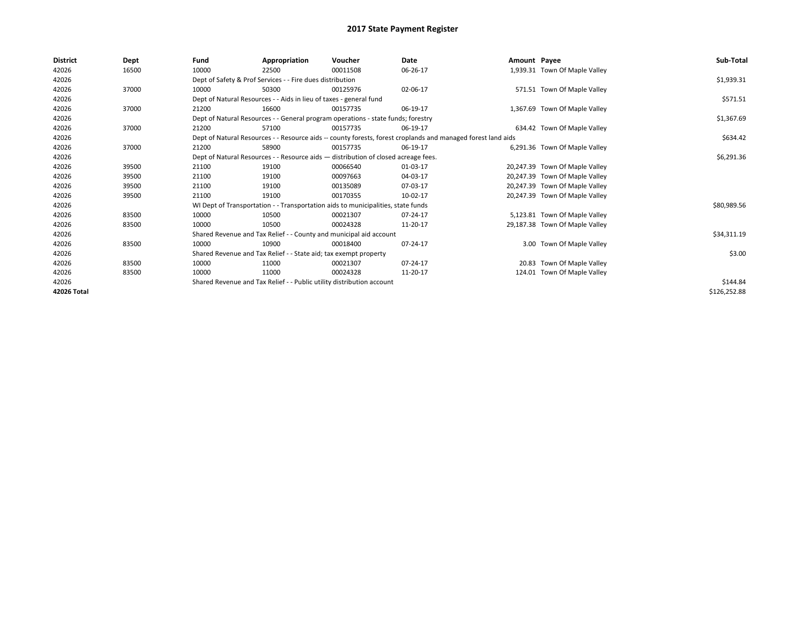| <b>District</b> | Dept  | Fund                                                             | Appropriation                                                                                                | Voucher                                                                            | Date     | Amount Payee |                                | Sub-Total    |
|-----------------|-------|------------------------------------------------------------------|--------------------------------------------------------------------------------------------------------------|------------------------------------------------------------------------------------|----------|--------------|--------------------------------|--------------|
| 42026           | 16500 | 10000                                                            | 22500                                                                                                        | 00011508                                                                           | 06-26-17 |              | 1,939.31 Town Of Maple Valley  |              |
| 42026           |       |                                                                  | Dept of Safety & Prof Services - - Fire dues distribution                                                    |                                                                                    |          |              |                                | \$1,939.31   |
| 42026           | 37000 | 10000                                                            | 50300                                                                                                        | 00125976                                                                           | 02-06-17 |              | 571.51 Town Of Maple Valley    |              |
| 42026           |       |                                                                  | Dept of Natural Resources - - Aids in lieu of taxes - general fund                                           |                                                                                    |          |              |                                | \$571.51     |
| 42026           | 37000 | 21200                                                            | 16600                                                                                                        | 00157735                                                                           | 06-19-17 |              | 1,367.69 Town Of Maple Valley  |              |
| 42026           |       |                                                                  |                                                                                                              | Dept of Natural Resources - - General program operations - state funds; forestry   |          |              |                                | \$1,367.69   |
| 42026           | 37000 | 21200                                                            | 57100                                                                                                        | 00157735                                                                           | 06-19-17 |              | 634.42 Town Of Maple Valley    |              |
| 42026           |       |                                                                  | Dept of Natural Resources - - Resource aids -- county forests, forest croplands and managed forest land aids |                                                                                    | \$634.42 |              |                                |              |
| 42026           | 37000 | 21200                                                            | 58900                                                                                                        | 00157735                                                                           | 06-19-17 |              | 6,291.36 Town Of Maple Valley  |              |
| 42026           |       |                                                                  |                                                                                                              | Dept of Natural Resources - - Resource aids - distribution of closed acreage fees. |          |              |                                | \$6,291.36   |
| 42026           | 39500 | 21100                                                            | 19100                                                                                                        | 00066540                                                                           | 01-03-17 |              | 20,247.39 Town Of Maple Valley |              |
| 42026           | 39500 | 21100                                                            | 19100                                                                                                        | 00097663                                                                           | 04-03-17 |              | 20,247.39 Town Of Maple Valley |              |
| 42026           | 39500 | 21100                                                            | 19100                                                                                                        | 00135089                                                                           | 07-03-17 |              | 20,247.39 Town Of Maple Valley |              |
| 42026           | 39500 | 21100                                                            | 19100                                                                                                        | 00170355                                                                           | 10-02-17 |              | 20,247.39 Town Of Maple Valley |              |
| 42026           |       |                                                                  |                                                                                                              | WI Dept of Transportation - - Transportation aids to municipalities, state funds   |          |              |                                | \$80,989.56  |
| 42026           | 83500 | 10000                                                            | 10500                                                                                                        | 00021307                                                                           | 07-24-17 |              | 5,123.81 Town Of Maple Valley  |              |
| 42026           | 83500 | 10000                                                            | 10500                                                                                                        | 00024328                                                                           | 11-20-17 |              | 29,187.38 Town Of Maple Valley |              |
| 42026           |       |                                                                  | Shared Revenue and Tax Relief - - County and municipal aid account                                           |                                                                                    |          |              |                                | \$34,311.19  |
| 42026           | 83500 | 10000                                                            | 10900                                                                                                        | 00018400                                                                           | 07-24-17 |              | 3.00 Town Of Maple Valley      |              |
| 42026           |       | Shared Revenue and Tax Relief - - State aid; tax exempt property |                                                                                                              | \$3.00                                                                             |          |              |                                |              |
| 42026           | 83500 | 10000                                                            | 11000                                                                                                        | 00021307                                                                           | 07-24-17 |              | 20.83 Town Of Maple Valley     |              |
| 42026           | 83500 | 10000                                                            | 11000                                                                                                        | 00024328                                                                           | 11-20-17 |              | 124.01 Town Of Maple Valley    |              |
| 42026           |       |                                                                  | Shared Revenue and Tax Relief - - Public utility distribution account                                        |                                                                                    | \$144.84 |              |                                |              |
| 42026 Total     |       |                                                                  |                                                                                                              |                                                                                    |          |              |                                | \$126,252.88 |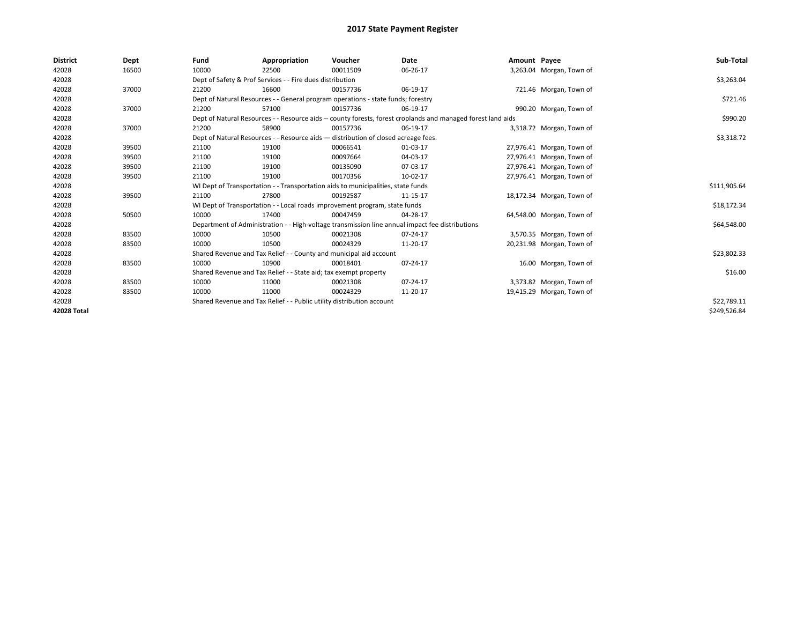| <b>District</b> | Dept  | Fund                                                                                                         | Appropriation                                                                    | Voucher     | Date                                                                                            | Amount Payee |                           | Sub-Total    |  |
|-----------------|-------|--------------------------------------------------------------------------------------------------------------|----------------------------------------------------------------------------------|-------------|-------------------------------------------------------------------------------------------------|--------------|---------------------------|--------------|--|
| 42028           | 16500 | 10000                                                                                                        | 22500                                                                            | 00011509    | 06-26-17                                                                                        |              | 3,263.04 Morgan, Town of  |              |  |
| 42028           |       |                                                                                                              | Dept of Safety & Prof Services - - Fire dues distribution                        |             |                                                                                                 |              |                           | \$3,263.04   |  |
| 42028           | 37000 | 21200                                                                                                        | 16600                                                                            | 00157736    | 06-19-17                                                                                        |              | 721.46 Morgan, Town of    |              |  |
| 42028           |       |                                                                                                              | Dept of Natural Resources - - General program operations - state funds; forestry |             |                                                                                                 |              |                           |              |  |
| 42028           | 37000 | 21200                                                                                                        | 57100                                                                            | 00157736    | 06-19-17                                                                                        |              | 990.20 Morgan, Town of    |              |  |
| 42028           |       | Dept of Natural Resources - - Resource aids -- county forests, forest croplands and managed forest land aids |                                                                                  | \$990.20    |                                                                                                 |              |                           |              |  |
| 42028           | 37000 | 21200                                                                                                        | 58900                                                                            | 00157736    | 06-19-17                                                                                        |              | 3,318.72 Morgan, Town of  |              |  |
| 42028           |       | Dept of Natural Resources - - Resource aids - distribution of closed acreage fees.                           |                                                                                  | \$3,318.72  |                                                                                                 |              |                           |              |  |
| 42028           | 39500 | 21100                                                                                                        | 19100                                                                            | 00066541    | 01-03-17                                                                                        |              | 27,976.41 Morgan, Town of |              |  |
| 42028           | 39500 | 21100                                                                                                        | 19100                                                                            | 00097664    | 04-03-17                                                                                        |              | 27,976.41 Morgan, Town of |              |  |
| 42028           | 39500 | 21100                                                                                                        | 19100                                                                            | 00135090    | 07-03-17                                                                                        |              | 27,976.41 Morgan, Town of |              |  |
| 42028           | 39500 | 21100                                                                                                        | 19100                                                                            | 00170356    | 10-02-17                                                                                        |              | 27,976.41 Morgan, Town of |              |  |
| 42028           |       |                                                                                                              | WI Dept of Transportation - - Transportation aids to municipalities, state funds |             |                                                                                                 |              |                           | \$111,905.64 |  |
| 42028           | 39500 | 21100                                                                                                        | 27800                                                                            | 00192587    | 11-15-17                                                                                        |              | 18,172.34 Morgan, Town of |              |  |
| 42028           |       |                                                                                                              | WI Dept of Transportation - - Local roads improvement program, state funds       |             |                                                                                                 |              |                           | \$18,172.34  |  |
| 42028           | 50500 | 10000                                                                                                        | 17400                                                                            | 00047459    | 04-28-17                                                                                        |              | 64,548.00 Morgan, Town of |              |  |
| 42028           |       |                                                                                                              |                                                                                  |             | Department of Administration - - High-voltage transmission line annual impact fee distributions |              |                           | \$64,548.00  |  |
| 42028           | 83500 | 10000                                                                                                        | 10500                                                                            | 00021308    | 07-24-17                                                                                        |              | 3,570.35 Morgan, Town of  |              |  |
| 42028           | 83500 | 10000                                                                                                        | 10500                                                                            | 00024329    | 11-20-17                                                                                        |              | 20,231.98 Morgan, Town of |              |  |
| 42028           |       |                                                                                                              | Shared Revenue and Tax Relief - - County and municipal aid account               |             |                                                                                                 |              |                           | \$23,802.33  |  |
| 42028           | 83500 | 10000                                                                                                        | 10900                                                                            | 00018401    | 07-24-17                                                                                        |              | 16.00 Morgan, Town of     |              |  |
| 42028           |       |                                                                                                              | Shared Revenue and Tax Relief - - State aid; tax exempt property                 |             |                                                                                                 |              |                           | \$16.00      |  |
| 42028           | 83500 | 10000                                                                                                        | 11000                                                                            | 00021308    | 07-24-17                                                                                        |              | 3,373.82 Morgan, Town of  |              |  |
| 42028           | 83500 | 10000                                                                                                        | 11000                                                                            | 00024329    | 11-20-17                                                                                        |              | 19,415.29 Morgan, Town of |              |  |
| 42028           |       | Shared Revenue and Tax Relief - - Public utility distribution account                                        |                                                                                  | \$22,789.11 |                                                                                                 |              |                           |              |  |
| 42028 Total     |       |                                                                                                              |                                                                                  |             |                                                                                                 |              |                           | \$249,526.84 |  |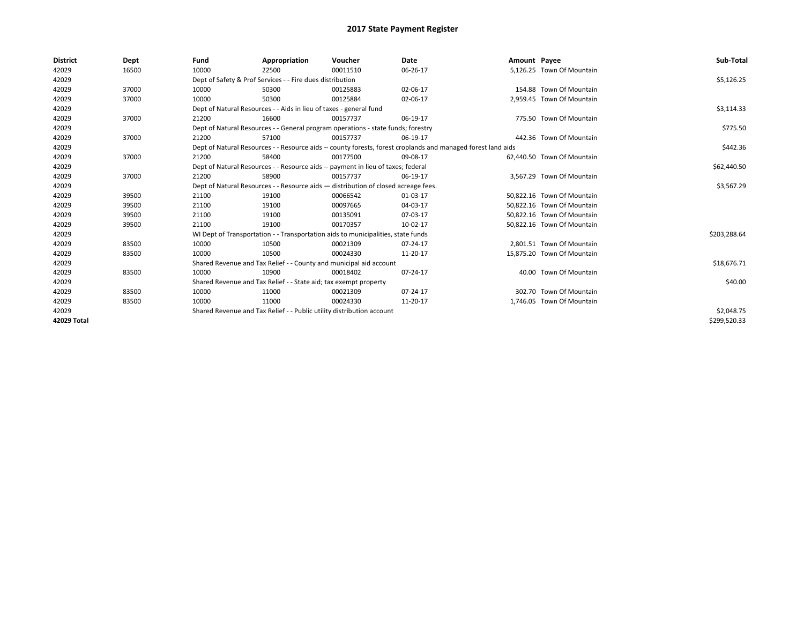| <b>District</b> | Dept  | Fund  | Appropriation                                                                                                | Voucher  | Date       | Amount Payee |                            | Sub-Total    |  |  |  |
|-----------------|-------|-------|--------------------------------------------------------------------------------------------------------------|----------|------------|--------------|----------------------------|--------------|--|--|--|
| 42029           | 16500 | 10000 | 22500                                                                                                        | 00011510 | 06-26-17   |              | 5,126.25 Town Of Mountain  |              |  |  |  |
| 42029           |       |       | Dept of Safety & Prof Services - - Fire dues distribution                                                    |          |            |              |                            | \$5,126.25   |  |  |  |
| 42029           | 37000 | 10000 | 50300                                                                                                        | 00125883 | 02-06-17   |              | 154.88 Town Of Mountain    |              |  |  |  |
| 42029           | 37000 | 10000 | 50300                                                                                                        | 00125884 | 02-06-17   |              | 2,959.45 Town Of Mountain  |              |  |  |  |
| 42029           |       |       | Dept of Natural Resources - - Aids in lieu of taxes - general fund                                           |          | \$3,114.33 |              |                            |              |  |  |  |
| 42029           | 37000 | 21200 | 16600                                                                                                        | 00157737 | 06-19-17   |              | 775.50 Town Of Mountain    |              |  |  |  |
| 42029           |       |       | Dept of Natural Resources - - General program operations - state funds; forestry                             |          |            |              |                            | \$775.50     |  |  |  |
| 42029           | 37000 | 21200 | 57100                                                                                                        | 00157737 | 06-19-17   |              | 442.36 Town Of Mountain    |              |  |  |  |
| 42029           |       |       | Dept of Natural Resources - - Resource aids -- county forests, forest croplands and managed forest land aids |          | \$442.36   |              |                            |              |  |  |  |
| 42029           | 37000 | 21200 | 58400                                                                                                        | 00177500 | 09-08-17   |              | 62,440.50 Town Of Mountain |              |  |  |  |
| 42029           |       |       | Dept of Natural Resources - - Resource aids -- payment in lieu of taxes; federal                             |          |            |              |                            | \$62,440.50  |  |  |  |
| 42029           | 37000 | 21200 | 58900                                                                                                        | 00157737 | 06-19-17   |              | 3.567.29 Town Of Mountain  |              |  |  |  |
| 42029           |       |       | Dept of Natural Resources - - Resource aids - distribution of closed acreage fees.                           |          |            |              |                            |              |  |  |  |
| 42029           | 39500 | 21100 | 19100                                                                                                        | 00066542 | 01-03-17   |              | 50,822.16 Town Of Mountain |              |  |  |  |
| 42029           | 39500 | 21100 | 19100                                                                                                        | 00097665 | 04-03-17   |              | 50,822.16 Town Of Mountain |              |  |  |  |
| 42029           | 39500 | 21100 | 19100                                                                                                        | 00135091 | 07-03-17   |              | 50.822.16 Town Of Mountain |              |  |  |  |
| 42029           | 39500 | 21100 | 19100                                                                                                        | 00170357 | 10-02-17   |              | 50,822.16 Town Of Mountain |              |  |  |  |
| 42029           |       |       | WI Dept of Transportation - - Transportation aids to municipalities, state funds                             |          |            |              |                            | \$203,288.64 |  |  |  |
| 42029           | 83500 | 10000 | 10500                                                                                                        | 00021309 | 07-24-17   |              | 2,801.51 Town Of Mountain  |              |  |  |  |
| 42029           | 83500 | 10000 | 10500                                                                                                        | 00024330 | 11-20-17   |              | 15,875.20 Town Of Mountain |              |  |  |  |
| 42029           |       |       | Shared Revenue and Tax Relief - - County and municipal aid account                                           |          |            |              |                            | \$18,676.71  |  |  |  |
| 42029           | 83500 | 10000 | 10900                                                                                                        | 00018402 | 07-24-17   |              | 40.00 Town Of Mountain     |              |  |  |  |
| 42029           |       |       | Shared Revenue and Tax Relief - - State aid; tax exempt property                                             |          |            |              |                            | \$40.00      |  |  |  |
| 42029           | 83500 | 10000 | 11000                                                                                                        | 00021309 | 07-24-17   |              | 302.70 Town Of Mountain    |              |  |  |  |
| 42029           | 83500 | 10000 | 11000                                                                                                        | 00024330 | 11-20-17   |              | 1,746.05 Town Of Mountain  |              |  |  |  |
| 42029           |       |       | Shared Revenue and Tax Relief - - Public utility distribution account                                        |          |            |              |                            |              |  |  |  |
| 42029 Total     |       |       |                                                                                                              |          |            |              |                            | \$299,520.33 |  |  |  |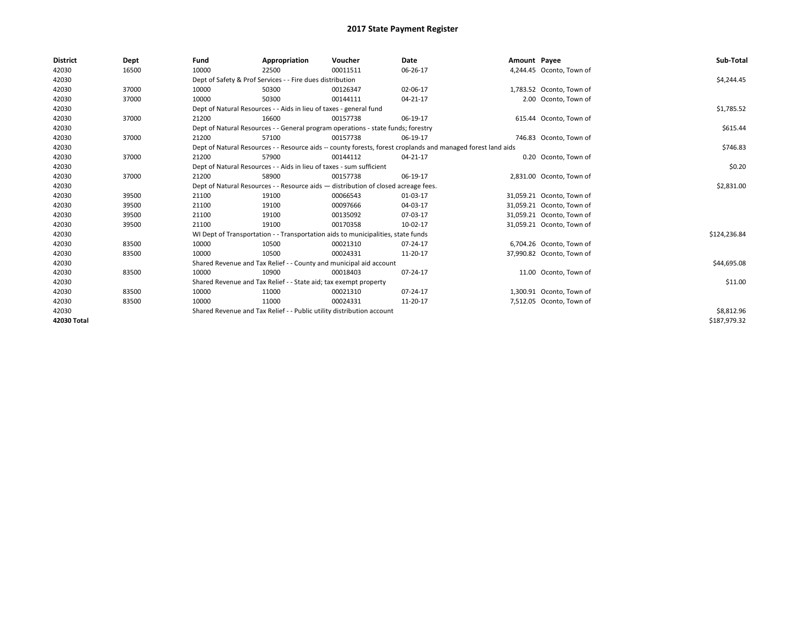| <b>District</b> | Dept  | Fund                                                                               | Appropriation                                                                                                | Voucher    | Date     | Amount Payee |                           | Sub-Total    |  |  |
|-----------------|-------|------------------------------------------------------------------------------------|--------------------------------------------------------------------------------------------------------------|------------|----------|--------------|---------------------------|--------------|--|--|
| 42030           | 16500 | 10000                                                                              | 22500                                                                                                        | 00011511   | 06-26-17 |              | 4,244.45 Oconto, Town of  |              |  |  |
| 42030           |       |                                                                                    | Dept of Safety & Prof Services - - Fire dues distribution                                                    |            |          |              |                           | \$4,244.45   |  |  |
| 42030           | 37000 | 10000                                                                              | 50300                                                                                                        | 00126347   | 02-06-17 |              | 1,783.52 Oconto, Town of  |              |  |  |
| 42030           | 37000 | 10000                                                                              | 50300                                                                                                        | 00144111   | 04-21-17 |              | 2.00 Oconto, Town of      |              |  |  |
| 42030           |       |                                                                                    | Dept of Natural Resources - - Aids in lieu of taxes - general fund                                           |            |          |              |                           |              |  |  |
| 42030           | 37000 | 21200                                                                              | 16600                                                                                                        | 00157738   | 06-19-17 |              | 615.44 Oconto, Town of    |              |  |  |
| 42030           |       | Dept of Natural Resources - - General program operations - state funds; forestry   |                                                                                                              | \$615.44   |          |              |                           |              |  |  |
| 42030           | 37000 | 21200                                                                              | 57100                                                                                                        | 00157738   | 06-19-17 |              | 746.83 Oconto, Town of    |              |  |  |
| 42030           |       |                                                                                    | Dept of Natural Resources - - Resource aids -- county forests, forest croplands and managed forest land aids |            |          |              |                           |              |  |  |
| 42030           | 37000 | 21200                                                                              | 57900                                                                                                        | 00144112   | 04-21-17 |              | 0.20 Oconto, Town of      |              |  |  |
| 42030           |       |                                                                                    | Dept of Natural Resources - - Aids in lieu of taxes - sum sufficient                                         |            |          |              |                           | \$0.20       |  |  |
| 42030           | 37000 | 21200                                                                              | 58900                                                                                                        | 00157738   | 06-19-17 |              | 2,831.00 Oconto, Town of  |              |  |  |
| 42030           |       | Dept of Natural Resources - - Resource aids - distribution of closed acreage fees. |                                                                                                              | \$2,831.00 |          |              |                           |              |  |  |
| 42030           | 39500 | 21100                                                                              | 19100                                                                                                        | 00066543   | 01-03-17 |              | 31,059.21 Oconto, Town of |              |  |  |
| 42030           | 39500 | 21100                                                                              | 19100                                                                                                        | 00097666   | 04-03-17 |              | 31,059.21 Oconto, Town of |              |  |  |
| 42030           | 39500 | 21100                                                                              | 19100                                                                                                        | 00135092   | 07-03-17 |              | 31,059.21 Oconto, Town of |              |  |  |
| 42030           | 39500 | 21100                                                                              | 19100                                                                                                        | 00170358   | 10-02-17 |              | 31,059.21 Oconto, Town of |              |  |  |
| 42030           |       |                                                                                    | WI Dept of Transportation - - Transportation aids to municipalities, state funds                             |            |          |              |                           | \$124,236.84 |  |  |
| 42030           | 83500 | 10000                                                                              | 10500                                                                                                        | 00021310   | 07-24-17 |              | 6,704.26 Oconto, Town of  |              |  |  |
| 42030           | 83500 | 10000                                                                              | 10500                                                                                                        | 00024331   | 11-20-17 |              | 37,990.82 Oconto, Town of |              |  |  |
| 42030           |       |                                                                                    | Shared Revenue and Tax Relief - - County and municipal aid account                                           |            |          |              |                           | \$44,695.08  |  |  |
| 42030           | 83500 | 10000                                                                              | 10900                                                                                                        | 00018403   | 07-24-17 |              | 11.00 Oconto, Town of     |              |  |  |
| 42030           |       |                                                                                    | Shared Revenue and Tax Relief - - State aid; tax exempt property                                             |            |          |              |                           | \$11.00      |  |  |
| 42030           | 83500 | 10000                                                                              | 11000                                                                                                        | 00021310   | 07-24-17 |              | 1,300.91 Oconto, Town of  |              |  |  |
| 42030           | 83500 | 10000                                                                              | 11000                                                                                                        | 00024331   | 11-20-17 |              | 7,512.05 Oconto, Town of  |              |  |  |
| 42030           |       | Shared Revenue and Tax Relief - - Public utility distribution account              |                                                                                                              | \$8,812.96 |          |              |                           |              |  |  |
| 42030 Total     |       |                                                                                    |                                                                                                              |            |          |              |                           | \$187,979.32 |  |  |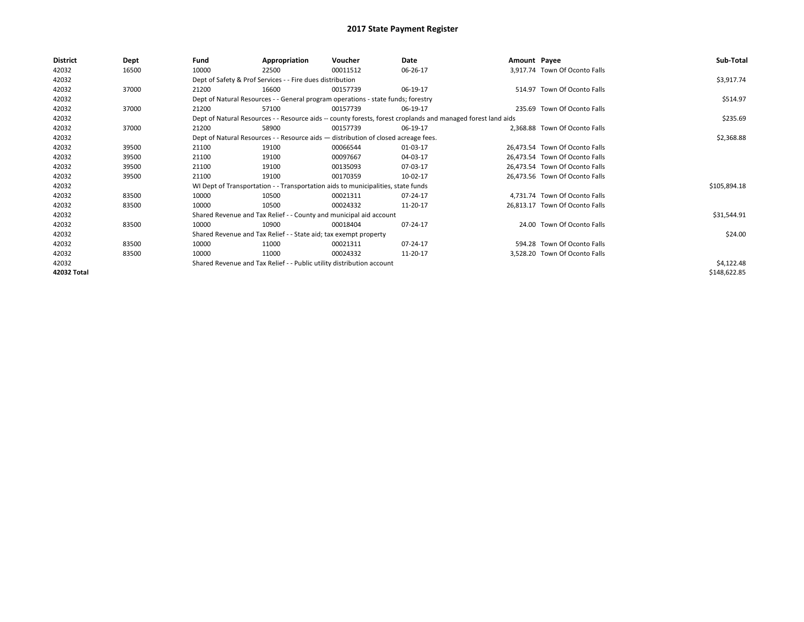| <b>District</b> | Dept  | Fund  | Appropriation                                                                                                | Voucher  | Date     | Amount Payee |                                | Sub-Total    |  |  |  |
|-----------------|-------|-------|--------------------------------------------------------------------------------------------------------------|----------|----------|--------------|--------------------------------|--------------|--|--|--|
| 42032           | 16500 | 10000 | 22500                                                                                                        | 00011512 | 06-26-17 |              | 3,917.74 Town Of Oconto Falls  |              |  |  |  |
| 42032           |       |       | Dept of Safety & Prof Services - - Fire dues distribution                                                    |          |          |              |                                | \$3,917.74   |  |  |  |
| 42032           | 37000 | 21200 | 16600                                                                                                        | 00157739 | 06-19-17 |              | 514.97 Town Of Oconto Falls    |              |  |  |  |
| 42032           |       |       | Dept of Natural Resources - - General program operations - state funds; forestry                             |          |          |              |                                | \$514.97     |  |  |  |
| 42032           | 37000 | 21200 | 57100                                                                                                        | 00157739 | 06-19-17 |              | 235.69 Town Of Oconto Falls    |              |  |  |  |
| 42032           |       |       | Dept of Natural Resources - - Resource aids -- county forests, forest croplands and managed forest land aids |          |          |              |                                |              |  |  |  |
| 42032           | 37000 | 21200 | 58900                                                                                                        | 00157739 | 06-19-17 |              | 2,368.88 Town Of Oconto Falls  |              |  |  |  |
| 42032           |       |       | Dept of Natural Resources - - Resource aids - distribution of closed acreage fees.                           |          |          |              |                                | \$2,368.88   |  |  |  |
| 42032           | 39500 | 21100 | 19100                                                                                                        | 00066544 | 01-03-17 |              | 26.473.54 Town Of Oconto Falls |              |  |  |  |
| 42032           | 39500 | 21100 | 19100                                                                                                        | 00097667 | 04-03-17 |              | 26.473.54 Town Of Oconto Falls |              |  |  |  |
| 42032           | 39500 | 21100 | 19100                                                                                                        | 00135093 | 07-03-17 |              | 26,473.54 Town Of Oconto Falls |              |  |  |  |
| 42032           | 39500 | 21100 | 19100                                                                                                        | 00170359 | 10-02-17 |              | 26,473.56 Town Of Oconto Falls |              |  |  |  |
| 42032           |       |       | WI Dept of Transportation - - Transportation aids to municipalities, state funds                             |          |          |              |                                | \$105,894.18 |  |  |  |
| 42032           | 83500 | 10000 | 10500                                                                                                        | 00021311 | 07-24-17 |              | 4,731.74 Town Of Oconto Falls  |              |  |  |  |
| 42032           | 83500 | 10000 | 10500                                                                                                        | 00024332 | 11-20-17 |              | 26,813.17 Town Of Oconto Falls |              |  |  |  |
| 42032           |       |       | Shared Revenue and Tax Relief - - County and municipal aid account                                           |          |          |              |                                | \$31,544.91  |  |  |  |
| 42032           | 83500 | 10000 | 10900                                                                                                        | 00018404 | 07-24-17 |              | 24.00 Town Of Oconto Falls     |              |  |  |  |
| 42032           |       |       | Shared Revenue and Tax Relief - - State aid; tax exempt property                                             |          |          |              |                                | \$24.00      |  |  |  |
| 42032           | 83500 | 10000 | 11000                                                                                                        | 00021311 | 07-24-17 |              | 594.28 Town Of Oconto Falls    |              |  |  |  |
| 42032           | 83500 | 10000 | 11000                                                                                                        | 00024332 | 11-20-17 |              | 3,528.20 Town Of Oconto Falls  |              |  |  |  |
| 42032           |       |       | Shared Revenue and Tax Relief - - Public utility distribution account                                        |          |          |              |                                | \$4,122.48   |  |  |  |
| 42032 Total     |       |       |                                                                                                              |          |          |              |                                | \$148,622.85 |  |  |  |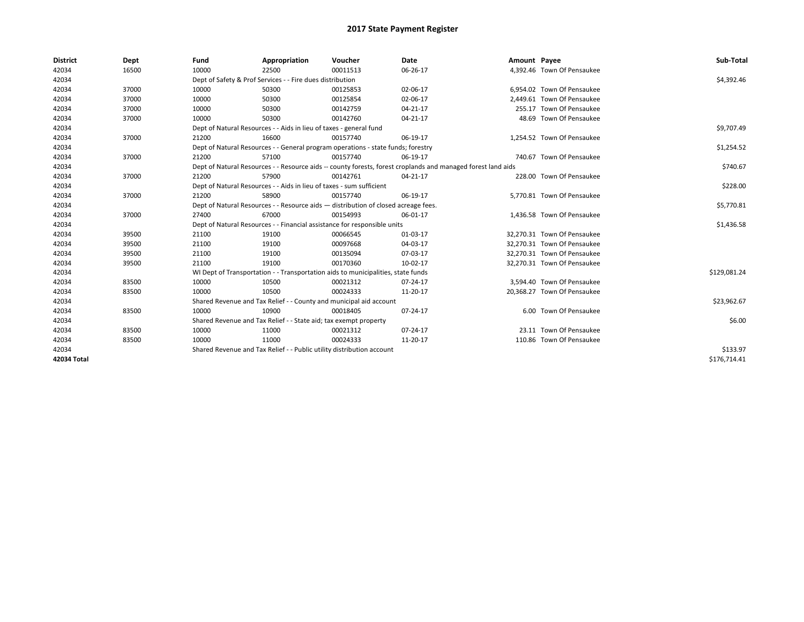| <b>District</b> | Dept  | Fund                                                                  | Appropriation                                                                      | Voucher    | Date                                                                                                         | Amount Payee |                             | Sub-Total    |
|-----------------|-------|-----------------------------------------------------------------------|------------------------------------------------------------------------------------|------------|--------------------------------------------------------------------------------------------------------------|--------------|-----------------------------|--------------|
| 42034           | 16500 | 10000                                                                 | 22500                                                                              | 00011513   | 06-26-17                                                                                                     |              | 4,392.46 Town Of Pensaukee  |              |
| 42034           |       |                                                                       | Dept of Safety & Prof Services - - Fire dues distribution                          |            |                                                                                                              |              |                             | \$4,392.46   |
| 42034           | 37000 | 10000                                                                 | 50300                                                                              | 00125853   | 02-06-17                                                                                                     |              | 6,954.02 Town Of Pensaukee  |              |
| 42034           | 37000 | 10000                                                                 | 50300                                                                              | 00125854   | 02-06-17                                                                                                     |              | 2.449.61 Town Of Pensaukee  |              |
| 42034           | 37000 | 10000                                                                 | 50300                                                                              | 00142759   | 04-21-17                                                                                                     |              | 255.17 Town Of Pensaukee    |              |
| 42034           | 37000 | 10000                                                                 | 50300                                                                              | 00142760   | $04 - 21 - 17$                                                                                               |              | 48.69 Town Of Pensaukee     |              |
| 42034           |       | Dept of Natural Resources - - Aids in lieu of taxes - general fund    |                                                                                    | \$9,707.49 |                                                                                                              |              |                             |              |
| 42034           | 37000 | 21200                                                                 | 16600                                                                              | 00157740   | 06-19-17                                                                                                     |              | 1,254.52 Town Of Pensaukee  |              |
| 42034           |       |                                                                       | Dept of Natural Resources - - General program operations - state funds; forestry   |            |                                                                                                              |              |                             | \$1,254.52   |
| 42034           | 37000 | 21200                                                                 | 57100                                                                              | 00157740   | 06-19-17                                                                                                     |              | 740.67 Town Of Pensaukee    |              |
| 42034           |       |                                                                       |                                                                                    |            | Dept of Natural Resources - - Resource aids -- county forests, forest croplands and managed forest land aids |              |                             | \$740.67     |
| 42034           | 37000 | 21200                                                                 | 57900                                                                              | 00142761   | 04-21-17                                                                                                     |              | 228.00 Town Of Pensaukee    |              |
| 42034           |       |                                                                       | Dept of Natural Resources - - Aids in lieu of taxes - sum sufficient               |            |                                                                                                              |              |                             | \$228.00     |
| 42034           | 37000 | 21200                                                                 | 58900                                                                              | 00157740   | 06-19-17                                                                                                     |              | 5,770.81 Town Of Pensaukee  |              |
| 42034           |       |                                                                       | Dept of Natural Resources - - Resource aids - distribution of closed acreage fees. |            |                                                                                                              |              |                             | \$5,770.81   |
| 42034           | 37000 | 27400                                                                 | 67000                                                                              | 00154993   | 06-01-17                                                                                                     |              | 1,436.58 Town Of Pensaukee  |              |
| 42034           |       |                                                                       | Dept of Natural Resources - - Financial assistance for responsible units           |            |                                                                                                              |              |                             | \$1,436.58   |
| 42034           | 39500 | 21100                                                                 | 19100                                                                              | 00066545   | 01-03-17                                                                                                     |              | 32.270.31 Town Of Pensaukee |              |
| 42034           | 39500 | 21100                                                                 | 19100                                                                              | 00097668   | 04-03-17                                                                                                     |              | 32,270.31 Town Of Pensaukee |              |
| 42034           | 39500 | 21100                                                                 | 19100                                                                              | 00135094   | 07-03-17                                                                                                     |              | 32,270.31 Town Of Pensaukee |              |
| 42034           | 39500 | 21100                                                                 | 19100                                                                              | 00170360   | 10-02-17                                                                                                     |              | 32,270.31 Town Of Pensaukee |              |
| 42034           |       |                                                                       | WI Dept of Transportation - - Transportation aids to municipalities, state funds   |            |                                                                                                              |              |                             | \$129,081.24 |
| 42034           | 83500 | 10000                                                                 | 10500                                                                              | 00021312   | $07 - 24 - 17$                                                                                               |              | 3.594.40 Town Of Pensaukee  |              |
| 42034           | 83500 | 10000                                                                 | 10500                                                                              | 00024333   | 11-20-17                                                                                                     |              | 20,368.27 Town Of Pensaukee |              |
| 42034           |       |                                                                       | Shared Revenue and Tax Relief - - County and municipal aid account                 |            |                                                                                                              |              |                             | \$23,962.67  |
| 42034           | 83500 | 10000                                                                 | 10900                                                                              | 00018405   | 07-24-17                                                                                                     |              | 6.00 Town Of Pensaukee      |              |
| 42034           |       | Shared Revenue and Tax Relief - - State aid; tax exempt property      |                                                                                    | \$6.00     |                                                                                                              |              |                             |              |
| 42034           | 83500 | 10000                                                                 | 11000                                                                              | 00021312   | 07-24-17                                                                                                     |              | 23.11 Town Of Pensaukee     |              |
| 42034           | 83500 | 10000                                                                 | 11000                                                                              | 00024333   | 11-20-17                                                                                                     |              | 110.86 Town Of Pensaukee    |              |
| 42034           |       | Shared Revenue and Tax Relief - - Public utility distribution account |                                                                                    | \$133.97   |                                                                                                              |              |                             |              |
| 42034 Total     |       |                                                                       |                                                                                    |            |                                                                                                              |              |                             | \$176.714.41 |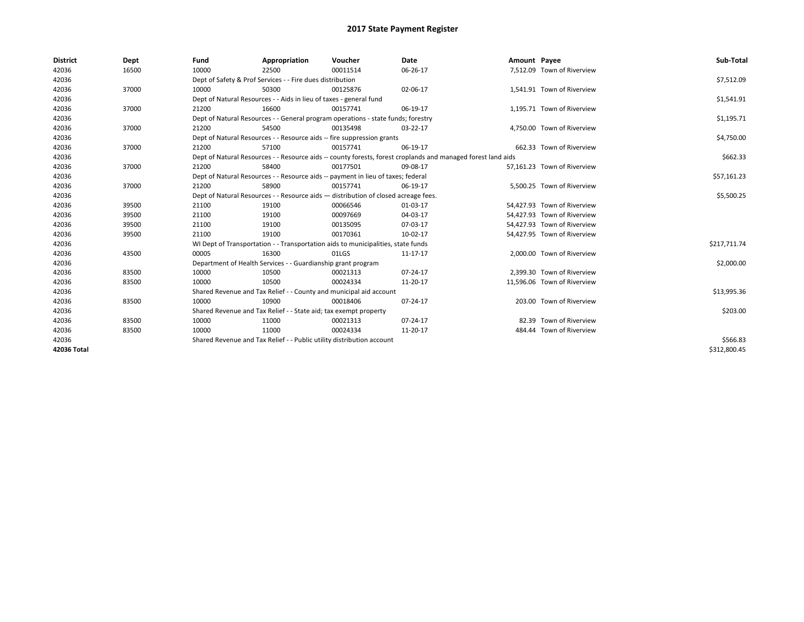| <b>District</b> | Dept  | Fund                                                             | Appropriation                                                                                                | Voucher  | Date       | Amount Payee |                             | Sub-Total    |  |  |  |
|-----------------|-------|------------------------------------------------------------------|--------------------------------------------------------------------------------------------------------------|----------|------------|--------------|-----------------------------|--------------|--|--|--|
| 42036           | 16500 | 10000                                                            | 22500                                                                                                        | 00011514 | 06-26-17   |              | 7,512.09 Town of Riverview  |              |  |  |  |
| 42036           |       |                                                                  | Dept of Safety & Prof Services - - Fire dues distribution                                                    |          |            |              |                             | \$7,512.09   |  |  |  |
| 42036           | 37000 | 10000                                                            | 50300                                                                                                        | 00125876 | 02-06-17   |              | 1,541.91 Town of Riverview  |              |  |  |  |
| 42036           |       |                                                                  | Dept of Natural Resources - - Aids in lieu of taxes - general fund                                           |          |            |              |                             | \$1,541.91   |  |  |  |
| 42036           | 37000 | 21200                                                            | 16600                                                                                                        | 00157741 | 06-19-17   |              | 1,195.71 Town of Riverview  |              |  |  |  |
| 42036           |       |                                                                  | Dept of Natural Resources - - General program operations - state funds; forestry                             |          |            |              |                             | \$1,195.71   |  |  |  |
| 42036           | 37000 | 21200                                                            | 54500                                                                                                        | 00135498 | 03-22-17   |              | 4,750.00 Town of Riverview  |              |  |  |  |
| 42036           |       |                                                                  | Dept of Natural Resources - - Resource aids -- fire suppression grants                                       |          | \$4,750.00 |              |                             |              |  |  |  |
| 42036           | 37000 | 21200                                                            | 57100                                                                                                        | 00157741 | 06-19-17   |              | 662.33 Town of Riverview    |              |  |  |  |
| 42036           |       |                                                                  | Dept of Natural Resources - - Resource aids -- county forests, forest croplands and managed forest land aids |          |            |              |                             |              |  |  |  |
| 42036           | 37000 | 21200                                                            | 58400                                                                                                        | 00177501 | 09-08-17   |              | 57.161.23 Town of Riverview |              |  |  |  |
| 42036           |       |                                                                  | Dept of Natural Resources - - Resource aids -- payment in lieu of taxes; federal                             |          |            |              |                             | \$57,161.23  |  |  |  |
| 42036           | 37000 | 21200                                                            | 58900                                                                                                        | 00157741 | 06-19-17   |              | 5,500.25 Town of Riverview  |              |  |  |  |
| 42036           |       |                                                                  | Dept of Natural Resources - - Resource aids - distribution of closed acreage fees.                           |          |            |              |                             |              |  |  |  |
| 42036           | 39500 | 21100                                                            | 19100                                                                                                        | 00066546 | 01-03-17   |              | 54,427.93 Town of Riverview |              |  |  |  |
| 42036           | 39500 | 21100                                                            | 19100                                                                                                        | 00097669 | 04-03-17   |              | 54,427.93 Town of Riverview |              |  |  |  |
| 42036           | 39500 | 21100                                                            | 19100                                                                                                        | 00135095 | 07-03-17   |              | 54,427.93 Town of Riverview |              |  |  |  |
| 42036           | 39500 | 21100                                                            | 19100                                                                                                        | 00170361 | 10-02-17   |              | 54,427.95 Town of Riverview |              |  |  |  |
| 42036           |       |                                                                  | WI Dept of Transportation - - Transportation aids to municipalities, state funds                             |          |            |              |                             | \$217,711.74 |  |  |  |
| 42036           | 43500 | 00005                                                            | 16300                                                                                                        | 01LGS    | 11-17-17   |              | 2.000.00 Town of Riverview  |              |  |  |  |
| 42036           |       |                                                                  | Department of Health Services - - Guardianship grant program                                                 |          |            |              |                             | \$2,000.00   |  |  |  |
| 42036           | 83500 | 10000                                                            | 10500                                                                                                        | 00021313 | 07-24-17   |              | 2,399.30 Town of Riverview  |              |  |  |  |
| 42036           | 83500 | 10000                                                            | 10500                                                                                                        | 00024334 | 11-20-17   |              | 11,596.06 Town of Riverview |              |  |  |  |
| 42036           |       |                                                                  | Shared Revenue and Tax Relief - - County and municipal aid account                                           |          |            |              |                             | \$13,995.36  |  |  |  |
| 42036           | 83500 | 10000                                                            | 10900                                                                                                        | 00018406 | 07-24-17   |              | 203.00 Town of Riverview    |              |  |  |  |
| 42036           |       | Shared Revenue and Tax Relief - - State aid; tax exempt property |                                                                                                              | \$203.00 |            |              |                             |              |  |  |  |
| 42036           | 83500 | 10000                                                            | 11000                                                                                                        | 00021313 | 07-24-17   |              | 82.39 Town of Riverview     |              |  |  |  |
| 42036           | 83500 | 10000                                                            | 11000                                                                                                        | 00024334 | 11-20-17   |              | 484.44 Town of Riverview    |              |  |  |  |
| 42036           |       |                                                                  | Shared Revenue and Tax Relief - - Public utility distribution account                                        |          |            |              |                             |              |  |  |  |
| 42036 Total     |       |                                                                  |                                                                                                              |          |            |              |                             | \$312,800.45 |  |  |  |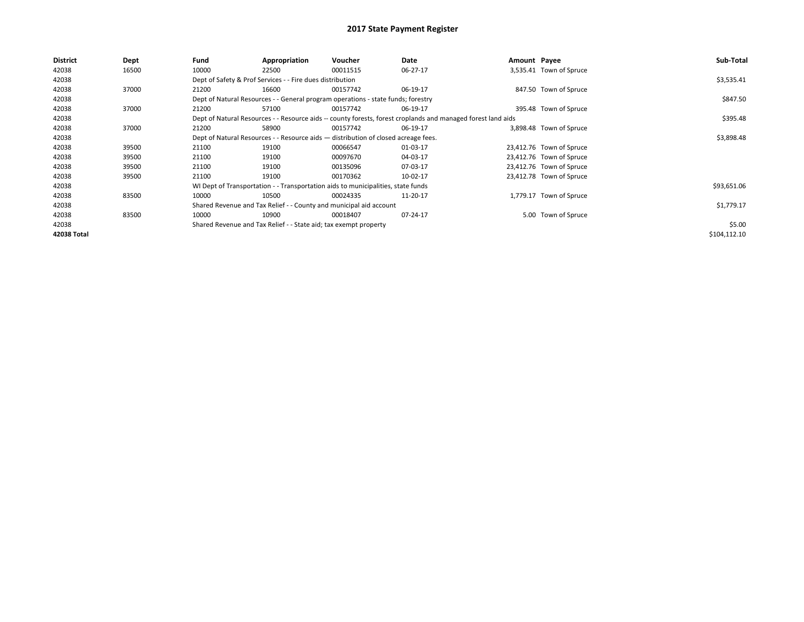| <b>District</b> | Dept  | Fund                                                                               | Appropriation                                                                    | Voucher    | Date                                                                                                         | Amount Payee |                          | Sub-Total    |
|-----------------|-------|------------------------------------------------------------------------------------|----------------------------------------------------------------------------------|------------|--------------------------------------------------------------------------------------------------------------|--------------|--------------------------|--------------|
| 42038           | 16500 | 10000                                                                              | 22500                                                                            | 00011515   | 06-27-17                                                                                                     |              | 3,535.41 Town of Spruce  |              |
| 42038           |       |                                                                                    | Dept of Safety & Prof Services - - Fire dues distribution                        |            |                                                                                                              |              |                          | \$3,535.41   |
| 42038           | 37000 | 21200                                                                              | 16600                                                                            | 00157742   | 06-19-17                                                                                                     |              | 847.50 Town of Spruce    |              |
| 42038           |       |                                                                                    | Dept of Natural Resources - - General program operations - state funds; forestry |            |                                                                                                              |              |                          | \$847.50     |
| 42038           | 37000 | 21200                                                                              | 57100                                                                            | 00157742   | 06-19-17                                                                                                     |              | 395.48 Town of Spruce    |              |
| 42038           |       |                                                                                    |                                                                                  |            | Dept of Natural Resources - - Resource aids -- county forests, forest croplands and managed forest land aids |              |                          | \$395.48     |
| 42038           | 37000 | 21200                                                                              | 58900                                                                            | 00157742   | 06-19-17                                                                                                     |              | 3,898.48 Town of Spruce  |              |
| 42038           |       | Dept of Natural Resources - - Resource aids - distribution of closed acreage fees. |                                                                                  | \$3,898.48 |                                                                                                              |              |                          |              |
| 42038           | 39500 | 21100                                                                              | 19100                                                                            | 00066547   | 01-03-17                                                                                                     |              | 23,412.76 Town of Spruce |              |
| 42038           | 39500 | 21100                                                                              | 19100                                                                            | 00097670   | 04-03-17                                                                                                     |              | 23,412.76 Town of Spruce |              |
| 42038           | 39500 | 21100                                                                              | 19100                                                                            | 00135096   | 07-03-17                                                                                                     |              | 23,412.76 Town of Spruce |              |
| 42038           | 39500 | 21100                                                                              | 19100                                                                            | 00170362   | 10-02-17                                                                                                     |              | 23,412.78 Town of Spruce |              |
| 42038           |       |                                                                                    | WI Dept of Transportation - - Transportation aids to municipalities, state funds |            |                                                                                                              |              |                          | \$93,651.06  |
| 42038           | 83500 | 10000                                                                              | 10500                                                                            | 00024335   | 11-20-17                                                                                                     |              | 1,779.17 Town of Spruce  |              |
| 42038           |       |                                                                                    | Shared Revenue and Tax Relief - - County and municipal aid account               |            |                                                                                                              |              |                          | \$1,779.17   |
| 42038           | 83500 | 10000                                                                              | 10900                                                                            | 00018407   | 07-24-17                                                                                                     |              | 5.00 Town of Spruce      |              |
| 42038           |       |                                                                                    | Shared Revenue and Tax Relief - - State aid; tax exempt property                 |            |                                                                                                              |              |                          | \$5.00       |
| 42038 Total     |       |                                                                                    |                                                                                  |            |                                                                                                              |              |                          | \$104,112.10 |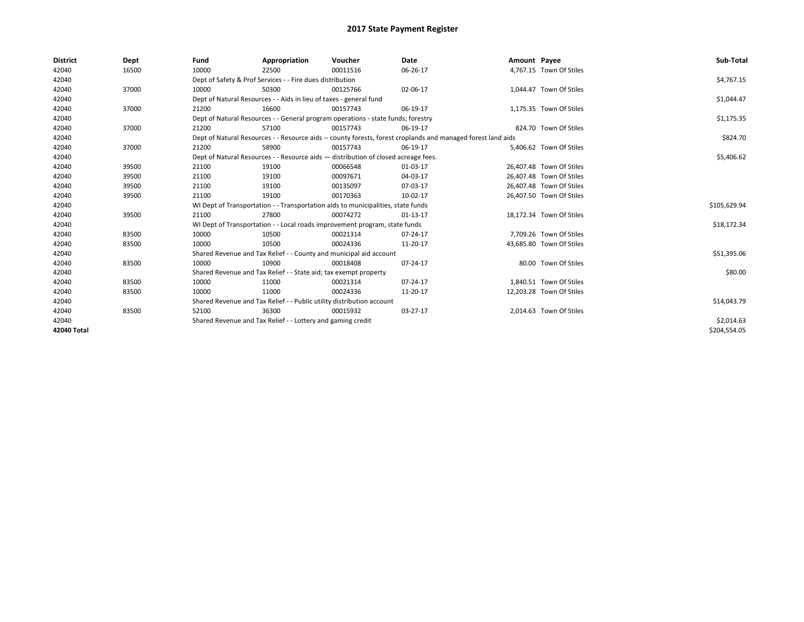| <b>District</b> | Dept  | Fund  | Appropriation                                                                                                | Voucher  | Date     | Amount Payee |                          | Sub-Total    |  |  |  |
|-----------------|-------|-------|--------------------------------------------------------------------------------------------------------------|----------|----------|--------------|--------------------------|--------------|--|--|--|
| 42040           | 16500 | 10000 | 22500                                                                                                        | 00011516 | 06-26-17 |              | 4,767.15 Town Of Stiles  |              |  |  |  |
| 42040           |       |       | Dept of Safety & Prof Services - - Fire dues distribution                                                    |          |          |              |                          | \$4,767.15   |  |  |  |
| 42040           | 37000 | 10000 | 50300                                                                                                        | 00125766 | 02-06-17 |              | 1,044.47 Town Of Stiles  |              |  |  |  |
| 42040           |       |       | Dept of Natural Resources - - Aids in lieu of taxes - general fund                                           |          |          |              |                          | \$1,044.47   |  |  |  |
| 42040           | 37000 | 21200 | 16600                                                                                                        | 00157743 | 06-19-17 |              | 1,175.35 Town Of Stiles  |              |  |  |  |
| 42040           |       |       | Dept of Natural Resources - - General program operations - state funds; forestry                             |          |          |              |                          | \$1,175.35   |  |  |  |
| 42040           | 37000 | 21200 | 57100                                                                                                        | 00157743 | 06-19-17 |              | 824.70 Town Of Stiles    |              |  |  |  |
| 42040           |       |       | Dept of Natural Resources - - Resource aids -- county forests, forest croplands and managed forest land aids |          |          |              |                          |              |  |  |  |
| 42040           | 37000 | 21200 | 58900                                                                                                        | 00157743 | 06-19-17 |              | 5,406.62 Town Of Stiles  |              |  |  |  |
| 42040           |       |       | Dept of Natural Resources - - Resource aids - distribution of closed acreage fees.                           |          |          |              |                          |              |  |  |  |
| 42040           | 39500 | 21100 | 19100                                                                                                        | 00066548 | 01-03-17 |              | 26,407.48 Town Of Stiles |              |  |  |  |
| 42040           | 39500 | 21100 | 19100                                                                                                        | 00097671 | 04-03-17 |              | 26,407.48 Town Of Stiles |              |  |  |  |
| 42040           | 39500 | 21100 | 19100                                                                                                        | 00135097 | 07-03-17 |              | 26,407.48 Town Of Stiles |              |  |  |  |
| 42040           | 39500 | 21100 | 19100                                                                                                        | 00170363 | 10-02-17 |              | 26,407.50 Town Of Stiles |              |  |  |  |
| 42040           |       |       | WI Dept of Transportation - - Transportation aids to municipalities, state funds                             |          |          |              |                          | \$105,629.94 |  |  |  |
| 42040           | 39500 | 21100 | 27800                                                                                                        | 00074272 | 01-13-17 |              | 18,172.34 Town Of Stiles |              |  |  |  |
| 42040           |       |       | WI Dept of Transportation - - Local roads improvement program, state funds                                   |          |          |              |                          | \$18,172.34  |  |  |  |
| 42040           | 83500 | 10000 | 10500                                                                                                        | 00021314 | 07-24-17 |              | 7,709.26 Town Of Stiles  |              |  |  |  |
| 42040           | 83500 | 10000 | 10500                                                                                                        | 00024336 | 11-20-17 |              | 43,685.80 Town Of Stiles |              |  |  |  |
| 42040           |       |       | Shared Revenue and Tax Relief - - County and municipal aid account                                           |          |          |              |                          | \$51,395.06  |  |  |  |
| 42040           | 83500 | 10000 | 10900                                                                                                        | 00018408 | 07-24-17 |              | 80.00 Town Of Stiles     |              |  |  |  |
| 42040           |       |       | Shared Revenue and Tax Relief - - State aid; tax exempt property                                             |          |          |              |                          | \$80.00      |  |  |  |
| 42040           | 83500 | 10000 | 11000                                                                                                        | 00021314 | 07-24-17 |              | 1,840.51 Town Of Stiles  |              |  |  |  |
| 42040           | 83500 | 10000 | 11000                                                                                                        | 00024336 | 11-20-17 |              | 12,203.28 Town Of Stiles |              |  |  |  |
| 42040           |       |       | Shared Revenue and Tax Relief - - Public utility distribution account                                        |          |          |              |                          | \$14,043.79  |  |  |  |
| 42040           | 83500 | 52100 | 36300                                                                                                        | 00015932 | 03-27-17 |              | 2,014.63 Town Of Stiles  |              |  |  |  |
| 42040           |       |       | Shared Revenue and Tax Relief - - Lottery and gaming credit                                                  |          |          |              |                          | \$2,014.63   |  |  |  |
| 42040 Total     |       |       |                                                                                                              |          |          |              |                          | \$204.554.05 |  |  |  |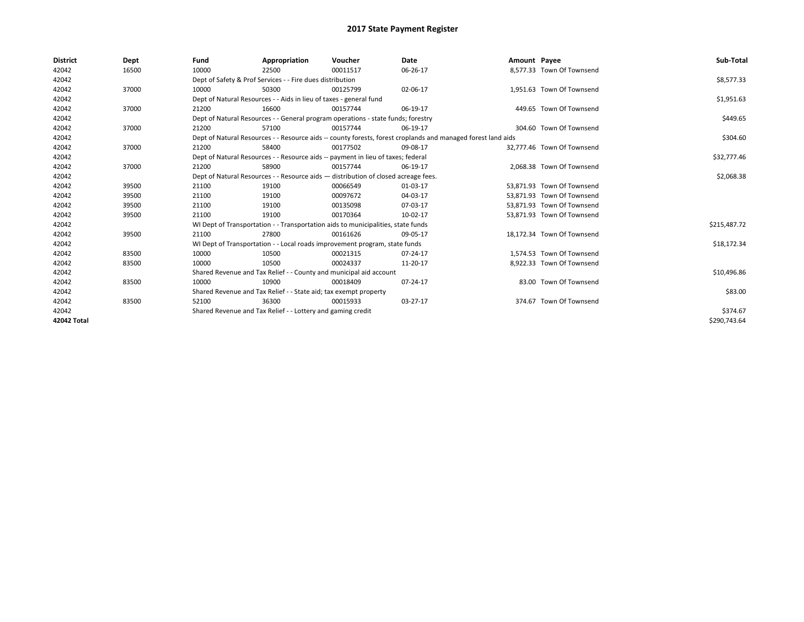| <b>District</b> | Dept  | Fund                                                                               | Appropriation                                                                                                | Voucher    | Date     | Amount Payee |                            | Sub-Total    |  |  |  |
|-----------------|-------|------------------------------------------------------------------------------------|--------------------------------------------------------------------------------------------------------------|------------|----------|--------------|----------------------------|--------------|--|--|--|
| 42042           | 16500 | 10000                                                                              | 22500                                                                                                        | 00011517   | 06-26-17 |              | 8.577.33 Town Of Townsend  |              |  |  |  |
| 42042           |       |                                                                                    | Dept of Safety & Prof Services - - Fire dues distribution                                                    |            |          |              |                            | \$8,577.33   |  |  |  |
| 42042           | 37000 | 10000                                                                              | 50300                                                                                                        | 00125799   | 02-06-17 |              | 1,951.63 Town Of Townsend  |              |  |  |  |
| 42042           |       |                                                                                    | Dept of Natural Resources - - Aids in lieu of taxes - general fund                                           |            |          |              |                            | \$1,951.63   |  |  |  |
| 42042           | 37000 | 21200                                                                              | 16600                                                                                                        | 00157744   | 06-19-17 |              | 449.65 Town Of Townsend    |              |  |  |  |
| 42042           |       |                                                                                    | Dept of Natural Resources - - General program operations - state funds; forestry                             |            |          |              |                            |              |  |  |  |
| 42042           | 37000 | 21200                                                                              | 57100                                                                                                        | 00157744   | 06-19-17 |              | 304.60 Town Of Townsend    |              |  |  |  |
| 42042           |       |                                                                                    | Dept of Natural Resources - - Resource aids -- county forests, forest croplands and managed forest land aids |            |          |              |                            |              |  |  |  |
| 42042           | 37000 | 21200                                                                              | 58400                                                                                                        | 00177502   | 09-08-17 |              | 32.777.46 Town Of Townsend |              |  |  |  |
| 42042           |       |                                                                                    | Dept of Natural Resources - - Resource aids -- payment in lieu of taxes; federal                             |            |          |              |                            | \$32,777.46  |  |  |  |
| 42042           | 37000 | 21200                                                                              | 58900                                                                                                        | 00157744   | 06-19-17 |              | 2,068.38 Town Of Townsend  |              |  |  |  |
| 42042           |       | Dept of Natural Resources - - Resource aids - distribution of closed acreage fees. |                                                                                                              | \$2,068.38 |          |              |                            |              |  |  |  |
| 42042           | 39500 | 21100                                                                              | 19100                                                                                                        | 00066549   | 01-03-17 |              | 53,871.93 Town Of Townsend |              |  |  |  |
| 42042           | 39500 | 21100                                                                              | 19100                                                                                                        | 00097672   | 04-03-17 |              | 53.871.93 Town Of Townsend |              |  |  |  |
| 42042           | 39500 | 21100                                                                              | 19100                                                                                                        | 00135098   | 07-03-17 |              | 53,871.93 Town Of Townsend |              |  |  |  |
| 42042           | 39500 | 21100                                                                              | 19100                                                                                                        | 00170364   | 10-02-17 |              | 53,871.93 Town Of Townsend |              |  |  |  |
| 42042           |       |                                                                                    | WI Dept of Transportation - - Transportation aids to municipalities, state funds                             |            |          |              |                            | \$215,487.72 |  |  |  |
| 42042           | 39500 | 21100                                                                              | 27800                                                                                                        | 00161626   | 09-05-17 |              | 18.172.34 Town Of Townsend |              |  |  |  |
| 42042           |       |                                                                                    | WI Dept of Transportation - - Local roads improvement program, state funds                                   |            |          |              |                            | \$18,172.34  |  |  |  |
| 42042           | 83500 | 10000                                                                              | 10500                                                                                                        | 00021315   | 07-24-17 |              | 1,574.53 Town Of Townsend  |              |  |  |  |
| 42042           | 83500 | 10000                                                                              | 10500                                                                                                        | 00024337   | 11-20-17 |              | 8,922.33 Town Of Townsend  |              |  |  |  |
| 42042           |       |                                                                                    | Shared Revenue and Tax Relief - - County and municipal aid account                                           |            |          |              |                            | \$10,496.86  |  |  |  |
| 42042           | 83500 | 10000                                                                              | 10900                                                                                                        | 00018409   | 07-24-17 |              | 83.00 Town Of Townsend     |              |  |  |  |
| 42042           |       | Shared Revenue and Tax Relief - - State aid; tax exempt property                   |                                                                                                              | \$83.00    |          |              |                            |              |  |  |  |
| 42042           | 83500 | 52100                                                                              | 36300                                                                                                        | 00015933   | 03-27-17 |              | 374.67 Town Of Townsend    |              |  |  |  |
| 42042           |       |                                                                                    | Shared Revenue and Tax Relief - - Lottery and gaming credit                                                  |            |          |              |                            | \$374.67     |  |  |  |
| 42042 Total     |       |                                                                                    |                                                                                                              |            |          |              |                            | \$290,743.64 |  |  |  |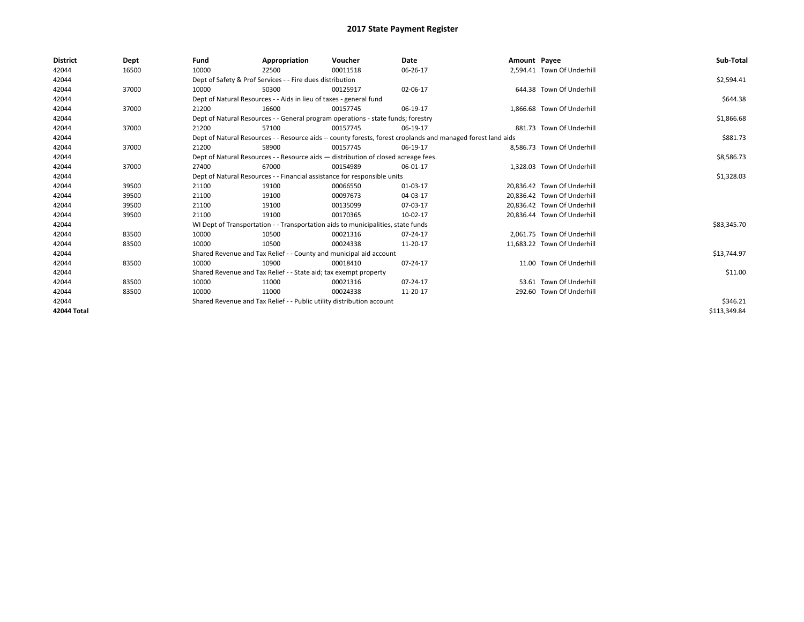| <b>District</b> | Dept  | Fund  | Appropriation                                                                                                | Voucher  | <b>Date</b> | Amount Payee |                             | Sub-Total    |  |  |  |
|-----------------|-------|-------|--------------------------------------------------------------------------------------------------------------|----------|-------------|--------------|-----------------------------|--------------|--|--|--|
| 42044           | 16500 | 10000 | 22500                                                                                                        | 00011518 | 06-26-17    |              | 2,594.41 Town Of Underhill  |              |  |  |  |
| 42044           |       |       | Dept of Safety & Prof Services - - Fire dues distribution                                                    |          |             |              |                             | \$2,594.41   |  |  |  |
| 42044           | 37000 | 10000 | 50300                                                                                                        | 00125917 | 02-06-17    |              | 644.38 Town Of Underhill    |              |  |  |  |
| 42044           |       |       | Dept of Natural Resources - - Aids in lieu of taxes - general fund                                           |          |             |              |                             | \$644.38     |  |  |  |
| 42044           | 37000 | 21200 | 16600                                                                                                        | 00157745 | 06-19-17    |              | 1.866.68 Town Of Underhill  |              |  |  |  |
| 42044           |       |       | Dept of Natural Resources - - General program operations - state funds; forestry                             |          |             |              |                             |              |  |  |  |
| 42044           | 37000 | 21200 | 57100                                                                                                        | 00157745 | 06-19-17    |              | 881.73 Town Of Underhill    |              |  |  |  |
| 42044           |       |       | Dept of Natural Resources - - Resource aids -- county forests, forest croplands and managed forest land aids |          | \$881.73    |              |                             |              |  |  |  |
| 42044           | 37000 | 21200 | 58900                                                                                                        | 00157745 | 06-19-17    |              | 8.586.73 Town Of Underhill  |              |  |  |  |
| 42044           |       |       | Dept of Natural Resources - - Resource aids - distribution of closed acreage fees.                           |          |             |              |                             | \$8,586.73   |  |  |  |
| 42044           | 37000 | 27400 | 67000                                                                                                        | 00154989 | 06-01-17    |              | 1.328.03 Town Of Underhill  |              |  |  |  |
| 42044           |       |       | Dept of Natural Resources - - Financial assistance for responsible units                                     |          |             |              |                             |              |  |  |  |
| 42044           | 39500 | 21100 | 19100                                                                                                        | 00066550 | 01-03-17    |              | 20,836.42 Town Of Underhill |              |  |  |  |
| 42044           | 39500 | 21100 | 19100                                                                                                        | 00097673 | 04-03-17    |              | 20.836.42 Town Of Underhill |              |  |  |  |
| 42044           | 39500 | 21100 | 19100                                                                                                        | 00135099 | 07-03-17    |              | 20,836.42 Town Of Underhill |              |  |  |  |
| 42044           | 39500 | 21100 | 19100                                                                                                        | 00170365 | 10-02-17    |              | 20.836.44 Town Of Underhill |              |  |  |  |
| 42044           |       |       | WI Dept of Transportation - - Transportation aids to municipalities, state funds                             |          |             |              |                             | \$83,345.70  |  |  |  |
| 42044           | 83500 | 10000 | 10500                                                                                                        | 00021316 | 07-24-17    |              | 2.061.75 Town Of Underhill  |              |  |  |  |
| 42044           | 83500 | 10000 | 10500                                                                                                        | 00024338 | 11-20-17    |              | 11,683.22 Town Of Underhill |              |  |  |  |
| 42044           |       |       | Shared Revenue and Tax Relief - - County and municipal aid account                                           |          |             |              |                             | \$13,744.97  |  |  |  |
| 42044           | 83500 | 10000 | 10900                                                                                                        | 00018410 | 07-24-17    |              | 11.00 Town Of Underhill     |              |  |  |  |
| 42044           |       |       | Shared Revenue and Tax Relief - - State aid; tax exempt property                                             |          |             |              |                             | \$11.00      |  |  |  |
| 42044           | 83500 | 10000 | 11000                                                                                                        | 00021316 | 07-24-17    |              | 53.61 Town Of Underhill     |              |  |  |  |
| 42044           | 83500 | 10000 | 11000                                                                                                        | 00024338 | 11-20-17    |              | 292.60 Town Of Underhill    |              |  |  |  |
| 42044           |       |       | Shared Revenue and Tax Relief - - Public utility distribution account                                        |          |             |              |                             | \$346.21     |  |  |  |
| 42044 Total     |       |       |                                                                                                              |          |             |              |                             | \$113,349.84 |  |  |  |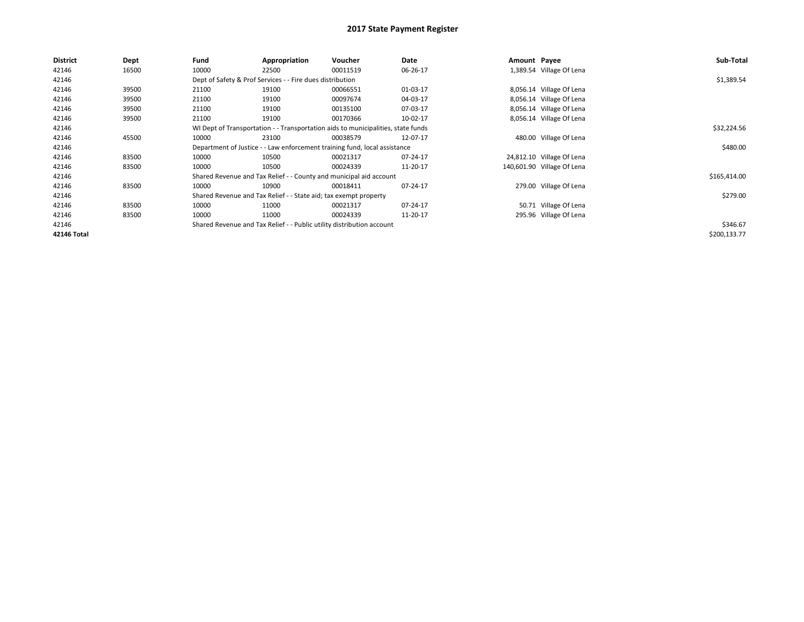| <b>District</b> | Dept  | Fund                                                                             | Appropriation                                                    | Voucher                                                                   | Date           | Amount Payee |                            | Sub-Total    |
|-----------------|-------|----------------------------------------------------------------------------------|------------------------------------------------------------------|---------------------------------------------------------------------------|----------------|--------------|----------------------------|--------------|
| 42146           | 16500 | 10000                                                                            | 22500                                                            | 00011519                                                                  | 06-26-17       |              | 1,389.54 Village Of Lena   |              |
| 42146           |       |                                                                                  | Dept of Safety & Prof Services - - Fire dues distribution        |                                                                           |                |              |                            | \$1,389.54   |
| 42146           | 39500 | 21100                                                                            | 19100                                                            | 00066551                                                                  | 01-03-17       |              | 8,056.14 Village Of Lena   |              |
| 42146           | 39500 | 21100                                                                            | 19100                                                            | 00097674                                                                  | 04-03-17       |              | 8,056.14 Village Of Lena   |              |
| 42146           | 39500 | 21100                                                                            | 19100                                                            | 00135100                                                                  | 07-03-17       |              | 8,056.14 Village Of Lena   |              |
| 42146           | 39500 | 21100                                                                            | 19100                                                            | 00170366                                                                  | 10-02-17       |              | 8,056.14 Village Of Lena   |              |
| 42146           |       | WI Dept of Transportation - - Transportation aids to municipalities, state funds |                                                                  | \$32,224.56                                                               |                |              |                            |              |
| 42146           | 45500 | 10000                                                                            | 23100                                                            | 00038579                                                                  | 12-07-17       |              | 480.00 Village Of Lena     |              |
| 42146           |       |                                                                                  |                                                                  | Department of Justice - - Law enforcement training fund, local assistance |                |              |                            | \$480.00     |
| 42146           | 83500 | 10000                                                                            | 10500                                                            | 00021317                                                                  | 07-24-17       |              | 24,812.10 Village Of Lena  |              |
| 42146           | 83500 | 10000                                                                            | 10500                                                            | 00024339                                                                  | 11-20-17       |              | 140,601.90 Village Of Lena |              |
| 42146           |       |                                                                                  |                                                                  | Shared Revenue and Tax Relief - - County and municipal aid account        |                |              |                            | \$165,414.00 |
| 42146           | 83500 | 10000                                                                            | 10900                                                            | 00018411                                                                  | $07 - 24 - 17$ |              | 279.00 Village Of Lena     |              |
| 42146           |       |                                                                                  | Shared Revenue and Tax Relief - - State aid; tax exempt property |                                                                           |                |              |                            | \$279.00     |
| 42146           | 83500 | 10000                                                                            | 11000                                                            | 00021317                                                                  | 07-24-17       |              | 50.71 Village Of Lena      |              |
| 42146           | 83500 | 10000                                                                            | 11000                                                            | 00024339                                                                  | 11-20-17       |              | 295.96 Village Of Lena     |              |
| 42146           |       |                                                                                  |                                                                  | Shared Revenue and Tax Relief - - Public utility distribution account     |                |              |                            | \$346.67     |
| 42146 Total     |       |                                                                                  |                                                                  |                                                                           |                |              |                            | \$200,133.77 |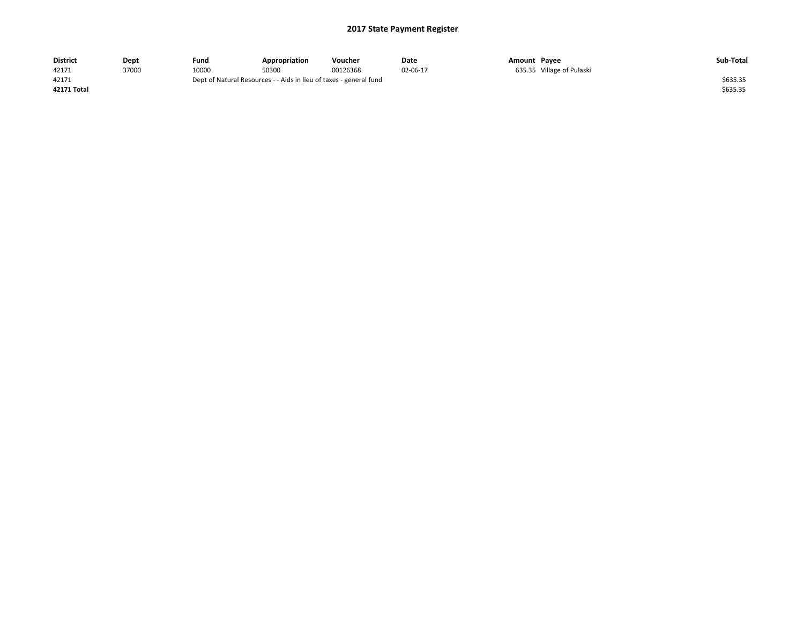| <b>District</b> | Dept  | Fund                                                               | Appropriation | Voucher  | Date     | Amount Payee |                           | Sub-Total |
|-----------------|-------|--------------------------------------------------------------------|---------------|----------|----------|--------------|---------------------------|-----------|
| 42171           | 37000 | 10000                                                              | 50300         | 00126368 | 02-06-17 |              | 635.35 Village of Pulaski |           |
| 42171           |       | Dept of Natural Resources - - Aids in lieu of taxes - general fund |               | \$635.35 |          |              |                           |           |
| 42171 Total     |       |                                                                    |               |          |          |              |                           | \$635.35  |
|                 |       |                                                                    |               |          |          |              |                           |           |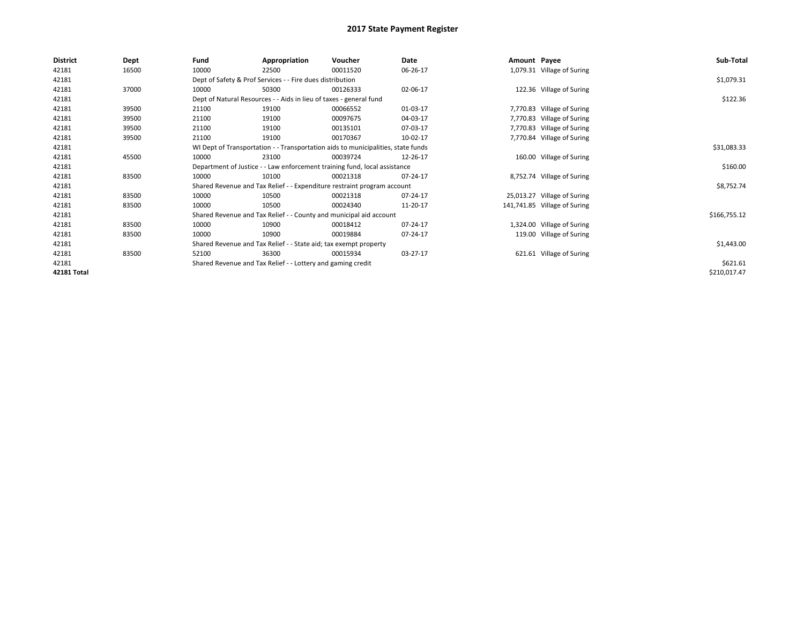| <b>District</b> | Dept  | Fund                                                                             | Appropriation                                                      | Voucher                                                                 | Date     | Amount Payee |                              | Sub-Total    |  |  |  |
|-----------------|-------|----------------------------------------------------------------------------------|--------------------------------------------------------------------|-------------------------------------------------------------------------|----------|--------------|------------------------------|--------------|--|--|--|
| 42181           | 16500 | 10000                                                                            | 22500                                                              | 00011520                                                                | 06-26-17 |              | 1,079.31 Village of Suring   |              |  |  |  |
| 42181           |       |                                                                                  | Dept of Safety & Prof Services - - Fire dues distribution          |                                                                         |          |              |                              | \$1,079.31   |  |  |  |
| 42181           | 37000 | 10000                                                                            | 50300                                                              | 00126333                                                                | 02-06-17 |              | 122.36 Village of Suring     |              |  |  |  |
| 42181           |       |                                                                                  | Dept of Natural Resources - - Aids in lieu of taxes - general fund |                                                                         |          |              |                              |              |  |  |  |
| 42181           | 39500 | 21100                                                                            | 19100                                                              | 00066552                                                                | 01-03-17 |              | 7,770.83 Village of Suring   |              |  |  |  |
| 42181           | 39500 | 21100                                                                            | 19100                                                              | 00097675                                                                | 04-03-17 |              | 7,770.83 Village of Suring   |              |  |  |  |
| 42181           | 39500 | 21100                                                                            | 19100                                                              | 00135101                                                                | 07-03-17 |              | 7,770.83 Village of Suring   |              |  |  |  |
| 42181           | 39500 | 21100                                                                            | 19100                                                              | 00170367                                                                | 10-02-17 |              | 7,770.84 Village of Suring   |              |  |  |  |
| 42181           |       | WI Dept of Transportation - - Transportation aids to municipalities, state funds |                                                                    | \$31,083.33                                                             |          |              |                              |              |  |  |  |
| 42181           | 45500 | 10000                                                                            | 23100                                                              | 00039724                                                                | 12-26-17 |              | 160.00 Village of Suring     |              |  |  |  |
| 42181           |       | Department of Justice - - Law enforcement training fund, local assistance        |                                                                    | \$160.00                                                                |          |              |                              |              |  |  |  |
| 42181           | 83500 | 10000                                                                            | 10100                                                              | 00021318                                                                | 07-24-17 |              | 8,752.74 Village of Suring   |              |  |  |  |
| 42181           |       |                                                                                  |                                                                    | Shared Revenue and Tax Relief - - Expenditure restraint program account |          |              |                              | \$8,752.74   |  |  |  |
| 42181           | 83500 | 10000                                                                            | 10500                                                              | 00021318                                                                | 07-24-17 |              | 25,013.27 Village of Suring  |              |  |  |  |
| 42181           | 83500 | 10000                                                                            | 10500                                                              | 00024340                                                                | 11-20-17 |              | 141,741.85 Village of Suring |              |  |  |  |
| 42181           |       |                                                                                  |                                                                    | Shared Revenue and Tax Relief - - County and municipal aid account      |          |              |                              | \$166,755.12 |  |  |  |
| 42181           | 83500 | 10000                                                                            | 10900                                                              | 00018412                                                                | 07-24-17 |              | 1,324.00 Village of Suring   |              |  |  |  |
| 42181           | 83500 | 10000                                                                            | 10900                                                              | 00019884                                                                | 07-24-17 |              | 119.00 Village of Suring     |              |  |  |  |
| 42181           |       |                                                                                  | Shared Revenue and Tax Relief - - State aid; tax exempt property   |                                                                         |          |              |                              | \$1,443.00   |  |  |  |
| 42181           | 83500 | 52100                                                                            | 36300                                                              | 00015934                                                                | 03-27-17 |              | 621.61 Village of Suring     |              |  |  |  |
| 42181           |       |                                                                                  | Shared Revenue and Tax Relief - - Lottery and gaming credit        |                                                                         |          |              |                              | \$621.61     |  |  |  |
| 42181 Total     |       |                                                                                  |                                                                    |                                                                         |          |              |                              | \$210,017.47 |  |  |  |
|                 |       |                                                                                  |                                                                    |                                                                         |          |              |                              |              |  |  |  |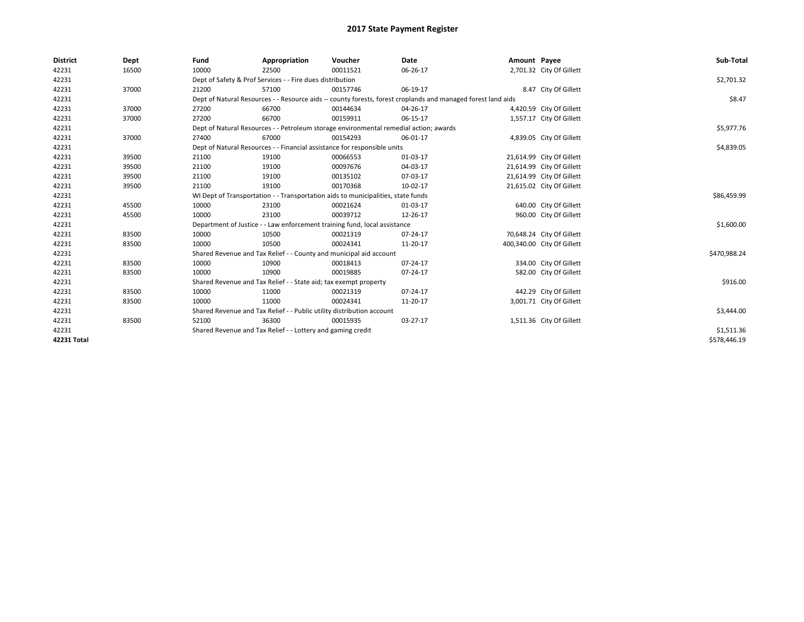| <b>District</b> | Dept  | Fund                                                                             | Appropriation                                                                         | Voucher     | <b>Date</b>                                                                                                  | Amount Payee |                            | Sub-Total    |
|-----------------|-------|----------------------------------------------------------------------------------|---------------------------------------------------------------------------------------|-------------|--------------------------------------------------------------------------------------------------------------|--------------|----------------------------|--------------|
| 42231           | 16500 | 10000                                                                            | 22500                                                                                 | 00011521    | 06-26-17                                                                                                     |              | 2,701.32 City Of Gillett   |              |
| 42231           |       |                                                                                  | Dept of Safety & Prof Services - - Fire dues distribution                             |             |                                                                                                              |              |                            | \$2,701.32   |
| 42231           | 37000 | 21200                                                                            | 57100                                                                                 | 00157746    | 06-19-17                                                                                                     |              | 8.47 City Of Gillett       |              |
| 42231           |       |                                                                                  |                                                                                       |             | Dept of Natural Resources - - Resource aids -- county forests, forest croplands and managed forest land aids |              |                            | \$8.47       |
| 42231           | 37000 | 27200                                                                            | 66700                                                                                 | 00144634    | 04-26-17                                                                                                     |              | 4,420.59 City Of Gillett   |              |
| 42231           | 37000 | 27200                                                                            | 66700                                                                                 | 00159911    | 06-15-17                                                                                                     |              | 1,557.17 City Of Gillett   |              |
| 42231           |       |                                                                                  | Dept of Natural Resources - - Petroleum storage environmental remedial action; awards |             |                                                                                                              |              |                            | \$5,977.76   |
| 42231           | 37000 | 27400                                                                            | 67000                                                                                 | 00154293    | 06-01-17                                                                                                     |              | 4,839.05 City Of Gillett   |              |
| 42231           |       |                                                                                  | Dept of Natural Resources - - Financial assistance for responsible units              |             |                                                                                                              |              |                            | \$4,839.05   |
| 42231           | 39500 | 21100                                                                            | 19100                                                                                 | 00066553    | 01-03-17                                                                                                     |              | 21,614.99 City Of Gillett  |              |
| 42231           | 39500 | 21100                                                                            | 19100                                                                                 | 00097676    | 04-03-17                                                                                                     |              | 21,614.99 City Of Gillett  |              |
| 42231           | 39500 | 21100                                                                            | 19100                                                                                 | 00135102    | 07-03-17                                                                                                     |              | 21,614.99 City Of Gillett  |              |
| 42231           | 39500 | 21100                                                                            | 19100                                                                                 | 00170368    | 10-02-17                                                                                                     |              | 21,615.02 City Of Gillett  |              |
| 42231           |       | WI Dept of Transportation - - Transportation aids to municipalities, state funds |                                                                                       | \$86,459.99 |                                                                                                              |              |                            |              |
| 42231           | 45500 | 10000                                                                            | 23100                                                                                 | 00021624    | 01-03-17                                                                                                     |              | 640.00 City Of Gillett     |              |
| 42231           | 45500 | 10000                                                                            | 23100                                                                                 | 00039712    | 12-26-17                                                                                                     |              | 960.00 City Of Gillett     |              |
| 42231           |       |                                                                                  | Department of Justice - - Law enforcement training fund, local assistance             |             |                                                                                                              |              |                            | \$1,600.00   |
| 42231           | 83500 | 10000                                                                            | 10500                                                                                 | 00021319    | 07-24-17                                                                                                     |              | 70,648.24 City Of Gillett  |              |
| 42231           | 83500 | 10000                                                                            | 10500                                                                                 | 00024341    | 11-20-17                                                                                                     |              | 400,340.00 City Of Gillett |              |
| 42231           |       |                                                                                  | Shared Revenue and Tax Relief - - County and municipal aid account                    |             |                                                                                                              |              |                            | \$470,988.24 |
| 42231           | 83500 | 10000                                                                            | 10900                                                                                 | 00018413    | 07-24-17                                                                                                     |              | 334.00 City Of Gillett     |              |
| 42231           | 83500 | 10000                                                                            | 10900                                                                                 | 00019885    | 07-24-17                                                                                                     |              | 582.00 City Of Gillett     |              |
| 42231           |       |                                                                                  | Shared Revenue and Tax Relief - - State aid; tax exempt property                      |             |                                                                                                              |              |                            | \$916.00     |
| 42231           | 83500 | 10000                                                                            | 11000                                                                                 | 00021319    | 07-24-17                                                                                                     |              | 442.29 City Of Gillett     |              |
| 42231           | 83500 | 10000                                                                            | 11000                                                                                 | 00024341    | 11-20-17                                                                                                     |              | 3,001.71 City Of Gillett   |              |
| 42231           |       |                                                                                  | Shared Revenue and Tax Relief - - Public utility distribution account                 |             |                                                                                                              |              |                            | \$3,444.00   |
| 42231           | 83500 | 52100                                                                            | 36300                                                                                 | 00015935    | 03-27-17                                                                                                     |              | 1,511.36 City Of Gillett   |              |
| 42231           |       |                                                                                  | Shared Revenue and Tax Relief - - Lottery and gaming credit                           |             |                                                                                                              |              |                            | \$1,511.36   |
| 42231 Total     |       |                                                                                  |                                                                                       |             |                                                                                                              |              |                            | \$578,446.19 |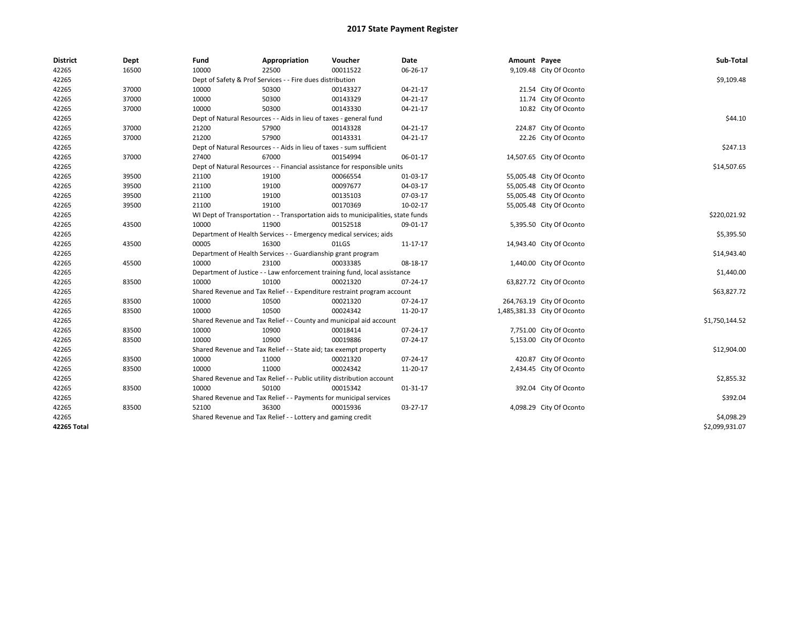| <b>District</b> | Dept  | Fund  | Appropriation                                                                    | Voucher  | Date           | Amount Payee |                             | Sub-Total      |  |  |
|-----------------|-------|-------|----------------------------------------------------------------------------------|----------|----------------|--------------|-----------------------------|----------------|--|--|
| 42265           | 16500 | 10000 | 22500                                                                            | 00011522 | 06-26-17       |              | 9,109.48 City Of Oconto     |                |  |  |
| 42265           |       |       | Dept of Safety & Prof Services - - Fire dues distribution                        |          |                |              |                             | \$9,109.48     |  |  |
| 42265           | 37000 | 10000 | 50300                                                                            | 00143327 | 04-21-17       |              | 21.54 City Of Oconto        |                |  |  |
| 42265           | 37000 | 10000 | 50300                                                                            | 00143329 | $04 - 21 - 17$ |              | 11.74 City Of Oconto        |                |  |  |
| 42265           | 37000 | 10000 | 50300                                                                            | 00143330 | $04 - 21 - 17$ |              | 10.82 City Of Oconto        |                |  |  |
| 42265           |       |       | Dept of Natural Resources - - Aids in lieu of taxes - general fund               |          |                |              |                             | \$44.10        |  |  |
| 42265           | 37000 | 21200 | 57900                                                                            | 00143328 | $04 - 21 - 17$ |              | 224.87 City Of Oconto       |                |  |  |
| 42265           | 37000 | 21200 | 57900                                                                            | 00143331 | 04-21-17       |              | 22.26 City Of Oconto        |                |  |  |
| 42265           |       |       | Dept of Natural Resources - - Aids in lieu of taxes - sum sufficient             |          |                |              |                             | \$247.13       |  |  |
| 42265           | 37000 | 27400 | 67000                                                                            | 00154994 | 06-01-17       |              | 14,507.65 City Of Oconto    |                |  |  |
| 42265           |       |       | Dept of Natural Resources - - Financial assistance for responsible units         |          |                |              |                             | \$14,507.65    |  |  |
| 42265           | 39500 | 21100 | 19100                                                                            | 00066554 | 01-03-17       |              | 55,005.48 City Of Oconto    |                |  |  |
| 42265           | 39500 | 21100 | 19100                                                                            | 00097677 | 04-03-17       |              | 55,005.48 City Of Oconto    |                |  |  |
| 42265           | 39500 | 21100 | 19100                                                                            | 00135103 | 07-03-17       |              | 55,005.48 City Of Oconto    |                |  |  |
| 42265           | 39500 | 21100 | 19100                                                                            | 00170369 | 10-02-17       |              | 55,005.48 City Of Oconto    |                |  |  |
| 42265           |       |       | WI Dept of Transportation - - Transportation aids to municipalities, state funds |          |                |              |                             | \$220,021.92   |  |  |
| 42265           | 43500 | 10000 | 11900                                                                            | 00152518 | 09-01-17       |              | 5,395.50 City Of Oconto     |                |  |  |
| 42265           |       |       | Department of Health Services - - Emergency medical services; aids               |          |                |              |                             |                |  |  |
| 42265           | 43500 | 00005 | 16300                                                                            | 01LGS    | 11-17-17       |              | 14,943.40 City Of Oconto    | \$5,395.50     |  |  |
| 42265           |       |       | Department of Health Services - - Guardianship grant program                     |          |                |              |                             | \$14,943.40    |  |  |
| 42265           | 45500 | 10000 | 23100                                                                            | 00033385 | 08-18-17       |              | 1,440.00 City Of Oconto     |                |  |  |
| 42265           |       |       | Department of Justice - - Law enforcement training fund, local assistance        |          |                |              |                             | \$1,440.00     |  |  |
| 42265           | 83500 | 10000 | 10100                                                                            | 00021320 | 07-24-17       |              | 63,827.72 City Of Oconto    |                |  |  |
| 42265           |       |       | Shared Revenue and Tax Relief - - Expenditure restraint program account          |          |                |              |                             | \$63,827.72    |  |  |
| 42265           | 83500 | 10000 | 10500                                                                            | 00021320 | 07-24-17       |              | 264,763.19 City Of Oconto   |                |  |  |
| 42265           | 83500 | 10000 | 10500                                                                            | 00024342 | 11-20-17       |              | 1,485,381.33 City Of Oconto |                |  |  |
| 42265           |       |       | Shared Revenue and Tax Relief - - County and municipal aid account               |          |                |              |                             | \$1,750,144.52 |  |  |
| 42265           | 83500 | 10000 | 10900                                                                            | 00018414 | 07-24-17       |              | 7,751.00 City Of Oconto     |                |  |  |
| 42265           | 83500 | 10000 | 10900                                                                            | 00019886 | 07-24-17       |              | 5,153.00 City Of Oconto     |                |  |  |
| 42265           |       |       | Shared Revenue and Tax Relief - - State aid; tax exempt property                 |          |                |              |                             | \$12,904.00    |  |  |
| 42265           | 83500 | 10000 | 11000                                                                            | 00021320 | 07-24-17       |              | 420.87 City Of Oconto       |                |  |  |
| 42265           | 83500 | 10000 | 11000                                                                            | 00024342 | 11-20-17       |              | 2,434.45 City Of Oconto     |                |  |  |
| 42265           |       |       | Shared Revenue and Tax Relief - - Public utility distribution account            |          |                |              |                             | \$2,855.32     |  |  |
| 42265           | 83500 | 10000 | 50100                                                                            | 00015342 | 01-31-17       |              | 392.04 City Of Oconto       |                |  |  |
| 42265           |       |       | Shared Revenue and Tax Relief - - Payments for municipal services                |          |                |              |                             | \$392.04       |  |  |
| 42265           | 83500 | 52100 | 36300                                                                            | 00015936 | 03-27-17       |              | 4,098.29 City Of Oconto     |                |  |  |
| 42265           |       |       | Shared Revenue and Tax Relief - - Lottery and gaming credit                      |          |                |              |                             | \$4,098.29     |  |  |
| 42265 Total     |       |       |                                                                                  |          |                |              |                             | \$2,099,931.07 |  |  |
|                 |       |       |                                                                                  |          |                |              |                             |                |  |  |